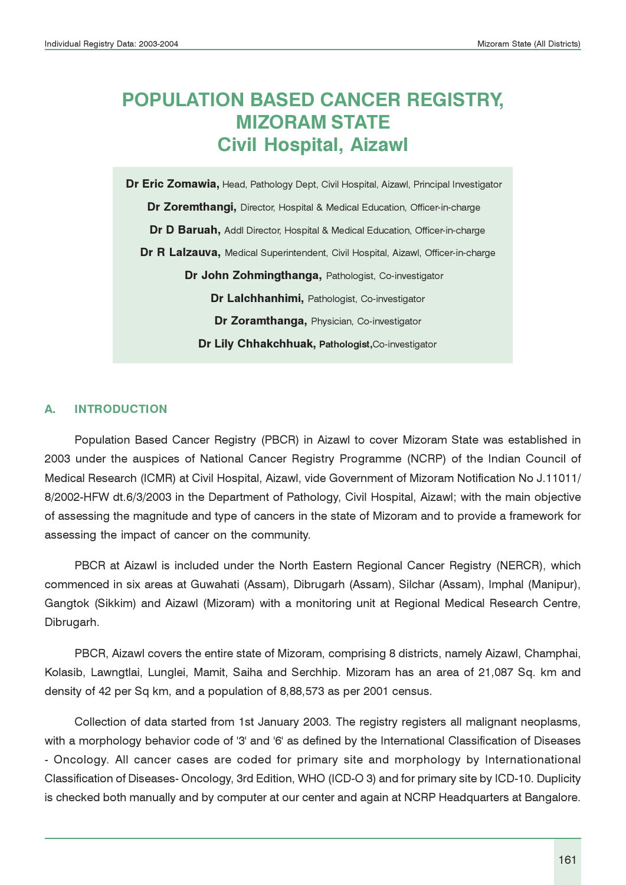# POPULATION BASED CANCER REGISTRY, MIZORAM STATE Civil Hospital, Aizawl

Dr Eric Zomawia, Head, Pathology Dept, Civil Hospital, Aizawl, Principal Investigator Dr Zoremthangi, Director, Hospital & Medical Education, Officer-in-charge Dr D Baruah, Addl Director, Hospital & Medical Education, Officer-in-charge Dr R Lalzauva, Medical Superintendent, Civil Hospital, Aizawl, Officer-in-charge Dr John Zohmingthanga, Pathologist, Co-investigator Dr Lalchhanhimi, Pathologist, Co-investigator Dr Zoramthanga, Physician, Co-investigator Dr Lily Chhakchhuak, Pathologist, Co-investigator

### A. INTRODUCTION

Population Based Cancer Registry (PBCR) in Aizawl to cover Mizoram State was established in 2003 under the auspices of National Cancer Registry Programme (NCRP) of the Indian Council of Medical Research (ICMR) at Civil Hospital, Aizawl, vide Government of Mizoram Notification No J.11011/ 8/2002-HFW dt.6/3/2003 in the Department of Pathology, Civil Hospital, Aizawl; with the main objective of assessing the magnitude and type of cancers in the state of Mizoram and to provide a framework for assessing the impact of cancer on the community.

PBCR at Aizawl is included under the North Eastern Regional Cancer Registry (NERCR), which commenced in six areas at Guwahati (Assam), Dibrugarh (Assam), Silchar (Assam), Imphal (Manipur), Gangtok (Sikkim) and Aizawl (Mizoram) with a monitoring unit at Regional Medical Research Centre, Dibrugarh.

PBCR, Aizawl covers the entire state of Mizoram, comprising 8 districts, namely Aizawl, Champhai, Kolasib, Lawngtlai, Lunglei, Mamit, Saiha and Serchhip. Mizoram has an area of 21,087 Sq. km and density of 42 per Sq km, and a population of 8,88,573 as per 2001 census.

Collection of data started from 1st January 2003. The registry registers all malignant neoplasms, with a morphology behavior code of '3' and '6' as defined by the International Classification of Diseases - Oncology. All cancer cases are coded for primary site and morphology by Internationational Classification of Diseases- Oncology, 3rd Edition, WHO (ICD-O 3) and for primary site by ICD-10. Duplicity is checked both manually and by computer at our center and again at NCRP Headquarters at Bangalore.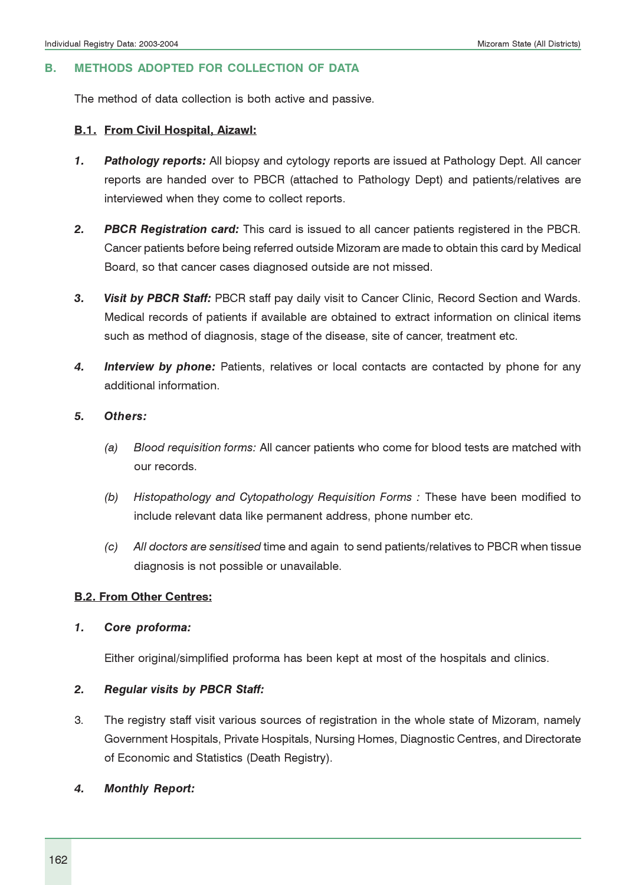#### B. METHODS ADOPTED FOR COLLECTION OF DATA

The method of data collection is both active and passive.

#### B.1. From Civil Hospital, Aizawl:

- 1. Pathology reports: All biopsy and cytology reports are issued at Pathology Dept. All cancer reports are handed over to PBCR (attached to Pathology Dept) and patients/relatives are interviewed when they come to collect reports.
- 2. PBCR Registration card: This card is issued to all cancer patients registered in the PBCR. Cancer patients before being referred outside Mizoram are made to obtain this card by Medical Board, so that cancer cases diagnosed outside are not missed.
- 3. Visit by PBCR Staff: PBCR staff pay daily visit to Cancer Clinic, Record Section and Wards. Medical records of patients if available are obtained to extract information on clinical items such as method of diagnosis, stage of the disease, site of cancer, treatment etc.
- 4. Interview by phone: Patients, relatives or local contacts are contacted by phone for any additional information.
- 5. Others:
	- (a) Blood requisition forms: All cancer patients who come for blood tests are matched with our records.
	- (b) Histopathology and Cytopathology Requisition Forms : These have been modified to include relevant data like permanent address, phone number etc.
	- (c) All doctors are sensitised time and again to send patients/relatives to PBCR when tissue diagnosis is not possible or unavailable.

#### B.2. From Other Centres:

#### 1. Core proforma:

Either original/simplified proforma has been kept at most of the hospitals and clinics.

#### 2. Regular visits by PBCR Staff:

- 3. The registry staff visit various sources of registration in the whole state of Mizoram, namely Government Hospitals, Private Hospitals, Nursing Homes, Diagnostic Centres, and Directorate of Economic and Statistics (Death Registry).
- 4. Monthly Report: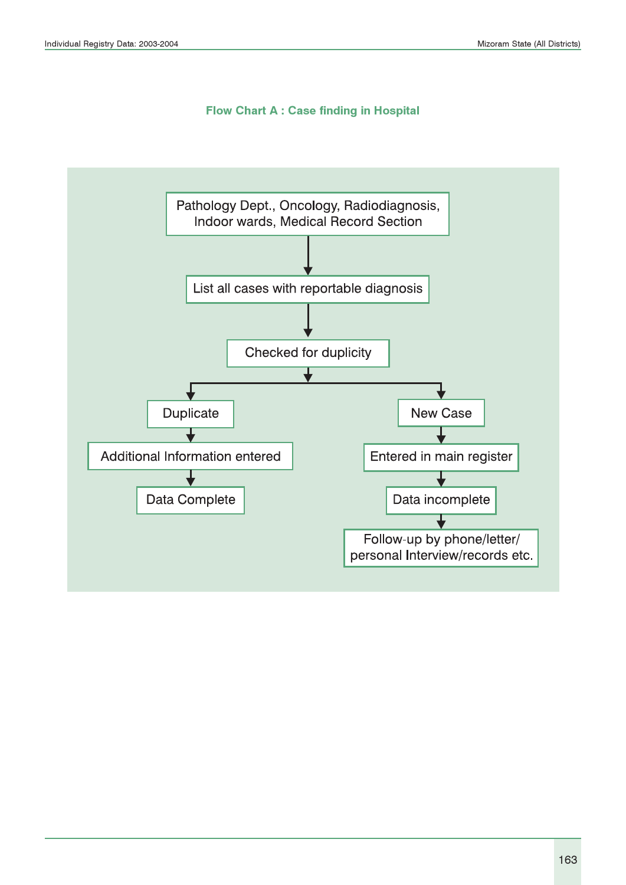#### Flow Chart A : Case finding in Hospital

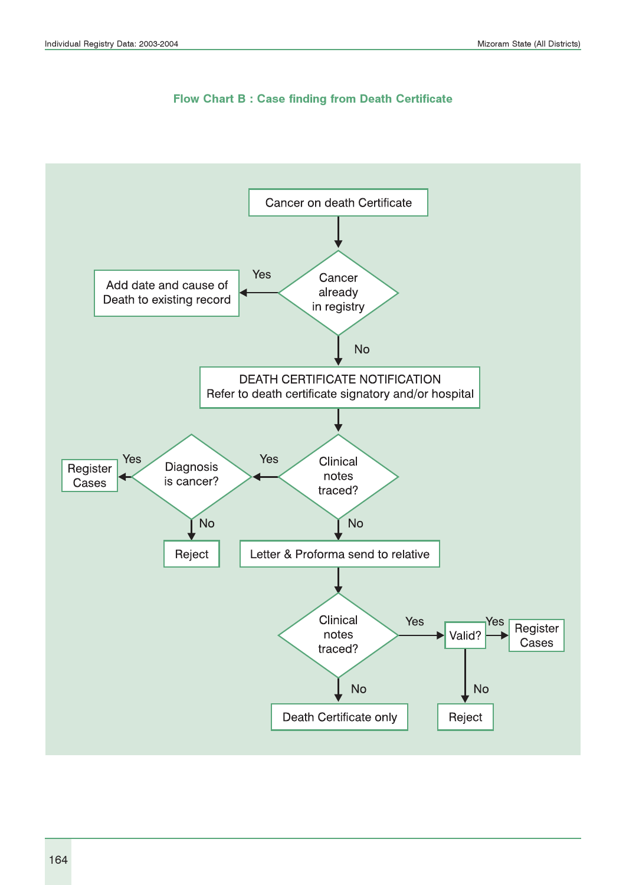

Flow Chart B : Case finding from Death Certificate

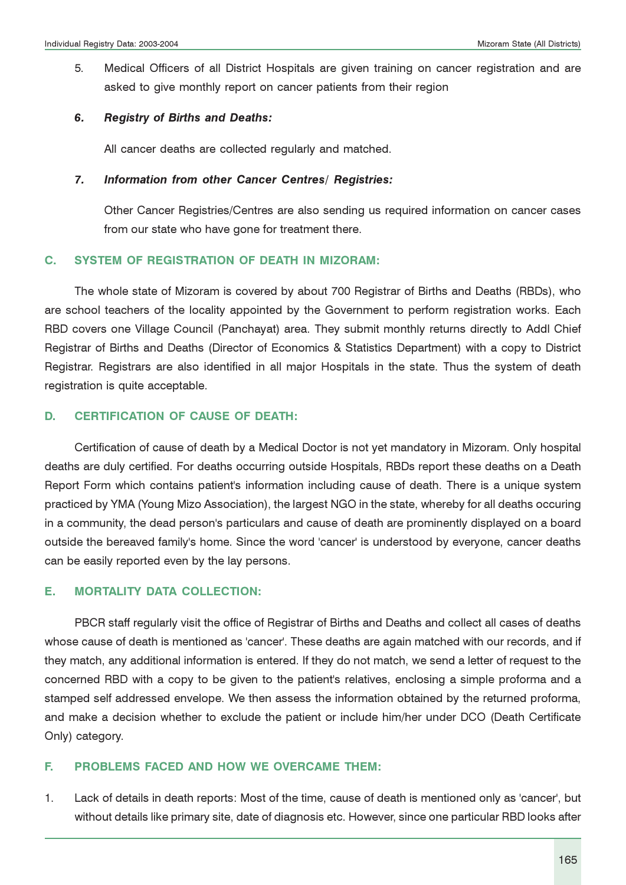5. Medical Officers of all District Hospitals are given training on cancer registration and are asked to give monthly report on cancer patients from their region

#### 6. Registry of Births and Deaths:

All cancer deaths are collected regularly and matched.

#### 7. Information from other Cancer Centres/ Registries:

Other Cancer Registries/Centres are also sending us required information on cancer cases from our state who have gone for treatment there.

#### C. SYSTEM OF REGISTRATION OF DEATH IN MIZORAM:

The whole state of Mizoram is covered by about 700 Registrar of Births and Deaths (RBDs), who are school teachers of the locality appointed by the Government to perform registration works. Each RBD covers one Village Council (Panchayat) area. They submit monthly returns directly to Addl Chief Registrar of Births and Deaths (Director of Economics & Statistics Department) with a copy to District Registrar. Registrars are also identified in all major Hospitals in the state. Thus the system of death registration is quite acceptable.

#### D. CERTIFICATION OF CAUSE OF DEATH:

Certification of cause of death by a Medical Doctor is not yet mandatory in Mizoram. Only hospital deaths are duly certified. For deaths occurring outside Hospitals, RBDs report these deaths on a Death Report Form which contains patient's information including cause of death. There is a unique system practiced by YMA (Young Mizo Association), the largest NGO in the state, whereby for all deaths occuring in a community, the dead person's particulars and cause of death are prominently displayed on a board outside the bereaved family's home. Since the word 'cancer' is understood by everyone, cancer deaths can be easily reported even by the lay persons.

#### E. MORTALITY DATA COLLECTION:

PBCR staff regularly visit the office of Registrar of Births and Deaths and collect all cases of deaths whose cause of death is mentioned as 'cancer'. These deaths are again matched with our records, and if they match, any additional information is entered. If they do not match, we send a letter of request to the concerned RBD with a copy to be given to the patient's relatives, enclosing a simple proforma and a stamped self addressed envelope. We then assess the information obtained by the returned proforma, and make a decision whether to exclude the patient or include him/her under DCO (Death Certificate Only) category.

#### F. PROBLEMS FACED AND HOW WE OVERCAME THEM:

1. Lack of details in death reports: Most of the time, cause of death is mentioned only as 'cancer', but without details like primary site, date of diagnosis etc. However, since one particular RBD looks after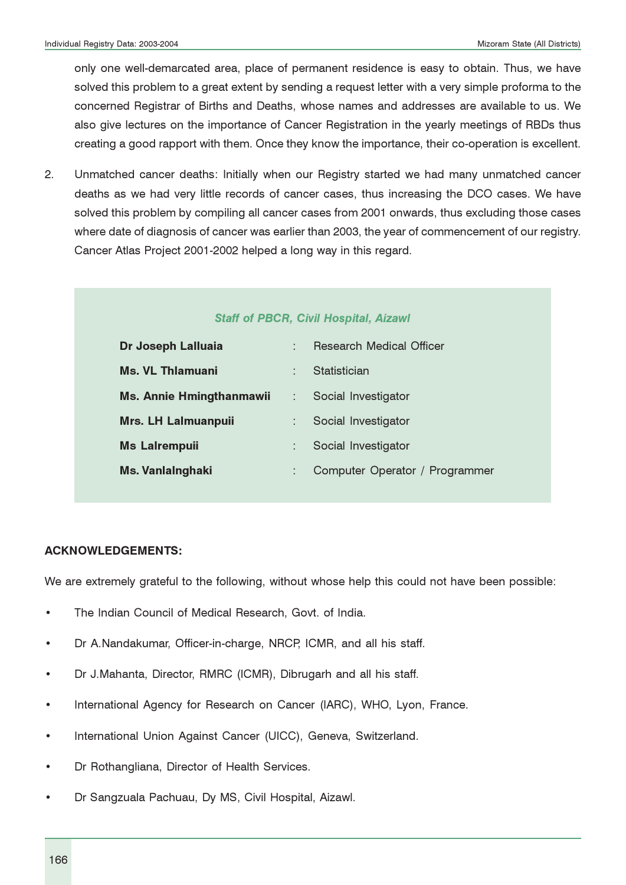only one well-demarcated area, place of permanent residence is easy to obtain. Thus, we have solved this problem to a great extent by sending a request letter with a very simple proforma to the concerned Registrar of Births and Deaths, whose names and addresses are available to us. We also give lectures on the importance of Cancer Registration in the yearly meetings of RBDs thus creating a good rapport with them. Once they know the importance, their co-operation is excellent.

2. Unmatched cancer deaths: Initially when our Registry started we had many unmatched cancer deaths as we had very little records of cancer cases, thus increasing the DCO cases. We have solved this problem by compiling all cancer cases from 2001 onwards, thus excluding those cases where date of diagnosis of cancer was earlier than 2003, the year of commencement of our registry. Cancer Atlas Project 2001-2002 helped a long way in this regard.

#### Staff of PBCR, Civil Hospital, Aizawl

| Dr Joseph Lalluaia              |   | <b>Research Medical Officer</b> |
|---------------------------------|---|---------------------------------|
| Ms. VL Thlamuani                | ٠ | Statistician                    |
| <b>Ms. Annie Hmingthanmawii</b> |   | Social Investigator             |
| <b>Mrs. LH Lalmuanpuii</b>      |   | Social Investigator             |
| <b>Ms Lalrempuii</b>            |   | Social Investigator             |
| <b>Ms. Vanlainghaki</b>         |   | Computer Operator / Programmer  |

#### ACKNOWLEDGEMENTS:

We are extremely grateful to the following, without whose help this could not have been possible:

- The Indian Council of Medical Research, Govt. of India.
- Dr A.Nandakumar, Officer-in-charge, NRCP, ICMR, and all his staff.
- Dr J.Mahanta, Director, RMRC (ICMR), Dibrugarh and all his staff.
- International Agency for Research on Cancer (IARC), WHO, Lyon, France.
- International Union Against Cancer (UICC), Geneva, Switzerland.
- Dr Rothangliana, Director of Health Services.
- Dr Sangzuala Pachuau, Dy MS, Civil Hospital, Aizawl.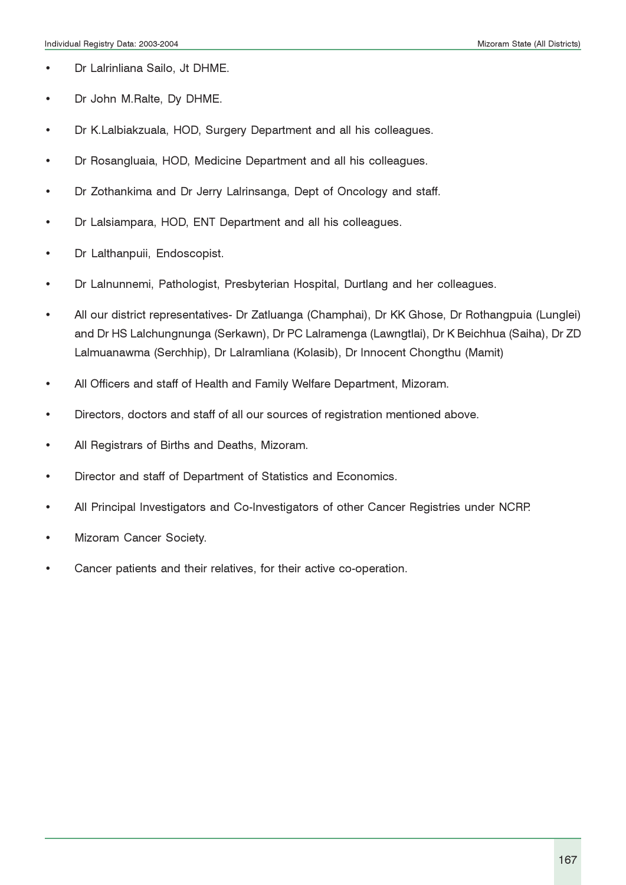- Dr Lalrinliana Sailo, Jt DHME.
- Dr John M.Ralte, Dy DHME.
- Dr K.Lalbiakzuala, HOD, Surgery Department and all his colleagues.
- Dr Rosangluaia, HOD, Medicine Department and all his colleagues.
- Dr Zothankima and Dr Jerry Lalrinsanga, Dept of Oncology and staff.
- Dr Lalsiampara, HOD, ENT Department and all his colleagues.
- Dr Lalthanpuii, Endoscopist.
- Dr Lalnunnemi, Pathologist, Presbyterian Hospital, Durtlang and her colleagues.
- All our district representatives- Dr Zatluanga (Champhai), Dr KK Ghose, Dr Rothangpuia (Lunglei) and Dr HS Lalchungnunga (Serkawn), Dr PC Lalramenga (Lawngtlai), Dr K Beichhua (Saiha), Dr ZD Lalmuanawma (Serchhip), Dr Lalramliana (Kolasib), Dr Innocent Chongthu (Mamit)
- All Officers and staff of Health and Family Welfare Department, Mizoram.
- Directors, doctors and staff of all our sources of registration mentioned above.
- All Registrars of Births and Deaths, Mizoram.
- Director and staff of Department of Statistics and Economics.
- All Principal Investigators and Co-Investigators of other Cancer Registries under NCRP.
- Mizoram Cancer Society.
- Cancer patients and their relatives, for their active co-operation.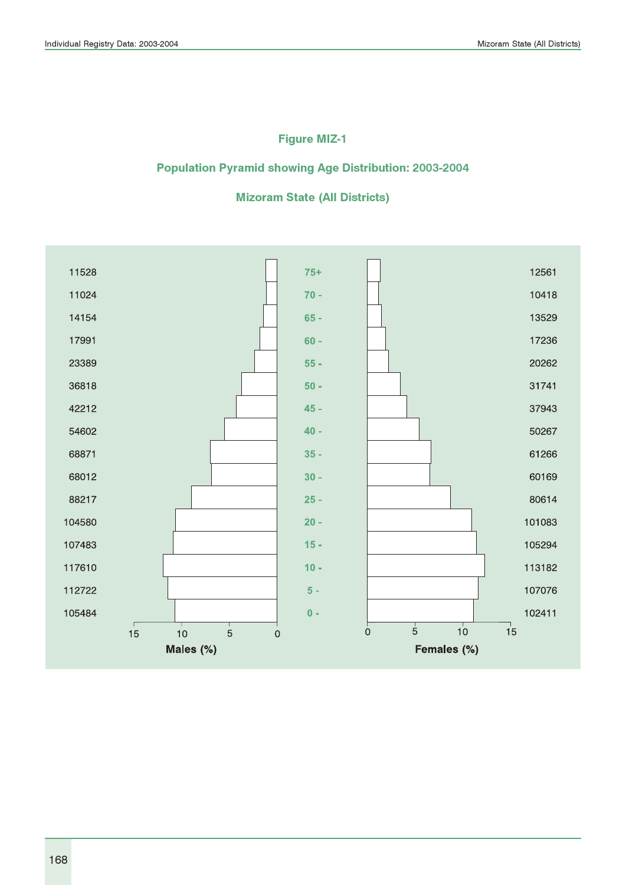### Figure MIZ-1

### Population Pyramid showing Age Distribution: 2003-2004

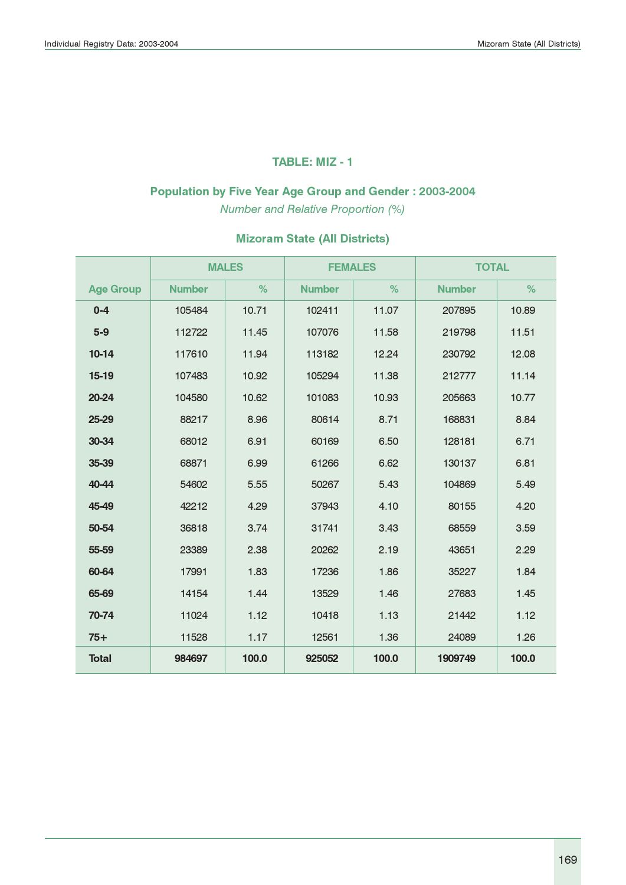#### TABLE: MIZ - 1

# Population by Five Year Age Group and Gender : 2003-2004

Number and Relative Proportion (%)

|                  |               | <b>MALES</b> | <b>FEMALES</b> |       | <b>TOTAL</b>  |       |
|------------------|---------------|--------------|----------------|-------|---------------|-------|
| <b>Age Group</b> | <b>Number</b> | %            | <b>Number</b>  | %     | <b>Number</b> | %     |
| $0 - 4$          | 105484        | 10.71        | 102411         | 11.07 | 207895        | 10.89 |
| $5-9$            | 112722        | 11.45        | 107076         | 11.58 | 219798        | 11.51 |
| $10-14$          | 117610        | 11.94        | 113182         | 12.24 | 230792        | 12.08 |
| $15-19$          | 107483        | 10.92        | 105294         | 11.38 | 212777        | 11.14 |
| 20-24            | 104580        | 10.62        | 101083         | 10.93 | 205663        | 10.77 |
| 25-29            | 88217         | 8.96         | 80614          | 8.71  | 168831        | 8.84  |
| 30-34            | 68012         | 6.91         | 60169          | 6.50  | 128181        | 6.71  |
| 35-39            | 68871         | 6.99         | 61266          | 6.62  | 130137        | 6.81  |
| 40-44            | 54602         | 5.55         | 50267          | 5.43  | 104869        | 5.49  |
| 45-49            | 42212         | 4.29         | 37943          | 4.10  | 80155         | 4.20  |
| 50-54            | 36818         | 3.74         | 31741          | 3.43  | 68559         | 3.59  |
| 55-59            | 23389         | 2.38         | 20262          | 2.19  | 43651         | 2.29  |
| 60-64            | 17991         | 1.83         | 17236          | 1.86  | 35227         | 1.84  |
| 65-69            | 14154         | 1.44         | 13529          | 1.46  | 27683         | 1.45  |
| 70-74            | 11024         | 1.12         | 10418          | 1.13  | 21442         | 1.12  |
| $75+$            | 11528         | 1.17         | 12561          | 1.36  | 24089         | 1.26  |
| <b>Total</b>     | 984697        | 100,0        | 925052         | 100.0 | 1909749       | 100.0 |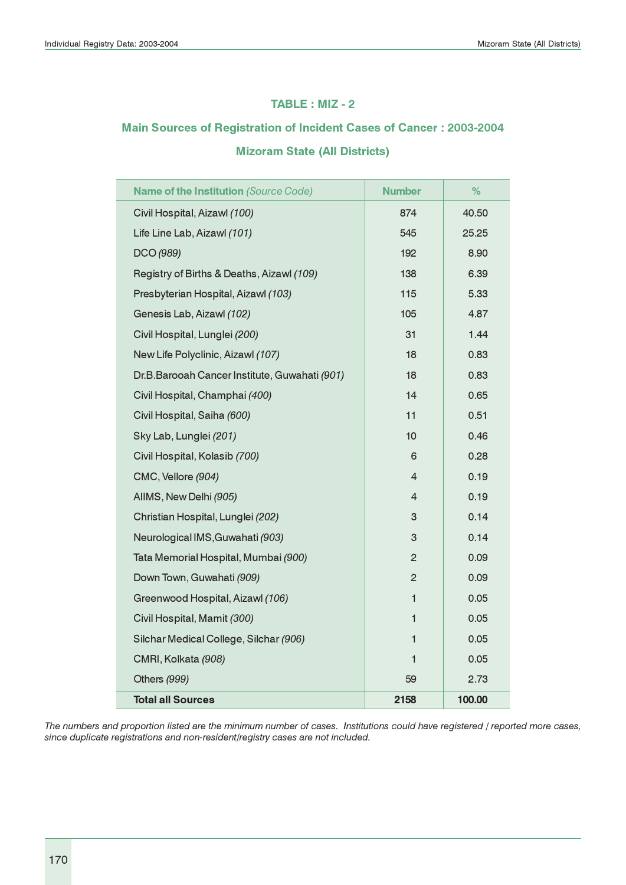#### TABLE : MIZ - 2

# Main Sources of Registration of Incident Cases of Cancer : 2003-2004 Mizoram State (All Districts)

| Name of the Institution (Source Code)         | <b>Number</b>   | %      |
|-----------------------------------------------|-----------------|--------|
| Civil Hospital, Aizawl (100)                  | 874             | 40.50  |
| Life Line Lab, Aizawl (101)                   | 545             | 25.25  |
| DCO (989)                                     | 192             | 8.90   |
| Registry of Births & Deaths, Aizawl (109)     | 138             | 6.39   |
| Presbyterian Hospital, Aizawl (103)           | 115             | 5.33   |
| Genesis Lab, Aizawl (102)                     | 105             | 4.87   |
| Civil Hospital, Lunglei (200)                 | 31              | 1.44   |
| New Life Polyclinic, Aizawl (107)             | 18              | 0.83   |
| Dr.B.Barooah Cancer Institute, Guwahati (901) | 18              | 0.83   |
| Civil Hospital, Champhai (400)                | 14              | 0.65   |
| Civil Hospital, Saiha (600)                   | 11              | 0.51   |
| Sky Lab, Lunglei (201)                        | 10 <sup>1</sup> | 0.46   |
| Civil Hospital, Kolasib (700)                 | 6               | 0.28   |
| CMC, Vellore (904)                            | 4               | 0.19   |
| AllMS, New Delhi (905)                        | $\overline{4}$  | 0.19   |
| Christian Hospital, Lunglei (202)             | 3               | 0.14   |
| Neurological IMS, Guwahati (903)              | 3               | 0.14   |
| Tata Memorial Hospital, Mumbai (900)          | $\overline{c}$  | 0.09   |
| Down Town, Guwahati (909)                     | $\overline{2}$  | 0.09   |
| Greenwood Hospital, Aizawl (106)              | 1               | 0.05   |
| Civil Hospital, Mamit (300)                   | 1               | 0.05   |
| Silchar Medical College, Silchar (906)        | 1               | 0.05   |
| CMRI, Kolkata (908)                           | 1               | 0.05   |
| Others (999)                                  | 59              | 2.73   |
| <b>Total all Sources</b>                      | 2158            | 100.00 |

The numbers and proportion listed are the minimum number of cases. Institutions could have registered / reported more cases, since duplicate registrations and non-resident/registry cases are not included.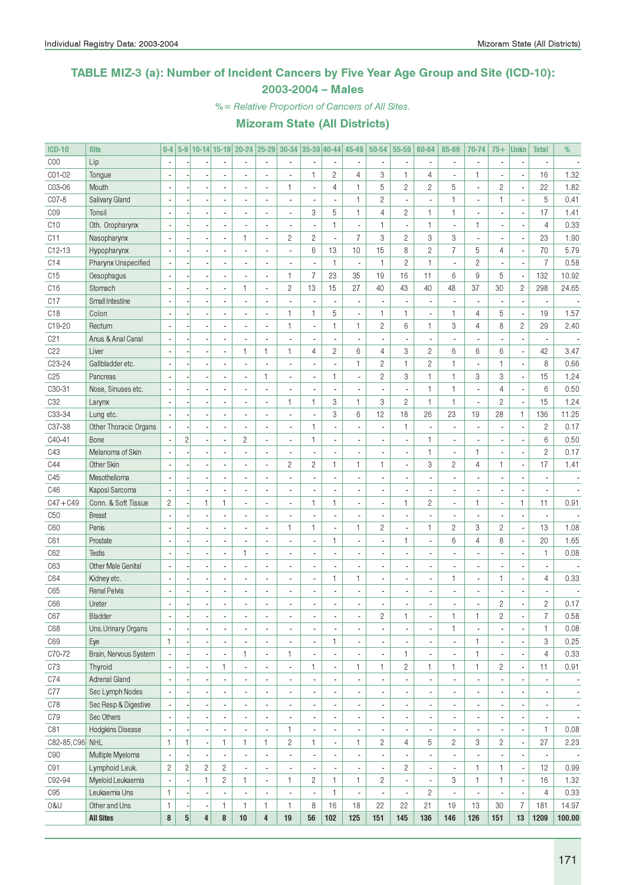### TABLE MIZ-3 (a): Number of Incident Cancers by Five Year Age Group and Site (ICD-10): 2003-2004 – Males

%= Relative Proportion of Cancers of All Sites.

| <b>ICD-10</b>       | <b>Site</b>               | $0-4$          |                |                         |                | 5-9 10-14 15-19 20-24 25-29 30-34 35-39 40-44 |                          |                          |                          |                          | 45-49          | 50-54          | 55-59                    | 60-64          | 65-69                    | 70-74                    | $75+$          | <b>Unkn</b>              | <b>Total</b>   | %                        |
|---------------------|---------------------------|----------------|----------------|-------------------------|----------------|-----------------------------------------------|--------------------------|--------------------------|--------------------------|--------------------------|----------------|----------------|--------------------------|----------------|--------------------------|--------------------------|----------------|--------------------------|----------------|--------------------------|
| COO                 | Lip                       |                |                |                         |                |                                               |                          |                          |                          |                          |                |                | $\overline{\phantom{a}}$ |                |                          | $\overline{\phantom{a}}$ |                |                          |                |                          |
| C01-02              | Tongue                    |                |                |                         |                |                                               |                          |                          | $\mathbf{1}$             | $\overline{c}$           | $\overline{4}$ | 3              | $\mathbf{1}$             | 4              |                          | $\mathbf{1}$             |                | Ĭ.                       | 16             | 1.32                     |
| C03-06              | Mouth                     |                |                |                         |                | $\overline{a}$                                |                          | 1                        | ÷,                       | 4                        | 1              | 5              | $\mathbf{2}$             | $\overline{c}$ | 5                        | $\blacksquare$           | $\mathbf{2}$   | ÷,                       | 22             | 1.82                     |
| CO7-8               | Salivary Gland            |                |                |                         |                |                                               |                          | Ĭ.                       |                          | $\overline{\phantom{a}}$ | 1              | $\mathbf{2}$   | $\blacksquare$           |                | 1                        | ٠                        | $\mathbf{1}$   | ł,                       | 5              | 0.41                     |
| CO <sub>9</sub>     | Tonsil                    |                |                |                         |                |                                               |                          | ä,                       | 3                        | 5                        | $\mathbf{1}$   | 4              | $\overline{c}$           | $\mathbf{1}$   | 1                        | $\overline{a}$           |                | Ĭ.                       | 17             | 1.41                     |
| C10                 | Oth. Oropharynx           |                |                |                         | ä,             |                                               |                          | ÷,                       |                          | $\mathbf{1}$             |                | $\mathbf{1}$   | $\overline{\phantom{a}}$ | $\mathbf{1}$   | $\overline{a}$           | $\mathbf{1}$             |                |                          | $\overline{4}$ | 0.33                     |
| C11                 | Nasopharynx               |                |                |                         | ä,             | $\mathbf{1}$                                  | $\overline{a}$           | $\overline{c}$           | $\overline{c}$           | $\overline{\phantom{a}}$ | $\overline{7}$ | 3              | $\overline{c}$           | 3              | 3                        | ÷,                       |                | ÷,                       | 23             | 1.90                     |
| $C12-13$            | Hypopharynx               |                |                |                         | ä,             |                                               |                          | ÷,                       | 6                        | 13                       | 10             | 15             | 8                        | $\overline{c}$ | $\overline{7}$           | 5                        | 4              | ł,                       | 70             | 5.79                     |
| C14                 | Pharynx Unspecified       |                |                |                         | ٠              |                                               |                          |                          | Ĭ.                       | $\mathbf{1}$             |                | $\mathbf{1}$   | $\overline{c}$           | $\mathbf{1}$   | ä,                       | $\overline{c}$           |                | ł,                       | $\overline{7}$ | 0.58                     |
| C15                 | Oesophagus                |                |                |                         | ÷,             |                                               |                          | 1                        | $\overline{7}$           | 23                       | 35             | 19             | 16                       | 11             | 6                        | 9                        | 5              | $\overline{\phantom{a}}$ | 132            | 10.92                    |
| C16                 | Stomach                   |                |                |                         | ÷,             | 1                                             | $\overline{\phantom{a}}$ | $\overline{c}$           | 13                       | 15                       | 27             | 40             | 43                       | 40             | 48                       | 37                       | 30             | $\sqrt{2}$               | 298            | 24.65                    |
| C17                 | Small Intestine           |                |                |                         | ÷,             |                                               |                          | Ĭ.                       |                          | Ĭ.                       |                |                | i,                       |                | $\overline{a}$           | $\frac{1}{2}$            |                | ł,                       |                |                          |
| C <sub>18</sub>     | Colon                     |                |                |                         | ä,             | ä,                                            |                          | 1                        | $\mathbf{1}$             | 5                        |                | $\mathbf{1}$   | $\mathbf{1}$             |                | 1                        | $\overline{4}$           | 5              | ÷,                       | 19             | 1.57                     |
| C19-20              | Rectum                    |                |                |                         | ä,             | $\blacksquare$                                |                          | 1                        | ÷,                       | $\mathbf{1}$             | 1              | $\overline{c}$ | 6                        | $\mathbf{1}$   | 3                        | $\overline{4}$           | 8              | $\mathbf{2}$             | 29             | 2.40                     |
| C <sub>21</sub>     | Anus & Anal Canal         |                |                |                         | ä,             |                                               |                          | ÷,                       |                          | $\overline{\phantom{a}}$ |                |                | $\blacksquare$           |                |                          |                          |                |                          |                |                          |
| C22                 | Liver                     |                |                |                         | ä,             | 1                                             | $\mathbf{1}$             | 1                        | 4                        | $\sqrt{2}$               | 6              | 4              | 3                        | $\overline{c}$ | 6                        | 6                        | 6              | ÷,                       | 42             | 3.47                     |
| C <sub>23</sub> -24 | Gallbladder etc.          |                |                |                         | ä,             |                                               |                          | ÷,                       |                          | $\blacksquare$           | 1              | $\mathbf{2}$   | $\mathbf{1}$             | $\overline{c}$ | 1                        | ٠                        | $\mathbf{1}$   | ÷,                       | 8              | 0.66                     |
|                     |                           |                |                |                         |                |                                               |                          |                          |                          |                          |                |                |                          |                |                          |                          |                |                          | 15             |                          |
| C <sub>25</sub>     | Pancreas                  |                |                |                         |                |                                               | $\mathbf{1}$             | $\overline{a}$           |                          | $\mathbf{1}$             |                | $\mathbf{2}$   | 3                        | $\mathbf{1}$   | 1                        | 3                        | 3              | ÷,                       |                | 1.24                     |
| C30-31              | Nose, Sinuses etc.        |                |                |                         | ä,             |                                               |                          |                          |                          | $\overline{\phantom{a}}$ |                |                | ÷,                       | $\mathbf{1}$   | 1                        | $\overline{a}$           | 4              | ł,                       | $6\phantom{1}$ | 0.50                     |
| C <sub>32</sub>     | Larynx                    |                |                |                         | ä,             | $\blacksquare$                                |                          | 1                        | $\mathbf{1}$             | 3                        | $\mathbf{1}$   | 3              | $\overline{c}$           | $\mathbf{1}$   | 1                        | $\overline{a}$           | $\overline{c}$ | ÷,                       | 15             | 1.24                     |
| C33-34              | Lung etc.                 |                |                |                         | ÷,             | $\blacksquare$                                |                          | ÷,                       |                          | 3                        | 6              | 12             | 18                       | 26             | 23                       | 19                       | 28             | $\mathbf{1}$             | 136            | 11.25                    |
| C37-38              | Other Thoracic Organs     |                |                |                         | ÷              |                                               |                          | $\overline{a}$           | $\mathbf{1}$             | $\blacksquare$           |                |                | $\mathbf{1}$             |                | $\overline{a}$           | $\frac{1}{2}$            |                | l,                       | $\overline{c}$ | 0.17                     |
| C40-41              | Bone                      |                | $\overline{2}$ |                         | ÷,             | $\mathbf{2}$                                  |                          | ÷,                       | $\mathbf{1}$             | $\blacksquare$           |                |                | $\blacksquare$           | $\mathbf{1}$   |                          | $\overline{a}$           |                | l,                       | $6\phantom{1}$ | 0.50                     |
| C43                 | Melanoma of Skin          |                |                |                         | ÷,             |                                               |                          | $\overline{a}$           |                          | $\overline{\phantom{a}}$ |                |                | $\blacksquare$           | $\mathbf{1}$   | Ĭ.                       | $\mathbf{1}$             |                | i,                       | $\overline{c}$ | 0.17                     |
| C44                 | Other Skin                |                |                |                         | ä,             | ä,                                            |                          | $\overline{c}$           | $\overline{c}$           | $\mathbf{1}$             | $\mathbf{1}$   | $\mathbf{1}$   | $\blacksquare$           | 3              | $\overline{c}$           | $\overline{4}$           | $\mathbf{1}$   | ÷,                       | 17             | 1.41                     |
| C45                 | Mesothelioma              |                |                |                         | ä,             | $\blacksquare$                                |                          | $\overline{a}$           |                          | $\blacksquare$           |                |                | $\overline{\phantom{a}}$ |                |                          | $\overline{\phantom{a}}$ |                |                          |                |                          |
| C46                 | Kaposi Sarcoma            |                |                |                         |                | $\blacksquare$                                |                          | $\overline{a}$           |                          | $\overline{\phantom{a}}$ |                |                | $\overline{\phantom{a}}$ |                |                          | ä,                       |                |                          |                |                          |
| $C47 + C49$         | Conn. & Soft Tissue       | $\overline{c}$ |                | $\mathbf{1}$            | $\mathbf{1}$   | $\blacksquare$                                |                          | ä,                       | $\mathbf{1}$             | $\mathbf{1}$             |                |                | $\mathbf{1}$             | $\mathbf{2}$   | ä,                       | 1                        |                | $\mathbf{1}$             | 11             | 0.91                     |
| C50                 | <b>Breast</b>             |                |                |                         |                |                                               |                          | Ĭ.                       |                          | $\overline{\phantom{a}}$ |                |                | $\blacksquare$           |                |                          | ÷,                       |                |                          |                |                          |
| C60                 | Penis                     |                |                |                         |                |                                               |                          | $\mathbf{1}$             | $\mathbf{1}$             | $\overline{\phantom{a}}$ | $\mathbf{1}$   | $\mathbf{2}$   | $\blacksquare$           | $\mathbf{1}$   | $\overline{c}$           | 3                        | $\sqrt{2}$     | Ĭ.                       | 13             | 1.08                     |
| C61                 | Prostate                  |                |                |                         | ä,             |                                               |                          | $\overline{a}$           |                          | $\mathbf{1}$             |                |                | $\mathbf{1}$             |                | 6                        | $\overline{4}$           | 8              | ł,                       | 20             | 1.65                     |
| C62                 | <b>Testis</b>             |                |                |                         | ÷,             | 1                                             |                          | ä,                       |                          | $\overline{\phantom{a}}$ |                |                | $\blacksquare$           |                |                          | $\overline{a}$           |                |                          | $\mathbf{1}$   | 0.08                     |
| C63                 | <b>Other Male Genital</b> |                |                |                         | ÷,             |                                               |                          | $\overline{a}$           |                          | $\blacksquare$           |                |                | $\overline{\phantom{a}}$ |                |                          | ٠                        |                |                          |                |                          |
| C64                 | Kidney etc.               |                |                |                         | ÷,             | $\blacksquare$                                |                          | ÷,                       |                          | $\mathbf{1}$             | 1              |                | $\blacksquare$           |                | 1                        | $\frac{1}{2}$            | $\mathbf{1}$   | l,                       | $\overline{4}$ | 0.33                     |
| C65                 | <b>Renal Pelvis</b>       |                |                |                         |                | $\overline{a}$                                |                          | $\overline{a}$           | ä,                       | $\blacksquare$           |                |                | $\blacksquare$           |                |                          | $\overline{a}$           |                |                          |                |                          |
| C66                 | Ureter                    |                |                |                         |                | $\blacksquare$                                |                          | ä,                       | ٠                        | ä,                       |                |                |                          |                |                          | $\overline{a}$           | $\mathbf{2}$   |                          | $\overline{c}$ | 0.17                     |
| C67                 | Bladder                   |                |                |                         |                |                                               |                          |                          |                          |                          |                | 2              | 1                        |                |                          | 1                        | $\overline{c}$ |                          | $\overline{7}$ | 0.58                     |
| C68                 | Uns.Urinary Organs        | $\blacksquare$ |                |                         |                | $\overline{\phantom{a}}$                      | $\blacksquare$           | $\overline{\phantom{a}}$ | $\overline{\phantom{a}}$ | $\overline{\phantom{a}}$ |                |                | $\overline{\phantom{a}}$ |                | 1                        | $\overline{a}$           |                | $\overline{a}$           | $\mathbf{1}$   | 0.08                     |
| C69                 | Eye                       | $\mathbf{1}$   |                |                         |                | ä,                                            | $\blacksquare$           | $\overline{\phantom{a}}$ | $\frac{1}{2}$            | $\mathbf{1}$             |                | ٠              | $\overline{\phantom{a}}$ |                | $\frac{1}{2}$            | $\mathbf{1}$             |                | ÷,                       | 3              | 0.25                     |
| C70-72              | Brain, Nervous System     |                |                |                         |                | $\mathbf{1}$                                  | $\blacksquare$           | 1                        |                          | $\overline{\phantom{a}}$ |                |                | 1                        |                | $\overline{a}$           | $\mathbf{1}$             |                | ÷,                       | $\overline{4}$ | 0.33                     |
| C73                 | Thyroid                   |                |                |                         | 1              | $\blacksquare$                                | $\overline{\phantom{a}}$ | $\blacksquare$           | 1                        | $\overline{\phantom{a}}$ | $\mathbf{1}$   | $\mathbf{1}$   | $\mathbf{2}$             | 1              | 1                        | $\mathbf{1}$             | $\mathbf{2}$   | ÷,                       | 11             | 0.91                     |
| C74                 | <b>Adrenal Gland</b>      |                |                |                         |                | $\overline{\phantom{a}}$                      | $\blacksquare$           | $\overline{\phantom{a}}$ |                          | $\overline{\phantom{a}}$ |                |                | $\blacksquare$           |                | $\overline{a}$           | ÷,                       |                | ÷,                       |                | $\overline{\phantom{a}}$ |
| C77                 | Sec Lymph Nodes           |                |                |                         |                | ٠                                             | $\blacksquare$           | $\overline{\phantom{a}}$ |                          | $\overline{\phantom{a}}$ |                |                | $\overline{\phantom{a}}$ |                | $\overline{\phantom{a}}$ | $\blacksquare$           |                | l,                       |                | $\overline{\phantom{a}}$ |
| C78                 | Sec Resp & Digestive      |                |                |                         |                | ٠                                             | $\blacksquare$           | $\overline{\phantom{a}}$ |                          | $\overline{\phantom{a}}$ |                |                | $\overline{\phantom{a}}$ |                | $\overline{\phantom{a}}$ | $\blacksquare$           |                | ÷,                       |                |                          |
| C79                 | Sec Others                |                |                |                         |                | $\blacksquare$                                | $\blacksquare$           |                          |                          | $\overline{\phantom{a}}$ |                |                |                          |                |                          |                          |                |                          |                | $\overline{\phantom{a}}$ |
|                     |                           |                |                |                         |                |                                               |                          |                          |                          | $\overline{\phantom{a}}$ |                |                | $\overline{\phantom{a}}$ |                | $\overline{\phantom{a}}$ | $\blacksquare$           |                | ×,                       |                | $\overline{\phantom{a}}$ |
| C81                 | Hodgkins Disease          |                |                |                         |                |                                               |                          | 1                        |                          |                          |                |                | $\overline{\phantom{a}}$ |                | $\overline{a}$           | $\overline{\phantom{a}}$ |                | ÷,                       | $\mathbf{1}$   | 0.08                     |
| C82-85, C96 NHL     |                           | $\mathbf{1}$   | $\mathbf{1}$   |                         | $\mathbf{1}$   | $\mathbf{1}$                                  | $\mathbf{1}$             | $\overline{c}$           | $\mathbf{1}$             | $\overline{\phantom{a}}$ | 1              | $\overline{c}$ | 4                        | 5              | $\overline{c}$           | 3                        | $\overline{c}$ | ÷,                       | 27             | 2.23                     |
| C90                 | Multiple Myeloma          |                |                |                         |                | $\blacksquare$                                |                          | $\overline{\phantom{a}}$ |                          | $\overline{\phantom{a}}$ |                |                |                          |                | $\overline{a}$           |                          |                | ÷,                       |                | $\overline{\phantom{a}}$ |
| C91                 | Lymphoid Leuk.            | $\overline{c}$ | $\overline{c}$ | $\sqrt{2}$              | $\overline{2}$ | ÷,                                            | $\blacksquare$           | $\overline{\phantom{a}}$ |                          | $\overline{\phantom{a}}$ |                |                | $\mathbf{2}$             |                | $\frac{1}{2}$            | $\mathbf{1}$             | $\mathbf{1}$   | ÷,                       | 12             | 0.99                     |
| C92-94              | Myeloid Leukaemia         |                |                | $\mathbf{1}$            | $\overline{c}$ | $\mathbf{1}$                                  | $\blacksquare$           | 1                        | $\overline{c}$           | $\mathbf{1}$             | 1              | $\overline{c}$ | ÷.                       |                | 3                        | $\mathbf{1}$             | $\mathbf{1}$   | $\overline{\phantom{a}}$ | 16             | 1.32                     |
| C95                 | Leukaemia Uns             | $\mathbf{1}$   |                |                         |                | $\blacksquare$                                | $\blacksquare$           | $\overline{a}$           | $\blacksquare$           | $\mathbf{1}$             |                |                | ÷,                       | $\overline{c}$ | ÷,                       | $\overline{a}$           |                | ÷,                       | $\overline{4}$ | 0.33                     |
| 0&U                 | Other and Uns             | $\mathbf{1}$   |                |                         | $\mathbf{1}$   | $\mathbf{1}$                                  | $\mathbf{1}$             | 1                        | 8                        | 16                       | 18             | 22             | 22                       | 21             | 19                       | 13                       | 30             | $\overline{7}$           | 181            | 14.97                    |
|                     | <b>All Sites</b>          | 8              | $\bf 5$        | $\overline{\mathbf{4}}$ | 8              | 10                                            | $\overline{\mathbf{4}}$  | 19                       | 56                       | 102                      | 125            | 151            | 145                      | 136            | 146                      | 126                      | 151            | 13                       | 1209           | 100.00                   |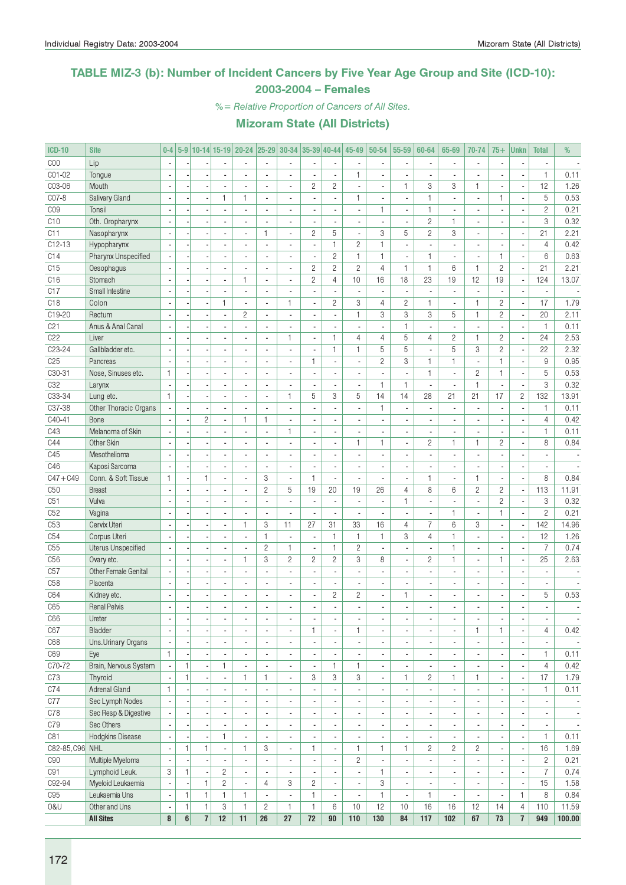### TABLE MIZ-3 (b): Number of Incident Cancers by Five Year Age Group and Site (ICD-10): 2003-2004 – Females

%= Relative Proportion of Cancers of All Sites.

| <b>ICD-10</b>   | <b>Site</b>               | $0-4$                       |                  |                |                          |                          |                          | 5-9 10-14 15-19 20-24 25-29 30-34 35-39 40-44 |                              |                          | 45-49                    | 50-54                    | 55-59                    | 60-64                    | 65-69                        | 70-74                    | $75+$                    | <b>Unkn</b>              | <b>Total</b>             | %                        |
|-----------------|---------------------------|-----------------------------|------------------|----------------|--------------------------|--------------------------|--------------------------|-----------------------------------------------|------------------------------|--------------------------|--------------------------|--------------------------|--------------------------|--------------------------|------------------------------|--------------------------|--------------------------|--------------------------|--------------------------|--------------------------|
| COO             | Lip                       | $\overline{\phantom{a}}$    |                  |                |                          |                          |                          | ÷,                                            |                              |                          |                          |                          | $\overline{\phantom{a}}$ |                          |                              | ä,                       |                          |                          |                          |                          |
| C01-02          | Tongue                    |                             |                  |                |                          |                          |                          | ä,                                            |                              | $\blacksquare$           | $\mathbf{1}$             |                          |                          |                          |                              |                          |                          |                          | $\mathbf{1}$             | 0.11                     |
| C03-06          | Mouth                     | ÷,                          |                  |                | ä,                       | $\blacksquare$           |                          | $\blacksquare$                                | $\overline{c}$               | $\overline{c}$           | $\sim$                   | ä,                       | 1                        | 3                        | 3                            | 1                        | $\overline{\phantom{a}}$ | ÷,                       | 12                       | 1.26                     |
| C07-8           | Salivary Gland            | $\overline{\phantom{a}}$    |                  |                | $\mathbf{1}$             | $\mathbf{1}$             | $\overline{a}$           | $\overline{\phantom{a}}$                      | ä,                           | $\blacksquare$           | $\mathbf{1}$             | ä,                       | $\overline{\phantom{a}}$ | $\mathbf{1}$             | $\overline{a}$               | $\blacksquare$           | $\mathbf{1}$             | $\blacksquare$           | 5                        | 0.53                     |
| C <sub>09</sub> | Tonsil                    | $\overline{\phantom{a}}$    |                  |                | ä,                       | $\blacksquare$           |                          | $\overline{\phantom{a}}$                      | ٠                            | $\blacksquare$           | $\overline{\phantom{a}}$ | $\mathbf{1}$             | $\overline{\phantom{a}}$ | $\mathbf{1}$             | ä,                           | $\blacksquare$           | $\blacksquare$           | $\overline{\phantom{a}}$ | $\overline{c}$           | 0.21                     |
| C10             | Oth. Oropharynx           |                             |                  |                |                          |                          |                          |                                               |                              |                          |                          |                          |                          | $\overline{c}$           | 1                            | $\overline{a}$           |                          |                          | 3                        | 0.32                     |
| C11             | Nasopharynx               | $\overline{a}$              |                  |                | $\overline{a}$           | $\overline{\phantom{a}}$ | $\mathbf{1}$             | $\blacksquare$                                | $\mathbf{2}$                 | 5                        | $\overline{\phantom{a}}$ | 3                        | 5                        | $\overline{c}$           | 3                            | ä,                       | $\overline{\phantom{a}}$ | ÷,                       | 21                       | 2.21                     |
| C12-13          | Hypopharynx               |                             |                  |                | ä,                       | $\overline{\phantom{a}}$ | $\overline{a}$           | ÷,                                            | ÷,                           | $\mathbf{1}$             | $\overline{c}$           | $\mathbf{1}$             | $\blacksquare$           |                          |                              | $\overline{a}$           |                          |                          | $\overline{4}$           | 0.42                     |
| C14             | Pharynx Unspecified       |                             |                  |                |                          | $\overline{a}$           |                          | $\blacksquare$                                | $\overline{\phantom{a}}$     | $\overline{c}$           | $\mathbf{1}$             | $\mathbf{1}$             | $\overline{\phantom{a}}$ | $\mathbf{1}$             |                              | $\overline{\phantom{a}}$ | $\mathbf{1}$             | $\overline{a}$           | 6                        | 0.63                     |
| C15             | Oesophagus                | $\mathcal{L}_{\mathcal{A}}$ |                  |                | ä,                       | $\blacksquare$           | $\overline{\phantom{a}}$ | $\blacksquare$                                | $\mathbf{2}$                 | $\overline{c}$           | $\overline{c}$           | $\overline{4}$           | $\mathbf{1}$             | $\mathbf{1}$             | 6                            | $\mathbf{1}$             | $\overline{c}$           | ÷,                       | 21                       | 2.21                     |
| C16             | Stomach                   | $\overline{\phantom{a}}$    |                  |                | ä,                       | $\mathbf{1}$             | $\overline{\phantom{a}}$ | ä,                                            | $\overline{c}$               | $\overline{4}$           | 10                       | 16                       | 18                       | 23                       | 19                           | 12                       | 19                       | ÷,                       | 124                      | 13.07                    |
| C17             | Small Intestine           |                             |                  |                | ٠                        | $\overline{\phantom{a}}$ | $\blacksquare$           | $\overline{a}$                                | $\overline{\phantom{a}}$     | $\overline{\phantom{a}}$ | $\overline{\phantom{a}}$ | ٠                        | $\overline{\phantom{a}}$ |                          | $\overline{\phantom{a}}$     | $\overline{a}$           |                          | ٠                        | $\overline{\phantom{a}}$ |                          |
| C <sub>18</sub> | Colon                     | ÷,                          |                  |                | $\mathbf{1}$             | ÷,                       |                          | 1                                             | ÷,                           | $\mathbf{2}$             | 3                        | $\overline{4}$           | $\overline{c}$           | $\mathbf{1}$             | $\overline{a}$               | $\mathbf{1}$             | $\overline{c}$           | ÷,                       | 17                       | 1.79                     |
| C19-20          | Rectum                    |                             |                  |                | ä,                       | $\overline{c}$           | $\overline{a}$           | $\mathbf{r}$                                  | ÷.                           | $\overline{\phantom{a}}$ | $\mathbf{1}$             | 3                        | 3                        | 3                        | 5                            | $\mathbf{1}$             | $\overline{c}$           | $\overline{\phantom{a}}$ | 20                       | 2.11                     |
| C21             | Anus & Anal Canal         |                             |                  |                |                          | $\blacksquare$           |                          |                                               |                              | $\overline{\phantom{a}}$ |                          |                          | 1                        |                          |                              | $\overline{a}$           |                          |                          | $\mathbf{1}$             | 0.11                     |
| C22             | Liver                     | $\overline{a}$              |                  |                |                          | $\overline{a}$           |                          | 1                                             | L                            | $\mathbf{1}$             | $\overline{4}$           | $\overline{4}$           | 5                        | $\overline{4}$           | $\overline{2}$               | $\mathbf{1}$             | $\overline{c}$           | ÷,                       | 24                       | 2.53                     |
| C23-24          | Gallbladder etc.          | ÷,                          |                  |                | $\overline{a}$           | $\overline{\phantom{a}}$ | $\overline{a}$           | $\overline{\phantom{a}}$                      | ä,                           | $\mathbf{1}$             | $\mathbf{1}$             | 5                        | 5                        | $\overline{a}$           | 5                            | 3                        | $\overline{c}$           | ÷,                       | 22                       | 2.32                     |
| C25             | Pancreas                  | $\sim$                      |                  |                | ä,                       | $\blacksquare$           |                          | $\blacksquare$                                | $\mathbf{1}$                 | $\overline{\phantom{a}}$ | $\blacksquare$           | $\mathbf{2}$             | 3                        | $\mathbf{1}$             | 1                            | ÷,                       | $\mathbf{1}$             | $\overline{\phantom{a}}$ | 9                        | 0.95                     |
| C30-31          | Nose, Sinuses etc.        | $\mathbf{1}$                |                  |                |                          | $\overline{\phantom{a}}$ |                          |                                               | $\overline{\phantom{a}}$     | $\overline{\phantom{a}}$ |                          |                          | $\blacksquare$           | $\mathbf{1}$             | ä,                           | $\mathbf{2}$             | $\mathbf{1}$             | $\overline{\phantom{a}}$ | 5                        | 0.53                     |
| C32             | Larynx                    | ÷.                          |                  |                | ä,                       | ä,                       |                          | Ĭ.                                            | ä,                           | $\overline{\phantom{a}}$ | $\overline{\phantom{a}}$ | $\mathbf{1}$             | $\mathbf{1}$             | $\overline{\phantom{a}}$ | ä,                           | $\mathbf{1}$             | $\overline{\phantom{a}}$ | $\overline{\phantom{a}}$ | 3                        | 0.32                     |
| C33-34          | Lung etc.                 | $\mathbf{1}$                |                  |                | ÷,                       | $\overline{\phantom{a}}$ | $\overline{a}$           | $\mathbf{1}$                                  | 5                            | 3                        | 5                        | 14                       | 14                       | 28                       | 21                           | 21                       | 17                       | $\overline{c}$           | 132                      | 13.91                    |
| C37-38          | Other Thoracic Organs     |                             |                  |                | ä,                       | $\overline{a}$           |                          | $\overline{a}$                                |                              | $\overline{\phantom{a}}$ |                          | $\mathbf{1}$             | $\blacksquare$           |                          | ä,                           | $\overline{\phantom{a}}$ |                          | ł,                       | $\mathbf{1}$             | 0.11                     |
| C40-41          | Bone                      | $\mathcal{L}_{\mathcal{A}}$ |                  | $\overline{c}$ | ÷,                       | $\mathbf{1}$             | $\mathbf{1}$             | $\overline{a}$                                | $\overline{a}$               | $\overline{\phantom{a}}$ |                          |                          | $\blacksquare$           |                          | ÷.                           | $\overline{a}$           |                          | ÷,                       | $\overline{4}$           | 0.42                     |
| C43             | Melanoma of Skin          | $\mathbf{r}$                |                  |                | $\overline{a}$           | $\overline{a}$           | $\overline{\phantom{a}}$ | $\mathbf{1}$                                  | ä,                           | $\overline{\phantom{a}}$ | $\overline{\phantom{a}}$ | $\overline{a}$           | $\overline{\phantom{a}}$ | $\overline{\phantom{a}}$ | ÷.                           | $\overline{\phantom{a}}$ | $\overline{\phantom{a}}$ | $\overline{\phantom{a}}$ | $\mathbf{1}$             | 0.11                     |
| C44             | Other Skin                | $\overline{a}$              |                  |                | ä,                       | ä,                       |                          | $\blacksquare$                                | ٠                            | $\overline{\phantom{a}}$ | 1.                       | $\mathbf{1}$             | $\overline{\phantom{a}}$ | 2                        | 1                            | $\mathbf{1}$             | $\overline{c}$           | $\overline{\phantom{a}}$ | 8                        | 0.84                     |
| C45             | Mesothelioma              |                             |                  |                | ×,                       | $\overline{\phantom{a}}$ |                          |                                               | ٠                            | $\overline{a}$           |                          |                          | $\blacksquare$           |                          |                              | $\overline{a}$           |                          | ×,                       |                          |                          |
| C46             | Kaposi Sarcoma            |                             |                  |                | $\overline{a}$           | $\overline{a}$           | $\overline{a}$           | $\overline{a}$                                | ä,                           | $\overline{\phantom{a}}$ | $\overline{a}$           |                          | $\overline{\phantom{a}}$ | $\overline{a}$           | ä,                           | $\overline{\phantom{a}}$ |                          | $\overline{\phantom{a}}$ | $\overline{\phantom{a}}$ |                          |
| $C47 + C49$     | Conn. & Soft Tissue       | $\mathbf{1}$                |                  | $\mathbf{1}$   | ä,                       | $\overline{a}$           | 3                        | $\overline{a}$                                | $\mathbf{1}$                 | $\overline{\phantom{a}}$ |                          |                          | $\blacksquare$           | $\mathbf{1}$             |                              | $\mathbf{1}$             |                          | $\overline{a}$           | 8                        | 0.84                     |
| C50             | <b>Breast</b>             |                             |                  |                | $\overline{a}$           | $\blacksquare$           | $\overline{2}$           | 5                                             | 19                           | 20                       | 19                       | 26                       | $\overline{4}$           | 8                        | 6                            | $\overline{c}$           | $\overline{c}$           | $\overline{\phantom{a}}$ | 113                      | 11.91                    |
| C51             | Vulva                     | ÷,                          |                  |                | ä,                       | ä,                       |                          | $\overline{\phantom{a}}$                      | ÷,                           | $\blacksquare$           | ÷.                       | ä,                       | $\mathbf{1}$             | $\overline{a}$           | ÷.                           | ÷,                       | $\overline{c}$           | ÷,                       | 3                        | 0.32                     |
| C52             | Vagina                    | $\sim$                      |                  |                | ä,                       | $\overline{\phantom{a}}$ | $\overline{a}$           | $\overline{a}$                                | ÷,                           | $\overline{\phantom{a}}$ | $\sim$                   | ä,                       | $\overline{\phantom{a}}$ | $\overline{a}$           | 1                            | $\blacksquare$           | $\mathbf{1}$             | $\blacksquare$           | $\overline{c}$           | 0.21                     |
| C <sub>53</sub> | Cervix Uteri              |                             |                  |                | ٠                        | 1                        | 3                        | 11                                            | 27                           | 31                       | 33                       | 16                       | $\overline{4}$           | $\overline{7}$           | 6                            | 3                        | $\blacksquare$           | $\overline{\phantom{a}}$ | 142                      | 14.96                    |
| C54             | Corpus Uteri              |                             |                  |                |                          | $\overline{a}$           | $\mathbf{1}$             | ÷,                                            | $\overline{a}$               | $\mathbf{1}$             | $\mathbf{1}$             | $\mathbf{1}$             | 3                        | $\overline{4}$           | 1                            | ä,                       |                          | ÷,                       | 12                       | 1.26                     |
| C55             | <b>Uterus Unspecified</b> |                             |                  |                | $\overline{\phantom{a}}$ | ÷.                       | $\overline{c}$           | $\mathbf{1}$                                  | ä,                           | $\mathbf{1}$             | $\overline{c}$           | ÷,                       | $\mathbf{r}$             |                          | $\mathbf{1}$                 | $\overline{a}$           |                          | $\overline{\phantom{a}}$ | $\overline{7}$           | 0.74                     |
| C <sub>56</sub> | Ovary etc.                |                             |                  |                | ä,                       | 1                        | 3                        | $\overline{c}$                                | $\mathbf{2}$                 | $\mathbf{2}$             | 3                        | 8                        | $\blacksquare$           | $\mathbf{2}$             | 1                            | ä,                       | $\mathbf{1}$             | ÷,                       | 25                       | 2.63                     |
| C57             | Other Female Genital      |                             |                  |                | $\overline{a}$           |                          |                          | $\overline{a}$                                |                              | $\overline{\phantom{a}}$ |                          |                          | $\blacksquare$           |                          |                              | $\blacksquare$           |                          | ×,                       |                          |                          |
| C <sub>58</sub> | Placenta                  | $\overline{\phantom{a}}$    |                  |                | ä,                       | $\overline{a}$           | $\overline{a}$           | $\blacksquare$                                | ä,                           | $\overline{\phantom{a}}$ | $\sim$                   |                          | $\overline{\phantom{a}}$ | ÷,                       | ä,                           | $\blacksquare$           | $\overline{\phantom{a}}$ | $\overline{\phantom{a}}$ | $\blacksquare$           |                          |
| C64             | Kidney etc.               | $\overline{\phantom{a}}$    |                  |                | $\overline{\phantom{a}}$ | $\overline{a}$           | $\blacksquare$           | $\blacksquare$                                | ä,                           | $\overline{c}$           | $\overline{c}$           | $\overline{\phantom{a}}$ | 1                        | $\overline{a}$           | ٠                            | $\blacksquare$           | $\overline{\phantom{a}}$ | $\overline{\phantom{a}}$ | 5                        | 0.53                     |
| C65             | <b>Renal Pelvis</b>       | $\overline{\phantom{a}}$    |                  |                |                          |                          |                          |                                               | $\overline{a}$               | ä,                       | ä,                       |                          | ٠                        |                          |                              |                          |                          |                          | $\blacksquare$           |                          |
| C66             | Ureter                    | ٠                           |                  |                |                          | $\overline{\phantom{a}}$ |                          | $\overline{\phantom{a}}$                      | $\qquad \qquad \blacksquare$ | $\overline{\phantom{a}}$ | $\overline{\phantom{a}}$ | ٠                        | ٠                        | $\overline{\phantom{a}}$ | $\qquad \qquad \blacksquare$ | ٠                        | $\overline{\phantom{a}}$ | $\overline{\phantom{a}}$ | $\overline{\phantom{a}}$ | $\overline{\phantom{a}}$ |
| C67             | Bladder                   | L,                          |                  |                | ä,                       | $\overline{\phantom{a}}$ | $\overline{\phantom{a}}$ | $\blacksquare$                                | $\mathbf{1}$                 | $\overline{\phantom{a}}$ | $\mathbf{1}$             | ä,                       | $\blacksquare$           | $\overline{\phantom{a}}$ | $\overline{\phantom{a}}$     | $\mathbf{1}$             | $\mathbf{1}$             | ÷,                       | $\overline{4}$           | 0.42                     |
| C68             | Uns.Urinary Organs        | $\blacksquare$              |                  |                | ä,                       | $\overline{\phantom{a}}$ | $\overline{\phantom{a}}$ | $\blacksquare$                                | $\overline{\phantom{a}}$     | $\overline{\phantom{a}}$ | $\overline{\phantom{a}}$ | $\overline{a}$           | $\overline{\phantom{a}}$ | ä,                       | ÷.                           | $\overline{a}$           |                          | ÷,                       |                          | $\overline{\phantom{a}}$ |
| C69             | Eye                       | $\mathbf{1}$                |                  |                |                          | $\overline{\phantom{a}}$ | $\blacksquare$           | $\blacksquare$                                |                              | $\overline{\phantom{a}}$ |                          |                          | $\overline{\phantom{a}}$ |                          | $\overline{\phantom{a}}$     | ٠                        |                          | $\overline{\phantom{a}}$ | 1                        | 0.11                     |
| C70-72          | Brain, Nervous System     | $\mathcal{L}$               | $\mathbf{1}$     |                | $\mathbf{1}$             | $\overline{\phantom{a}}$ | $\blacksquare$           | ä,                                            | $\overline{\phantom{a}}$     | $\mathbf{1}$             | $\mathbf{1}$             | $\overline{a}$           | $\overline{\phantom{a}}$ | $\overline{a}$           | $\blacksquare$               |                          |                          | l,                       | $\overline{4}$           | 0.42                     |
| C73             | Thyroid                   | $\overline{\phantom{a}}$    | $\mathbf{1}$     |                | $\overline{\phantom{a}}$ | 1                        | $\mathbf{1}$             | $\overline{\phantom{a}}$                      | 3                            | 3                        | 3                        | $\overline{\phantom{a}}$ | $\mathbf{1}$             | $\overline{c}$           | 1                            | 1                        | $\blacksquare$           | $\overline{\phantom{a}}$ | 17                       | 1.79                     |
| C74             | <b>Adrenal Gland</b>      | $\mathbf{1}$                |                  |                | $\overline{\phantom{a}}$ | $\blacksquare$           | $\blacksquare$           | $\overline{\phantom{a}}$                      | ÷,                           | $\blacksquare$           | $\blacksquare$           | $\overline{\phantom{a}}$ | $\overline{\phantom{a}}$ | $\blacksquare$           | $\overline{\phantom{a}}$     | ä,                       | $\blacksquare$           | $\blacksquare$           | $\mathbf{1}$             | 0.11                     |
| C77             | Sec Lymph Nodes           |                             |                  |                | ٠                        | ٠                        | $\overline{\phantom{a}}$ | $\overline{\phantom{a}}$                      | $\overline{\phantom{a}}$     | $\overline{\phantom{a}}$ | $\overline{\phantom{a}}$ | ٠                        | $\overline{\phantom{a}}$ | ×,                       | $\overline{\phantom{0}}$     | $\overline{\phantom{a}}$ |                          | ٠                        | $\overline{\phantom{a}}$ | $\overline{\phantom{a}}$ |
| C78             | Sec Resp & Digestive      |                             |                  |                | ä,                       | $\overline{\phantom{a}}$ |                          | $\overline{a}$                                | $\frac{1}{2}$                | ÷,                       |                          |                          | $\overline{\phantom{a}}$ |                          | $\overline{\phantom{a}}$     | $\overline{\phantom{a}}$ |                          | ÷,                       |                          | $\overline{\phantom{a}}$ |
| C79             | Sec Others                |                             |                  |                | $\overline{a}$           | $\overline{\phantom{a}}$ | $\blacksquare$           | $\blacksquare$                                | $\frac{1}{2}$                | $\blacksquare$           | $\blacksquare$           | $\overline{a}$           | $\overline{\phantom{a}}$ | $\blacksquare$           | ٠                            | $\blacksquare$           |                          | $\overline{\phantom{a}}$ | $\blacksquare$           | $\overline{\phantom{a}}$ |
| C81             | <b>Hodgkins Disease</b>   | ä,                          |                  |                | $\mathbf{1}$             | ä,                       | $\overline{\phantom{a}}$ |                                               |                              | $\overline{\phantom{a}}$ |                          |                          | $\overline{\phantom{a}}$ |                          |                              |                          |                          | $\overline{\phantom{a}}$ | $\mathbf{1}$             | 0.11                     |
| C82-85, C96 NHL |                           | $\overline{\phantom{a}}$    | $\mathbf{1}$     | $\mathbf{1}$   | $\frac{1}{2}$            | $\mathbf{1}$             | 3                        | $\overline{\phantom{a}}$                      | $\mathbf{1}$                 | $\blacksquare$           | $\mathbf{1}$             | 1                        | $\mathbf{1}$             | $\overline{2}$           | $\overline{2}$               | $\overline{c}$           |                          | ÷,                       | 16                       | 1.69                     |
| C90             | Multiple Myeloma          | $\overline{\phantom{a}}$    |                  |                | ÷.                       | ä,                       | $\blacksquare$           | $\blacksquare$                                | ä,                           | ä,                       | $\overline{c}$           | ÷,                       | ÷.                       | $\overline{a}$           | ÷.                           | L.                       | ä,                       | $\blacksquare$           | $\overline{c}$           | 0.21                     |
| C91             | Lymphoid Leuk.            | 3                           | $\mathbf{1}$     |                | $\overline{2}$           | $\overline{\phantom{a}}$ | $\overline{\phantom{a}}$ | $\overline{\phantom{a}}$                      | $\blacksquare$               | $\overline{\phantom{a}}$ | $\overline{\phantom{a}}$ | 1                        | $\overline{\phantom{a}}$ | $\blacksquare$           | $\overline{\phantom{a}}$     | $\overline{\phantom{a}}$ | $\blacksquare$           | $\blacksquare$           | $\overline{7}$           | 0.74                     |
| C92-94          | Myeloid Leukaemia         | $\blacksquare$              |                  | 1              | $\overline{c}$           | $\overline{\phantom{a}}$ | 4                        | 3                                             | $\overline{c}$               | $\overline{\phantom{a}}$ | $\overline{\phantom{a}}$ | 3                        | $\overline{\phantom{a}}$ | $\overline{\phantom{a}}$ | $\overline{\phantom{a}}$     | $\overline{\phantom{a}}$ | $\overline{\phantom{a}}$ | $\overline{\phantom{a}}$ | 15                       | 1.58                     |
| C95             | Leukaemia Uns             | $\blacksquare$              | 1                | $\mathbf{1}$   | 1                        | 1.                       | $\blacksquare$           | $\overline{a}$                                | 1                            | $\overline{\phantom{a}}$ | $\overline{\phantom{a}}$ | 1                        | $\blacksquare$           | 1                        | $\overline{\phantom{a}}$     | $\blacksquare$           |                          | 1                        | 8                        | 0.84                     |
| 0&U             | Other and Uns             | $\overline{\phantom{a}}$    | 1                | $\mathbf{1}$   | 3                        | $\mathbf{1}$             | $\overline{c}$           | $\mathbf{1}$                                  | $\mathbf{1}$                 | 6                        | 10                       | 12                       | 10                       | 16                       | 16                           | 12                       | 14                       | 4                        | 110                      | 11.59                    |
|                 | <b>All Sites</b>          | 8                           | $6 \overline{6}$ | $\overline{1}$ | 12                       | 11                       | 26                       | 27                                            | 72                           | $90\,$                   | 110                      | 130                      | 84                       | 117                      | 102                          | 67                       | 73                       | $\overline{1}$           | 949                      | 100.00                   |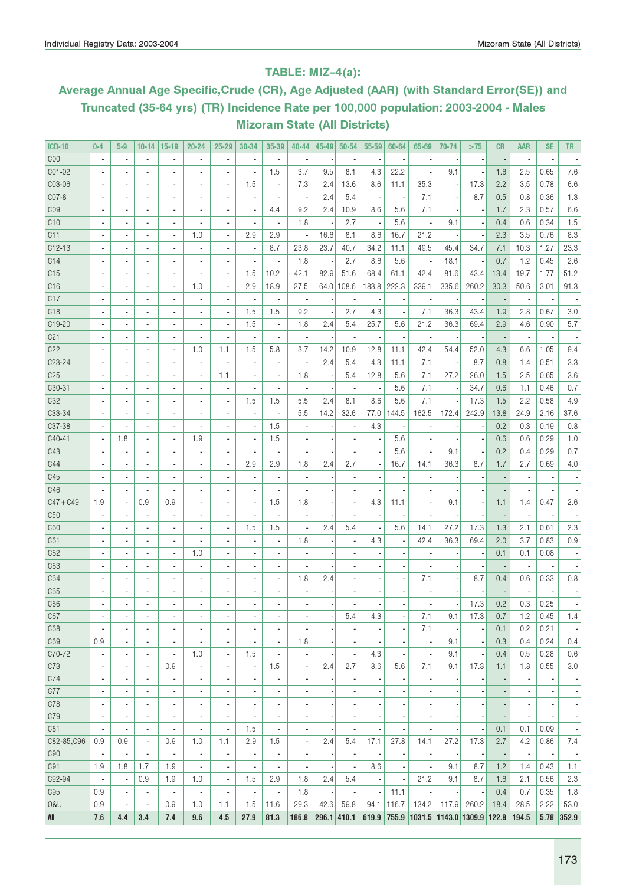### TABLE: MIZ–4(a):

# Average Annual Age Specific,Crude (CR), Age Adjusted (AAR) (with Standard Error(SE)) and Truncated (35-64 yrs) (TR) Incidence Rate per 100,000 population: 2003-2004 - Males Mizoram State (All Districts)

| <b>ICD-10</b>       | $0-4$                    | $5-9$                    | $10-14$                  | $ 15-19$                 | 20-24                    | $25 - 29$                | 30-34                    | 35-39                    | 40-44                    | $45 - 49$ | $50 - 54$     | $55 - 59$ | 60-64                    | 65-69                            | 70-74                    | >75   | CR                       | <b>AAR</b>               | SE                       | TR                       |
|---------------------|--------------------------|--------------------------|--------------------------|--------------------------|--------------------------|--------------------------|--------------------------|--------------------------|--------------------------|-----------|---------------|-----------|--------------------------|----------------------------------|--------------------------|-------|--------------------------|--------------------------|--------------------------|--------------------------|
| COO                 | $\overline{\phantom{a}}$ | $\overline{\phantom{a}}$ | $\overline{\phantom{a}}$ | $\overline{\phantom{a}}$ | $\overline{\phantom{a}}$ | $\overline{a}$           | ×,                       | $\overline{\phantom{a}}$ | $\overline{\phantom{a}}$ |           |               |           |                          | ×                                |                          |       | $\overline{\phantom{a}}$ | ×,                       | $\overline{\phantom{a}}$ |                          |
| CO1-02              | $\overline{\phantom{a}}$ | $\overline{\phantom{a}}$ | $\overline{\phantom{a}}$ | $\overline{\phantom{a}}$ | $\blacksquare$           | $\overline{a}$           | $\blacksquare$           | 1.5                      | 3.7                      | 9.5       | 8.1           | 4.3       | 22.2                     |                                  | 9.1                      |       | 1.6                      | 2.5                      | 0.65                     | 7.6                      |
| C03-06              | $\blacksquare$           | $\overline{\phantom{a}}$ | $\blacksquare$           | ٠                        | $\blacksquare$           | $\overline{\phantom{a}}$ | 1.5                      | $\blacksquare$           | 7.3                      | 2.4       | 13.6          | 8.6       | 11.1                     | 35.3                             | $\overline{\phantom{a}}$ | 17.3  | 2.2                      | 3.5                      | 0.78                     | 6.6                      |
| C07-8               | $\blacksquare$           | $\overline{\phantom{a}}$ | ٠                        | ٠                        | $\overline{\phantom{a}}$ | $\overline{\phantom{a}}$ | $\blacksquare$           | $\overline{\phantom{a}}$ | $\overline{\phantom{a}}$ | 2.4       | 5.4           | ×,        | $\overline{\phantom{a}}$ | 7.1                              |                          | 8.7   | 0.5                      | 0.8                      | 0.36                     | 1.3                      |
| CO <sub>9</sub>     | $\blacksquare$           | $\overline{\phantom{a}}$ | $\blacksquare$           | $\blacksquare$           | $\overline{a}$           | $\overline{\phantom{a}}$ | $\blacksquare$           | 4.4                      | 9.2                      | 2.4       | 10.9          | 8.6       | 5.6                      | 7.1                              |                          |       | 1.7                      | 2.3                      | 0.57                     | 6.6                      |
| C10                 | $\blacksquare$           | $\blacksquare$           | $\blacksquare$           | $\overline{\phantom{a}}$ | $\overline{a}$           | $\blacksquare$           | $\blacksquare$           | $\blacksquare$           | 1.8                      |           | 2.7           |           | 5.6                      |                                  | 9.1                      |       | 0.4                      | 0.6                      | 0.34                     | 1.5                      |
| C11                 | $\blacksquare$           | $\blacksquare$           | $\blacksquare$           | $\blacksquare$           | 1.0                      | $\blacksquare$           | 2.9                      | 2.9                      | $\overline{\phantom{a}}$ | 16.6      | 8.1           | 8.6       | 16.7                     | 21.2                             |                          |       | 2.3                      | 3.5                      | 0.76                     | 8.3                      |
| $C12-13$            | $\sim$                   | $\overline{\phantom{a}}$ | $\overline{\phantom{a}}$ | $\overline{\phantom{a}}$ | $\overline{a}$           | $\blacksquare$           | $\blacksquare$           | 8.7                      | 23.8                     | 23.7      | 40.7          | 34.2      | 11.1                     | 49.5                             | 45.4                     | 34.7  | 7.1                      | 10.3                     | 1.27                     | 23.3                     |
| C14                 | $\overline{a}$           | $\overline{\phantom{a}}$ | $\blacksquare$           | $\blacksquare$           | $\overline{a}$           | ä,                       | $\blacksquare$           | ä,                       | 1.8                      |           | 2.7           | 8.6       | 5.6                      |                                  | 18.1                     |       | 0.7                      | 1.2                      | 0.45                     | 2.6                      |
| C15                 | $\overline{a}$           | $\overline{\phantom{a}}$ | $\overline{\phantom{a}}$ | $\blacksquare$           | $\overline{a}$           | ä,                       | 1.5                      | 10.2                     | 42.1                     | 82.9      | 51.6          | 68.4      | 61.1                     | 42.4                             | 81.6                     | 43.4  | 13.4                     | 19.7                     | 1.77                     | 51.2                     |
| C16                 | $\overline{a}$           | $\overline{\phantom{a}}$ | ä,                       | $\blacksquare$           | 1.0                      | ä,                       | 2.9                      | 18.9                     | 27.5                     | 64.0      | 108.6         | 183.8     | 222.3                    | 339.1                            | 335.6                    | 260.2 | 30.3                     | 50.6                     | 3.01                     | 91.3                     |
| C17                 | $\overline{a}$           | ä,                       | ä,                       | ٠                        | $\overline{a}$           | ä,                       | $\blacksquare$           | $\blacksquare$           | $\overline{\phantom{a}}$ |           |               |           |                          | ٠.                               |                          |       |                          | $\overline{\phantom{a}}$ | $\overline{\phantom{a}}$ |                          |
| C <sub>18</sub>     |                          | $\overline{a}$           | $\overline{\phantom{a}}$ | $\blacksquare$           |                          | ä,                       | 1.5                      | 1.5                      | 9.2                      |           | 2.7           | 4.3       |                          | 7.1                              | 36.3                     | 43.4  | 1.9                      | 2.8                      | 0.67                     | 3.0                      |
| C19-20              |                          | $\overline{\phantom{a}}$ | $\overline{\phantom{a}}$ | ٠                        |                          | Ĭ.                       | 1.5                      | $\blacksquare$           | 1.8                      | 2.4       | 5.4           | 25.7      | 5.6                      | 21.2                             | 36.3                     | 69.4  | 2.9                      | 4.6                      | 0.90                     | 5.7                      |
| C <sub>21</sub>     |                          | $\overline{\phantom{a}}$ | $\overline{\phantom{a}}$ | ٠                        |                          | $\overline{a}$           | $\blacksquare$           | $\overline{\phantom{a}}$ |                          |           |               |           |                          |                                  |                          |       |                          | ÷,                       |                          |                          |
| C22                 | $\overline{\phantom{a}}$ | ä,                       | $\overline{\phantom{a}}$ | $\blacksquare$           | 1.0                      | 1.1                      | 1.5                      | 5.8                      | 3.7                      | 14.2      | 10.9          | 12.8      | 11.1                     | 42.4                             | 54.4                     | 52.0  | 4.3                      | 6.6                      | 1.05                     | 9.4                      |
| C <sub>2</sub> 3-24 |                          | ä,                       | $\overline{a}$           | $\blacksquare$           |                          | $\overline{a}$           | $\blacksquare$           | ä,                       | ÷,                       | 2.4       | 5.4           | 4.3       | 11.1                     | 7.1                              |                          | 8.7   | 0.8                      | 1.4                      | 0.51                     | 3.3                      |
| C <sub>25</sub>     |                          | ä,                       | $\overline{\phantom{a}}$ | $\blacksquare$           |                          | 1.1                      |                          | ä,                       | 1.8                      |           | 5.4           | 12.8      | 5.6                      | 7.1                              | 27.2                     | 26.0  | 1.5                      | 2.5                      | 0.65                     | 3.6                      |
| C30-31              |                          |                          | $\overline{\phantom{a}}$ | $\overline{\phantom{a}}$ |                          | $\overline{a}$           |                          | ä,                       | ł,                       |           |               |           | 5.6                      | 7.1                              |                          | 34.7  | 0.6                      | 1.1                      | 0.46                     | 0.7                      |
| C <sub>32</sub>     |                          | ä,                       | $\overline{\phantom{a}}$ | $\blacksquare$           |                          | $\overline{a}$           | 1.5                      | 1.5                      | 5.5                      | 2.4       | 8.1           | 8.6       | 5.6                      | 7.1                              |                          | 17.3  | 1.5                      | 2.2                      | 0.58                     | 4.9                      |
| C33-34              |                          | $\overline{\phantom{a}}$ | $\overline{\phantom{a}}$ | $\overline{\phantom{a}}$ | $\overline{a}$           | ä,                       | $\blacksquare$           | ÷                        | 5.5                      | 14.2      | 32.6          | 77.0      | 144.5                    | 162.5                            | 172.4                    | 242.9 | 13.8                     | 24.9                     | 2.16                     | 37.6                     |
| C37-38              |                          | ÷,                       | $\overline{\phantom{a}}$ | $\overline{\phantom{a}}$ | $\overline{a}$           | $\overline{a}$           | $\blacksquare$           | 1.5                      | ł,                       |           |               | 4.3       |                          |                                  |                          |       | 0.2                      | 0.3                      | 0.19                     | 0.8                      |
| C40-41              |                          | 1.8                      | ÷,                       | $\overline{\phantom{a}}$ | 1.9                      | ÷,                       | $\blacksquare$           | 1.5                      | $\overline{\phantom{a}}$ |           |               |           | 5.6                      |                                  |                          |       | 0.6                      | 0.6                      | 0.29                     | 1.0                      |
| C43                 |                          | ÷,                       | ٠                        | $\overline{\phantom{a}}$ | $\overline{a}$           | i.                       | $\overline{\phantom{a}}$ | ÷                        |                          |           |               |           | 5.6                      |                                  | 9.1                      |       | 0.2                      | 0.4                      | 0.29                     | 0.7                      |
| C44                 |                          | ÷,                       | ٠                        | $\overline{\phantom{a}}$ | $\overline{a}$           | ÷,                       | 2.9                      | 2.9                      | 1.8                      | 2.4       | 2.7           |           | 16.7                     | 14.1                             | 36.3                     | 8.7   | 1.7                      | 2.7                      | 0.69                     | 4.0                      |
| C45                 |                          | ä,                       | ÷,                       | $\overline{\phantom{a}}$ | $\overline{a}$           |                          | $\overline{\phantom{a}}$ | ٠                        | ×,                       |           |               |           |                          |                                  |                          |       |                          | ÷,                       |                          |                          |
| C46                 |                          | ä,                       | ÷,                       | ÷,                       | $\overline{a}$           | i.                       |                          |                          |                          |           |               |           |                          |                                  |                          |       |                          |                          |                          |                          |
| $C47 + C49$         | 1.9                      | $\overline{\phantom{a}}$ | 0.9                      | 0.9                      | $\overline{\phantom{a}}$ | ٠                        | $\overline{\phantom{a}}$ | 1.5                      | 1.8                      |           |               | 4.3       | 11.1                     | ×,                               | 9.1                      |       | 1.1                      | 1.4                      | 0.47                     | 2.6                      |
| C50                 |                          | $\overline{\phantom{a}}$ | $\overline{\phantom{a}}$ | ٠                        | $\blacksquare$           | ä,                       |                          | ٠                        | ×                        |           |               |           |                          |                                  |                          |       |                          |                          |                          |                          |
| C60                 | $\blacksquare$           | $\overline{\phantom{a}}$ | $\overline{\phantom{a}}$ | $\blacksquare$           | $\overline{a}$           | $\overline{a}$           | 1.5                      | 1.5                      | $\overline{\phantom{a}}$ | 2.4       | 5.4           |           | 5.6                      | 14.1                             | 27.2                     | 17.3  | 1.3                      | 2.1                      | 0.61                     | 2.3                      |
| C61                 | $\blacksquare$           | $\overline{a}$           | $\blacksquare$           | $\blacksquare$           |                          | $\overline{a}$           | $\blacksquare$           | $\overline{\phantom{a}}$ | 1.8                      |           |               | 4.3       |                          | 42.4                             | 36.3                     | 69.4  | 2.0                      | 3.7                      | 0.83                     | 0.9                      |
| C62                 | $\overline{a}$           | $\overline{a}$           | $\overline{\phantom{a}}$ | $\blacksquare$           | 1.0                      | ä,                       | $\overline{a}$           | $\overline{\phantom{a}}$ | J.                       |           |               |           |                          |                                  |                          |       | 0.1                      | 0.1                      | 0.08                     |                          |
| C63                 | $\overline{a}$           | $\overline{a}$           | $\overline{\phantom{a}}$ | ٠                        | $\overline{a}$           | $\overline{a}$           | $\overline{a}$           | $\overline{\phantom{a}}$ |                          |           |               |           |                          |                                  |                          |       |                          |                          |                          |                          |
| C64                 | $\blacksquare$           | $\overline{\phantom{a}}$ | $\blacksquare$           | $\blacksquare$           | $\overline{a}$           | $\overline{a}$           | $\overline{\phantom{a}}$ | $\overline{\phantom{a}}$ | 1.8                      | 2.4       |               |           |                          | 7.1                              |                          | 8.7   | 0.4                      | 0.6                      | 0.33                     | 0.8                      |
| C65                 | $\blacksquare$           | $\overline{a}$           | $\overline{\phantom{a}}$ | ٠                        | $\overline{a}$           |                          | $\overline{\phantom{a}}$ |                          |                          |           |               |           |                          |                                  |                          |       |                          | $\overline{a}$           |                          |                          |
| C66                 |                          |                          | $\overline{\phantom{a}}$ |                          |                          |                          | $\overline{\phantom{a}}$ |                          |                          |           |               |           |                          |                                  |                          | 17.3  | 0.2                      | 0.3                      | 0.25                     |                          |
| C67                 | $\overline{\phantom{a}}$ | ٠                        | $\overline{\phantom{a}}$ |                          |                          |                          | $\overline{\phantom{a}}$ | ٠                        | $\overline{\phantom{a}}$ |           | 5.4           | 4.3       |                          | 7.1                              | 9.1                      | 17.3  | 0.7                      | 1.2                      | 0.45                     | 1.4                      |
| C68                 | $\blacksquare$           | $\blacksquare$           | $\blacksquare$           | $\blacksquare$           | $\blacksquare$           | $\overline{\phantom{a}}$ | $\blacksquare$           | $\blacksquare$           |                          |           |               |           |                          | 7.1                              |                          |       | 0.1                      | 0.2                      | 0.21                     | $\overline{\phantom{a}}$ |
| C69                 | 0.9                      | $\overline{\phantom{a}}$ | $\overline{\phantom{a}}$ | $\overline{\phantom{a}}$ | $\overline{\phantom{a}}$ | $\overline{\phantom{a}}$ | $\overline{\phantom{a}}$ | ÷,                       | 1.8                      |           |               |           |                          |                                  | 9.1                      |       | 0.3                      | 0.4                      | 0.24                     | 0.4                      |
| C70-72              | $\overline{\phantom{a}}$ | $\overline{\phantom{a}}$ | $\overline{\phantom{a}}$ | $\overline{\phantom{a}}$ | 1.0                      | $\overline{\phantom{a}}$ | 1.5                      | $\overline{\phantom{a}}$ | $\overline{\phantom{a}}$ |           |               | 4.3       |                          | $\overline{\phantom{a}}$         | 9.1                      |       | 0.4                      | 0.5                      | 0.28                     | 0.6                      |
| C73                 | $\overline{\phantom{a}}$ | $\overline{a}$           | $\overline{\phantom{a}}$ | 0.9                      | $\overline{\phantom{a}}$ | $\overline{a}$           | $\overline{\phantom{a}}$ | 1.5                      | $\blacksquare$           | 2.4       | 2.7           | 8.6       | 5.6                      | 7.1                              | 9.1                      | 17.3  | 1.1                      | 1.8                      | 0.55                     | 3.0                      |
| C74                 | $\overline{\phantom{a}}$ | $\overline{\phantom{a}}$ | $\overline{\phantom{a}}$ | $\overline{\phantom{a}}$ | $\frac{1}{2}$            | $\overline{a}$           | $\overline{\phantom{a}}$ |                          | $\overline{\phantom{a}}$ |           |               |           |                          |                                  |                          |       |                          | ×,                       |                          |                          |
| C77                 | $\overline{\phantom{a}}$ | $\overline{\phantom{a}}$ | ÷,                       | $\overline{\phantom{a}}$ | $\frac{1}{2}$            | $\overline{a}$           | $\overline{\phantom{a}}$ | ÷,                       | $\overline{\phantom{a}}$ |           |               |           |                          |                                  |                          |       |                          | ÷,                       | $\overline{a}$           | $\overline{\phantom{a}}$ |
| C78                 | $\overline{\phantom{a}}$ | $\overline{\phantom{a}}$ | ÷,                       | $\overline{\phantom{a}}$ | $\frac{1}{2}$            | $\overline{a}$           | $\overline{\phantom{a}}$ | ÷,                       | ÷,                       |           |               |           |                          |                                  |                          |       |                          | ×,                       |                          | $\overline{\phantom{a}}$ |
| C79                 | ×,                       | $\overline{\phantom{a}}$ | $\overline{\phantom{a}}$ | $\overline{\phantom{a}}$ | $\overline{a}$           | $\overline{a}$           | $\overline{\phantom{a}}$ | ÷,                       | $\overline{\phantom{a}}$ |           |               |           |                          |                                  |                          |       |                          | ÷,                       |                          | $\overline{\phantom{a}}$ |
| C81                 |                          | ÷,                       | $\overline{\phantom{a}}$ | $\overline{\phantom{a}}$ | $\overline{\phantom{a}}$ | ÷                        | 1.5                      | $\overline{\phantom{a}}$ | $\overline{\phantom{a}}$ |           |               |           |                          |                                  |                          |       | 0.1                      | 0.1                      | 0.09                     | $\overline{\phantom{a}}$ |
| C82-85, C96         | 0.9                      | 0.9                      | $\overline{\phantom{a}}$ | 0.9                      | 1.0                      | 1.1                      | 2.9                      | 1.5                      | $\overline{\phantom{a}}$ | 2.4       | 5.4           | 17.1      | 27.8                     | 14.1                             | 27.2                     | 17.3  | 2.7                      | 4.2                      | 0.86                     | 7.4                      |
| C <sub>90</sub>     | ÷,                       | $\blacksquare$           | $\blacksquare$           | $\overline{\phantom{a}}$ | $\overline{\phantom{a}}$ | $\frac{1}{2}$            | $\blacksquare$           | $\overline{\phantom{a}}$ | $\overline{\phantom{a}}$ |           |               |           |                          |                                  |                          |       | $\overline{a}$           | $\overline{\phantom{a}}$ | $\overline{\phantom{a}}$ | $\overline{\phantom{a}}$ |
| C91                 | 1.9                      | 1.8                      | 1.7                      | 1.9                      | $\blacksquare$           | $\overline{a}$           | $\blacksquare$           | $\overline{\phantom{a}}$ | $\overline{\phantom{a}}$ |           |               | 8.6       |                          |                                  | 9.1                      | 8.7   | 1.2                      | 1.4                      | 0.43                     | 1.1                      |
| C92-94              | ÷,                       | $\blacksquare$           | 0.9                      | 1.9                      | 1.0                      | $\overline{\phantom{a}}$ | 1.5                      | 2.9                      | 1.8                      | 2.4       | 5.4           |           |                          | 21.2                             | 9.1                      | 8.7   | 1.6                      | 2.1                      | 0.56                     | 2.3                      |
| C <sub>95</sub>     | 0.9                      | $\overline{\phantom{a}}$ | $\overline{\phantom{a}}$ | $\overline{\phantom{a}}$ | $\overline{\phantom{a}}$ | ÷                        | $\overline{\phantom{a}}$ | $\overline{\phantom{a}}$ | 1.8                      |           |               |           | 11.1                     |                                  |                          |       | 0.4                      | 0.7                      | 0.35                     | 1.8                      |
| 0&U                 | 0.9                      | $\overline{\phantom{a}}$ | $\overline{\phantom{a}}$ | 0.9                      | 1.0                      | 1.1                      | 1.5                      | 11.6                     | 29.3                     | 42.6      | 59.8          | 94.1      | 116.7                    | 134.2                            | 117.9                    | 260.2 | 18.4                     | 28.5                     | 2.22                     | 53.0                     |
| All                 | 7.6                      | 4.4                      | 3.4                      | 7.4                      | 9.6                      | 4.5                      | 27.9                     | 81.3                     | 186.8                    |           | $296.1$ 410.1 | 619.9     |                          | 755.9 1031.5 1143.0 1309.9 122.8 |                          |       |                          | 194.5                    |                          | 5.78 352.9               |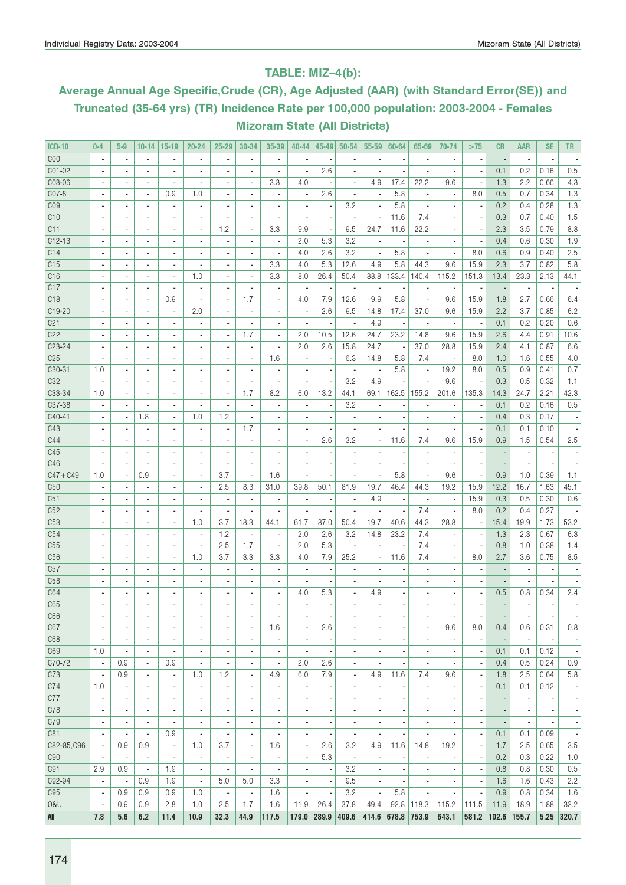### TABLE: MIZ–4(b):

# Average Annual Age Specific,Crude (CR), Age Adjusted (AAR) (with Standard Error(SE)) and Truncated (35-64 yrs) (TR) Incidence Rate per 100,000 population: 2003-2004 - Females Mizoram State (All Districts)

| <b>ICD-10</b>   | $0-4$                    | $5-9$                    | $10 - 14$                | $ 15-19$                 | $20 - 24$                | $25 - 29$                | 30-34                    | 35-39                        | $40 - 44$                | 45-49                    | $50 - 54$                | $55 - 59$                | 60-64                    | 65-69                        | 70-74                        | >75                      | <b>CR</b>      | AAR                      | <b>SE</b>                | TR.                      |
|-----------------|--------------------------|--------------------------|--------------------------|--------------------------|--------------------------|--------------------------|--------------------------|------------------------------|--------------------------|--------------------------|--------------------------|--------------------------|--------------------------|------------------------------|------------------------------|--------------------------|----------------|--------------------------|--------------------------|--------------------------|
| C <sub>00</sub> | $\blacksquare$           | $\blacksquare$           | $\overline{\phantom{a}}$ | $\blacksquare$           | $\blacksquare$           | $\overline{\phantom{a}}$ | ÷,                       | $\overline{\phantom{a}}$     |                          |                          |                          |                          |                          | $\overline{\phantom{a}}$     | ä,                           | $\overline{\phantom{a}}$ |                | $\overline{\phantom{a}}$ | $\overline{\phantom{a}}$ |                          |
| C01-02          | $\blacksquare$           | $\blacksquare$           | $\blacksquare$           | $\blacksquare$           | $\blacksquare$           | $\overline{\phantom{a}}$ | ٠                        | ä,                           | Ĭ.                       | 2.6                      |                          |                          |                          | $\overline{\phantom{a}}$     | ä,                           | $\overline{\phantom{a}}$ | 0.1            | 0.2                      | 0.16                     | 0.5                      |
| C03-06          |                          | $\overline{\phantom{a}}$ | $\overline{\phantom{a}}$ | $\blacksquare$           | $\overline{a}$           | $\overline{\phantom{a}}$ | ٠                        | 3.3                          | 4.0                      |                          |                          | 4.9                      | 17.4                     | 22.2                         | 9.6                          | $\overline{\phantom{a}}$ | 1.3            | 2.2                      | 0.66                     | 4.3                      |
| C07-8           |                          |                          | $\overline{\phantom{a}}$ | 0.9                      | 1.0                      |                          |                          | $\overline{\phantom{a}}$     |                          | 2.6                      |                          |                          | 5.8                      | $\overline{\phantom{a}}$     | $\overline{\phantom{a}}$     | 8.0                      | 0.5            | 0.7                      | 0.34                     | 1.3                      |
| CO <sub>9</sub> |                          | $\overline{\phantom{a}}$ | $\overline{\phantom{a}}$ | $\blacksquare$           | $\blacksquare$           | $\overline{a}$           | $\overline{\phantom{a}}$ | $\overline{\phantom{a}}$     | $\blacksquare$           |                          | 3.2                      | ×,                       | 5.8                      | $\overline{a}$               | $\overline{a}$               | ٠.                       | 0.2            | 0.4                      | 0.28                     | 1.3                      |
| C10             |                          |                          | $\blacksquare$           | $\blacksquare$           |                          |                          |                          | ä,                           |                          |                          |                          |                          | 11.6                     | 7.4                          |                              |                          | 0.3            | 0.7                      | 0.40                     | 1.5                      |
| C11             |                          |                          | $\overline{\phantom{a}}$ | $\blacksquare$           | $\overline{a}$           | 1.2                      |                          | 3.3                          | 9.9                      |                          | 9.5                      | 24.7                     | 11.6                     | 22.2                         |                              |                          | 2.3            | 3.5                      | 0.79                     | 8.8                      |
| $C12-13$        | $\blacksquare$           | $\blacksquare$           | $\overline{\phantom{a}}$ | $\blacksquare$           | $\overline{\phantom{a}}$ | $\overline{\phantom{a}}$ | ٠                        | ÷,                           | 2.0                      | 5.3                      | 3.2                      |                          |                          | $\overline{\phantom{a}}$     | ٠                            | $\overline{\phantom{a}}$ | 0.4            | 0.6                      | 0.30                     | 1.9                      |
| C14             | $\overline{\phantom{a}}$ | $\blacksquare$           | $\overline{\phantom{a}}$ | $\blacksquare$           | $\overline{a}$           | $\overline{\phantom{a}}$ | $\blacksquare$           | ä,                           | 4.0                      | 2.6                      | 3.2                      | $\overline{\phantom{a}}$ | 5.8                      | $\overline{\phantom{a}}$     | $\overline{\phantom{a}}$     | 8.0                      | 0.6            | 0.9                      | 0.40                     | 2.5                      |
| C15             |                          | $\overline{\phantom{a}}$ | $\blacksquare$           | $\overline{\phantom{a}}$ | ٠                        |                          | $\sim$                   | 3.3                          | 4.0                      | 5.3                      | 12.6                     | 4.9                      | 5.8                      | 44.3                         | 9.6                          | 15.9                     | 2.3            | 3.7                      | 0.82                     | 5.8                      |
| C16             |                          |                          | $\overline{a}$           | $\blacksquare$           | 1.0                      |                          | ٠                        | 3.3                          | 8.0                      | 26.4                     | 50.4                     | 88.8                     | 133.4                    | 140.4                        | 115.2                        | 151.3                    | 13.4           | 23.3                     | 2.13                     | 44.1                     |
| C17             |                          | $\overline{\phantom{a}}$ | $\overline{\phantom{a}}$ | $\overline{\phantom{a}}$ |                          |                          | $\overline{\phantom{a}}$ | $\overline{\phantom{a}}$     |                          |                          |                          |                          |                          | $\blacksquare$               | $\blacksquare$               |                          |                | $\sim$                   |                          |                          |
|                 |                          |                          |                          |                          | $\blacksquare$           |                          |                          |                              |                          |                          |                          | $\overline{\phantom{a}}$ |                          |                              |                              |                          |                |                          |                          |                          |
| C <sub>18</sub> |                          | $\overline{\phantom{a}}$ | $\overline{\phantom{a}}$ | 0.9                      |                          | ä,                       | 1.7                      | ÷,                           | 4.0                      | 7.9                      | 12.6                     | 9.9                      | 5.8                      | $\blacksquare$               | 9.6                          | 15.9                     | 1.8            | 2.7                      | 0.66                     | 6.4                      |
| C19-20          |                          | $\blacksquare$           | $\blacksquare$           | $\overline{\phantom{a}}$ | 2.0                      |                          | ٠                        | $\overline{\phantom{a}}$     | $\overline{\phantom{a}}$ | 2.6                      | 9.5                      | 14.8                     | 17.4                     | 37.0                         | 9.6                          | 15.9                     | 2.2            | 3.7                      | 0.85                     | 6.2                      |
| C <sub>21</sub> | $\overline{\phantom{a}}$ | $\blacksquare$           | $\overline{\phantom{a}}$ | $\blacksquare$           | $\blacksquare$           | $\overline{\phantom{a}}$ | ä,                       | $\overline{\phantom{a}}$     | $\overline{\phantom{a}}$ | $\overline{\phantom{a}}$ |                          | 4.9                      |                          | $\overline{\phantom{a}}$     | $\overline{\phantom{a}}$     | $\overline{\phantom{a}}$ | 0.1            | 0.2                      | 0.20                     | 0.6                      |
| C22             | $\blacksquare$           | $\blacksquare$           | $\blacksquare$           | $\blacksquare$           | $\blacksquare$           | $\blacksquare$           | 1.7                      | $\blacksquare$               | 2.0                      | 10.5                     | 12.6                     | 24.7                     | 23.2                     | 14.8                         | 9.6                          | 15.9                     | 2.6            | 4.4                      | 0.91                     | 10.6                     |
| C23-24          |                          | $\overline{\phantom{a}}$ | $\overline{\phantom{a}}$ | $\overline{\phantom{a}}$ | $\overline{a}$           |                          | $\blacksquare$           | $\overline{\phantom{a}}$     | 2.0                      | 2.6                      | 15.8                     | 24.7                     |                          | 37.0                         | 28.8                         | 15.9                     | 2.4            | 4.1                      | 0.87                     | 6.6                      |
| C <sub>25</sub> |                          |                          | $\overline{a}$           | $\overline{a}$           |                          |                          | ÷,                       | 1.6                          |                          |                          | 6.3                      | 14.8                     | 5.8                      | 7.4                          |                              | 8.0                      | 1.0            | 1.6                      | 0.55                     | 4.0                      |
| C30-31          | 1.0                      | $\overline{\phantom{a}}$ | $\blacksquare$           | $\overline{a}$           | $\overline{\phantom{a}}$ |                          | $\overline{\phantom{a}}$ | $\blacksquare$               |                          |                          |                          | ٠                        | 5.8                      | $\blacksquare$               | 19.2                         | 8.0                      | 0.5            | 0.9                      | 0.41                     | 0.7                      |
| C32             |                          |                          | $\blacksquare$           | $\blacksquare$           |                          |                          |                          | $\overline{\phantom{a}}$     |                          |                          | 3.2                      | 4.9                      |                          |                              | 9.6                          | $\overline{\phantom{a}}$ | 0.3            | 0.5                      | 0.32                     | 1.1                      |
| C33-34          | 1.0                      | $\blacksquare$           | $\blacksquare$           | $\blacksquare$           |                          |                          | 1.7                      | 8.2                          | 6.0                      | 13.2                     | 44.1                     | 69.1                     | 162.5                    | 155.2                        | 201.6                        | 135.3                    | 14.3           | 24.7                     | 2.21                     | 42.3                     |
| C37-38          | $\overline{a}$           | $\blacksquare$           | $\overline{a}$           | $\blacksquare$           | $\blacksquare$           | ä,                       | $\blacksquare$           | $\overline{\phantom{a}}$     | $\overline{a}$           |                          | 3.2                      |                          |                          | $\overline{\phantom{a}}$     | $\overline{\phantom{a}}$     | $\overline{\phantom{a}}$ | 0.1            | 0.2                      | 0.16                     | 0.5                      |
| C40-41          | $\overline{\phantom{a}}$ | $\blacksquare$           | 1.8                      | $\blacksquare$           | 1.0                      | 1.2                      | $\blacksquare$           | $\blacksquare$               | $\overline{\phantom{a}}$ | $\overline{\phantom{a}}$ | ×,                       | $\overline{\phantom{a}}$ |                          | $\overline{\phantom{a}}$     | $\overline{\phantom{a}}$     | $\overline{\phantom{a}}$ | 0.4            | 0.3                      | 0.17                     |                          |
| C43             |                          |                          | $\overline{a}$           | $\overline{\phantom{a}}$ | $\overline{\phantom{m}}$ | $\overline{a}$           | 1.7                      | $\qquad \qquad \blacksquare$ |                          |                          |                          |                          |                          | $\qquad \qquad \blacksquare$ | $\qquad \qquad \blacksquare$ | $\overline{\phantom{a}}$ | 0.1            | 0.1                      | 0.10                     |                          |
| C44             |                          |                          | $\overline{a}$           | $\overline{a}$           |                          |                          |                          | ä,                           | ÷,                       | 2.6                      | 3.2                      | ÷,                       | 11.6                     | 7.4                          | 9.6                          | 15.9                     | 0.9            | 1.5                      | 0.54                     | 2.5                      |
| C45             |                          | $\overline{a}$           | $\overline{\phantom{a}}$ | $\blacksquare$           | $\overline{a}$           |                          | ٠                        | $\overline{\phantom{a}}$     |                          |                          |                          |                          |                          | $\overline{\phantom{a}}$     | $\overline{\phantom{a}}$     |                          |                | ×,                       |                          |                          |
| C46             |                          |                          | $\blacksquare$           | $\blacksquare$           |                          |                          |                          |                              | $\overline{a}$           |                          |                          |                          |                          |                              |                              |                          |                |                          |                          |                          |
| $C47 + C49$     | 1.0                      | $\overline{\phantom{a}}$ | 0.9                      | $\overline{\phantom{a}}$ | $\blacksquare$           | 3.7                      | $\blacksquare$           | 1.6                          |                          |                          |                          |                          | 5.8                      | $\overline{\phantom{a}}$     | 9.6                          |                          | 0.9            | 1.0                      | 0.39                     | 1.1                      |
| C50             |                          | ä,                       | $\overline{\phantom{a}}$ | $\blacksquare$           | ä,                       | 2.5                      | 8.3                      | 31.0                         | 39.8                     | 50.1                     | 81.9                     | 19.7                     | 46.4                     | 44.3                         | 19.2                         | 15.9                     | 12.2           | 16.7                     | 1.63                     | 45.1                     |
| C51             | $\overline{\phantom{a}}$ | $\blacksquare$           | $\overline{\phantom{a}}$ | $\blacksquare$           | $\blacksquare$           | $\overline{\phantom{a}}$ | $\overline{\phantom{a}}$ | $\overline{\phantom{a}}$     | $\overline{\phantom{a}}$ | $\overline{\phantom{a}}$ | ×,                       | 4.9                      | $\overline{\phantom{a}}$ | $\blacksquare$               | $\overline{\phantom{a}}$     | 15.9                     | 0.3            | 0.5                      | 0.30                     | 0.6                      |
| C52             | $\overline{\phantom{a}}$ | $\overline{\phantom{a}}$ | $\overline{\phantom{a}}$ | $\overline{\phantom{a}}$ | $\overline{\phantom{a}}$ | ×,                       | ×,                       | $\overline{\phantom{a}}$     |                          |                          |                          |                          |                          | 7.4                          | $\overline{\phantom{a}}$     | 8.0                      | 0.2            | 0.4                      | 0.27                     |                          |
| C <sub>53</sub> |                          |                          | $\overline{a}$           | $\blacksquare$           | 1.0                      | 3.7                      | 18.3                     | 44.1                         | 61.7                     | 87.0                     | 50.4                     | 19.7                     | 40.6                     | 44.3                         | 28.8                         | $\overline{\phantom{a}}$ | 15.4           | 19.9                     | 1.73                     | 53.2                     |
| C54             |                          | $\overline{\phantom{a}}$ | $\overline{\phantom{a}}$ | $\blacksquare$           | $\blacksquare$           | 1.2                      | $\overline{\phantom{a}}$ | $\overline{\phantom{a}}$     | 2.0                      | 2.6                      | 3.2                      | 14.8                     | 23.2                     | 7.4                          | $\overline{\phantom{a}}$     | $\overline{\phantom{a}}$ | 1.3            | 2.3                      | 0.67                     | 6.3                      |
| C55             |                          |                          | $\blacksquare$           | $\blacksquare$           |                          | 2.5                      | 1.7                      | ÷,                           | 2.0                      | 5.3                      |                          |                          |                          | 7.4                          |                              | $\overline{\phantom{a}}$ | 0.8            | 1.0                      | 0.38                     | 1.4                      |
| C56             |                          |                          | $\overline{\phantom{a}}$ | $\overline{\phantom{a}}$ | 1.0                      | 3.7                      | 3.3                      | 3.3                          | 4.0                      | 7.9                      | 25.2                     |                          | 11.6                     | 7.4                          | $\qquad \qquad \blacksquare$ | 8.0                      | 2.7            | 3.6                      | 0.75                     | 8.5                      |
| C57             | $\overline{\phantom{a}}$ | $\overline{\phantom{a}}$ | $\blacksquare$           | $\blacksquare$           |                          | $\overline{a}$           |                          | ÷,                           |                          |                          |                          |                          |                          |                              | ä,                           |                          |                | $\overline{\phantom{a}}$ |                          |                          |
| C <sub>58</sub> | $\overline{a}$           | $\blacksquare$           | $\blacksquare$           | $\overline{\phantom{a}}$ | $\overline{\phantom{a}}$ | $\blacksquare$           | ٠                        | $\overline{\phantom{a}}$     | $\overline{\phantom{a}}$ |                          |                          | ٠                        |                          | ٠                            | ٠                            | $\overline{\phantom{a}}$ | $\blacksquare$ | $\overline{\phantom{a}}$ | $\overline{\phantom{a}}$ |                          |
| C64             |                          | $\overline{\phantom{a}}$ | $\overline{\phantom{a}}$ | $\overline{\phantom{a}}$ | $\overline{\phantom{a}}$ |                          |                          | $\overline{\phantom{a}}$     | 4.0                      | 5.3                      |                          | 4.9                      |                          | $\overline{\phantom{a}}$     |                              | ÷                        | 0.5            | 0.8                      | 0.34                     | 2.4                      |
| C65             |                          |                          |                          |                          |                          |                          |                          |                              |                          |                          |                          |                          |                          |                              |                              |                          | $\overline{a}$ |                          |                          |                          |
|                 |                          |                          |                          |                          |                          |                          |                          |                              |                          |                          |                          |                          |                          |                              |                              |                          |                |                          |                          |                          |
| C66             |                          |                          | $\frac{1}{2}$            | $\overline{\phantom{a}}$ | $\frac{1}{2}$            | $\frac{1}{2}$            | $\overline{\phantom{a}}$ | $\qquad \qquad \blacksquare$ |                          |                          |                          |                          |                          | $\qquad \qquad \blacksquare$ | $\overline{\phantom{a}}$     | ÷                        |                | $\overline{\phantom{a}}$ | $\overline{\phantom{a}}$ |                          |
| C67             | $\blacksquare$           | $\blacksquare$           | $\blacksquare$           | $\blacksquare$           | $\blacksquare$           | $\blacksquare$           | $\blacksquare$           | 1.6                          | $\overline{\phantom{a}}$ | 2.6                      |                          | $\blacksquare$           |                          | $\blacksquare$               | 9.6                          | 8.0                      | 0.4            | 0.6                      | 0.31                     | 0.8                      |
| C68             | $\overline{\phantom{a}}$ | $\overline{\phantom{a}}$ | $\overline{\phantom{a}}$ | $\overline{\phantom{a}}$ | $\overline{\phantom{a}}$ | $\frac{1}{2}$            | $\overline{\phantom{a}}$ |                              | $\overline{a}$           |                          |                          |                          |                          | $\blacksquare$               |                              |                          |                | $\overline{\phantom{a}}$ |                          | $\overline{\phantom{a}}$ |
| C69             | 1.0                      | $\overline{\phantom{a}}$ | $\blacksquare$           | $\overline{\phantom{a}}$ | $\frac{1}{2}$            | $\overline{a}$           | $\overline{\phantom{a}}$ | $\overline{\phantom{a}}$     | $\blacksquare$           |                          |                          |                          |                          | $\overline{\phantom{a}}$     | $\overline{\phantom{a}}$     | $\overline{\phantom{a}}$ | 0.1            | 0.1                      | 0.12                     | $\sim$                   |
| C70-72          | $\overline{\phantom{a}}$ | 0.9                      | $\overline{\phantom{a}}$ | 0.9                      | $\overline{\phantom{a}}$ | $\overline{\phantom{a}}$ | ٠                        | $\blacksquare$               | 2.0                      | 2.6                      | $\overline{\phantom{a}}$ | $\overline{\phantom{a}}$ |                          | $\overline{\phantom{a}}$     | $\overline{\phantom{a}}$     | $\overline{\phantom{a}}$ | 0.4            | 0.5                      | 0.24                     | 0.9                      |
| C73             | $\overline{\phantom{a}}$ | 0.9                      | $\overline{\phantom{a}}$ | $\overline{\phantom{a}}$ | 1.0                      | 1.2                      | $\overline{\phantom{a}}$ | 4.9                          | 6.0                      | 7.9                      | ×,                       | 4.9                      | 11.6                     | 7.4                          | 9.6                          | $\overline{\phantom{a}}$ | 1.8            | 2.5                      | 0.64                     | 5.8                      |
| C74             | 1.0                      |                          | $\blacksquare$           | $\overline{\phantom{a}}$ | ÷,                       | $\overline{\phantom{a}}$ | ٠                        | $\overline{\phantom{a}}$     |                          |                          |                          |                          |                          | ä,                           | $\overline{a}$               | $\overline{\phantom{a}}$ | 0.1            | 0.1                      | 0.12                     | $\overline{\phantom{a}}$ |
| C77             | $\overline{\phantom{a}}$ |                          | $\overline{\phantom{a}}$ | $\overline{\phantom{a}}$ | $\overline{\phantom{m}}$ | $\overline{a}$           | $\overline{\phantom{a}}$ | $\overline{\phantom{a}}$     | ×,                       |                          |                          |                          |                          |                              | $\overline{\phantom{a}}$     | $\overline{\phantom{a}}$ |                | $\overline{\phantom{a}}$ | $\overline{\phantom{a}}$ | $\overline{\phantom{a}}$ |
| C78             | $\overline{a}$           | $\blacksquare$           | $\overline{\phantom{a}}$ | $\blacksquare$           | $\blacksquare$           | ٠                        | $\blacksquare$           | $\overline{\phantom{a}}$     | $\overline{\phantom{a}}$ |                          |                          |                          |                          |                              |                              | $\overline{\phantom{a}}$ |                |                          | $\overline{\phantom{a}}$ | $\overline{\phantom{a}}$ |
| C79             |                          | $\overline{\phantom{a}}$ | $\overline{\phantom{a}}$ | $\overline{\phantom{a}}$ | $\frac{1}{2}$            |                          | ٠                        |                              | $\overline{\phantom{a}}$ |                          |                          |                          |                          |                              |                              | $\overline{\phantom{a}}$ |                | ×,                       |                          | $\overline{\phantom{a}}$ |
| C81             | $\overline{\phantom{a}}$ | $\overline{\phantom{a}}$ | $\overline{a}$           | 0.9                      | $\overline{\phantom{a}}$ | $\overline{\phantom{a}}$ | $\overline{\phantom{a}}$ | ÷,                           | $\blacksquare$           | ×,                       |                          | $\overline{a}$           |                          | ä,                           | ÷,                           | $\overline{\phantom{a}}$ | 0.1            | 0.1                      | 0.09                     | $\sim$                   |
| C82-85, C96     | $\overline{\phantom{a}}$ | 0.9                      | 0.9                      | $\overline{\phantom{a}}$ | 1.0                      | 3.7                      | $\overline{\phantom{a}}$ | 1.6                          | $\overline{\phantom{a}}$ | 2.6                      | 3.2                      | 4.9                      | 11.6                     | 14.8                         | 19.2                         | $\overline{\phantom{a}}$ | 1.7            | 2.5                      | 0.65                     | 3.5                      |
| C90             | $\overline{\phantom{a}}$ | $\overline{\phantom{a}}$ | $\overline{\phantom{a}}$ | $\overline{\phantom{a}}$ | $\overline{\phantom{a}}$ | $\overline{\phantom{a}}$ | $\overline{\phantom{a}}$ | $\blacksquare$               | $\overline{\phantom{a}}$ | 5.3                      | $\overline{\phantom{a}}$ | $\overline{a}$           | $\overline{\phantom{a}}$ | ÷,                           | $\overline{\phantom{a}}$     | $\overline{\phantom{a}}$ | 0.2            | 0.3                      | 0.22                     | 1.0                      |
| C91             | 2.9                      | 0.9                      | $\overline{\phantom{a}}$ | 1.9                      | $\overline{\phantom{a}}$ | $\frac{1}{2}$            | $\overline{\phantom{a}}$ | $\qquad \qquad \blacksquare$ | $\overline{\phantom{a}}$ |                          | 3.2                      |                          |                          |                              | $\qquad \qquad \blacksquare$ | $\overline{\phantom{a}}$ | 0.8            | 0.8                      | 0.30                     | 0.5                      |
| C92-94          | $\overline{\phantom{a}}$ | $\overline{\phantom{a}}$ | 0.9                      | 1.9                      | $\blacksquare$           | 5.0                      | 5.0                      | 3.3                          | $\overline{\phantom{a}}$ |                          | 9.5                      | ÷                        |                          | $\overline{\phantom{a}}$     | $\overline{\phantom{a}}$     | $\overline{\phantom{a}}$ | 1.6            | 1.6                      | 0.43                     | 2.2                      |
| C <sub>95</sub> | $\overline{\phantom{a}}$ | 0.9                      | 0.9                      | 0.9                      | 1.0                      | $\overline{\phantom{a}}$ | $\overline{\phantom{a}}$ | 1.6                          | $\overline{\phantom{a}}$ |                          | 3.2                      | $\overline{\phantom{a}}$ | 5.8                      | $\overline{\phantom{a}}$     | $\overline{\phantom{a}}$     | $\overline{\phantom{a}}$ | 0.9            | 0.8                      | 0.34                     | 1.6                      |
| 0&U             | $\overline{\phantom{a}}$ | 0.9                      | 0.9                      | 2.8                      | 1.0                      | 2.5                      | 1.7                      | 1.6                          | 11.9                     | 26.4                     | 37.8                     | 49.4                     | 92.8                     | 118.3                        | 115.2                        | 111.5                    | 11.9           | 18.9                     | 1.88                     | 32.2                     |
| All             | 7.8                      | 5.6                      | 6.2                      | 11.4                     | 10.9                     | 32.3                     | 44.9                     | 117.5                        | 179.0 289.9              |                          | 409.6                    | 414.6 678.8              |                          | 753.9                        | 643.1                        | 581.2                    | 102.6          | 155.7                    |                          | $5.25$ 320.7             |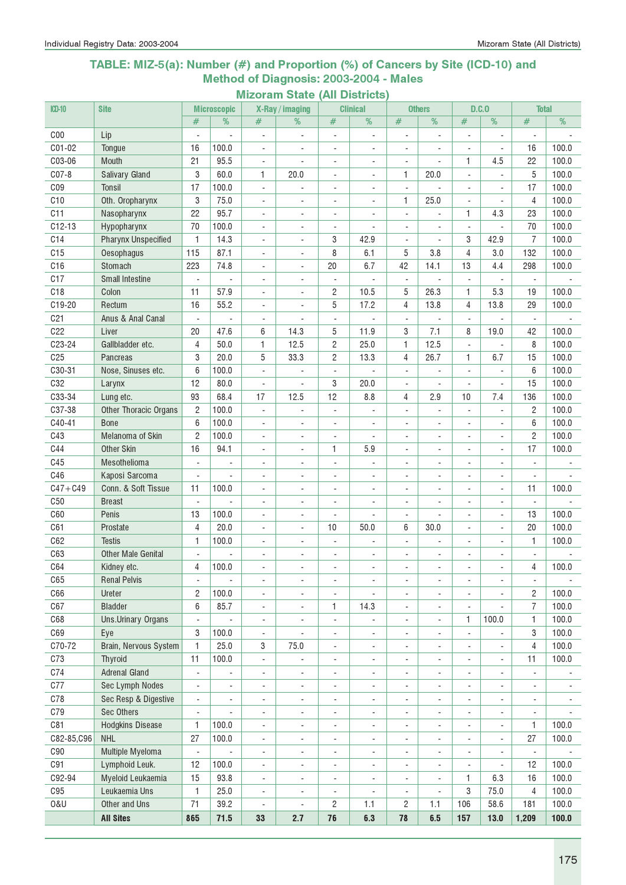### TABLE: MIZ-5(a): Number (#) and Proportion (%) of Cancers by Site (ICD-10) and Method of Diagnosis: 2003-2004 - Males

| %<br>$\overline{\%}$<br>%<br>#<br>%<br>%<br>#<br>#<br>%<br>#<br>#<br>#<br>C <sub>00</sub><br>Lip<br>$\overline{\phantom{a}}$<br>$\overline{\phantom{a}}$<br>÷,<br>÷,<br>$\blacksquare$<br>$\overline{\phantom{a}}$<br>$\overline{a}$<br>÷,<br>÷,<br>C01-02<br>100.0<br>16<br>100.0<br>16<br>Tongue<br>$\overline{a}$<br>$\overline{\phantom{a}}$<br>÷,<br>$\blacksquare$<br>÷,<br>÷,<br>$\sim$<br>21<br>C03-06<br>95.5<br>1<br>4.5<br>22<br>100.0<br>Mouth<br>÷,<br>$\blacksquare$<br>÷.<br>$\blacksquare$<br>÷.<br>÷.<br>$CO7-8$<br>3<br>5<br>60.0<br>1<br>1<br>20.0<br>100.0<br>Salivary Gland<br>20.0<br>÷.<br>÷,<br>$\overline{\phantom{a}}$<br>CO9<br>17<br>100.0<br>17<br>100.0<br><b>Tonsil</b><br>$\overline{\phantom{a}}$<br>$\blacksquare$<br>$\overline{a}$<br>$\overline{a}$<br>$\blacksquare$<br>C10<br>25.0<br>3<br>75.0<br>1<br>100.0<br>Oth. Oropharynx<br>4<br>$\overline{a}$<br>$\overline{a}$<br>ä,<br>C11<br>22<br>95.7<br>1<br>4.3<br>23<br>100.0<br>Nasopharynx<br>$\blacksquare$<br>$\overline{a}$<br>$\blacksquare$<br>$\blacksquare$<br>÷,<br>$C12-13$<br>70<br>100.0<br>70<br>100.0<br>Hypopharynx<br>÷,<br>$\overline{\phantom{a}}$<br>÷,<br>÷,<br>÷,<br>÷,<br>$\blacksquare$<br>C14<br>$\overline{7}$<br>100.0<br><b>Pharynx Unspecified</b><br>1<br>14.3<br>3<br>42.9<br>3<br>42.9<br>$\overline{\phantom{a}}$<br>$\overline{\phantom{a}}$<br>$\overline{\phantom{a}}$<br>$\blacksquare$<br>C15<br>87.1<br>8<br>6.1<br>4<br>100.0<br>115<br>5<br>3.8<br>3.0<br>132<br>Oesophagus<br>÷,<br>$\overline{\phantom{a}}$<br>C16<br>74.8<br>6.7<br>Stomach<br>223<br>20<br>42<br>14.1<br>13<br>4.4<br>298<br>100.0<br>$\overline{a}$<br>$\overline{\phantom{a}}$<br>C17<br><b>Small Intestine</b><br>$\overline{\phantom{a}}$<br>÷,<br>$\overline{a}$<br>$\overline{\phantom{a}}$<br>ä,<br>$\overline{a}$<br>÷,<br>÷,<br>$\overline{\phantom{a}}$<br>C18<br>11<br>57.9<br>$\mathbf{2}$<br>10.5<br>5<br>26.3<br>5.3<br>100.0<br>Colon<br>1<br>19<br>÷,<br>$\blacksquare$<br>5<br>C19-20<br>16<br>55.2<br>17.2<br>4<br>13.8<br>4<br>Rectum<br>13.8<br>29<br>100.0<br>$\overline{a}$<br>$\blacksquare$<br>C <sub>21</sub><br>Anus & Anal Canal<br>$\overline{\phantom{a}}$<br>$\overline{\phantom{a}}$<br>$\overline{\phantom{a}}$<br>÷,<br>$\blacksquare$<br>$\overline{\phantom{a}}$<br>C22<br>11.9<br>7.1<br>Liver<br>20<br>47.6<br>6<br>14.3<br>5<br>3<br>8<br>19.0<br>42<br>100.0<br>$\overline{4}$<br>$\overline{c}$<br>C23-24<br>Gallbladder etc.<br>50.0<br>1<br>12.5<br>25.0<br>1<br>12.5<br>8<br>100.0<br>÷,<br>3<br>$\overline{c}$<br>C <sub>25</sub><br>20.0<br>5<br>33.3<br>13.3<br>4<br>26.7<br>1<br>6.7<br>15<br>100.0<br>Pancreas<br>C30-31<br>Nose, Sinuses etc.<br>6<br>100.0<br>6<br>100.0<br>$\overline{a}$<br>÷,<br>÷,<br>C32<br>12<br>20.0<br>15<br>80.0<br>3<br>100.0<br>Larynx<br>4<br>$\blacksquare$<br>÷,<br>$\overline{\phantom{a}}$<br>C33-34<br>7.4<br>93<br>68.4<br>17<br>12.5<br>12<br>2.9<br>10<br>136<br>100.0<br>Lung etc.<br>8.8<br>4<br>C37-38<br><b>Other Thoracic Organs</b><br>$\overline{c}$<br>100.0<br>$\overline{c}$<br>100.0<br>$\blacksquare$<br>$\blacksquare$<br>$\overline{\phantom{a}}$<br>÷,<br>$\blacksquare$<br>$\sim$<br>$\overline{\phantom{a}}$<br>$\sim$<br>C40-41<br>100.0<br>6<br>100.0<br>6<br><b>Bone</b><br>$\blacksquare$<br>$\overline{\phantom{a}}$<br>$\overline{\phantom{a}}$<br>$\overline{\phantom{a}}$<br>$\overline{\phantom{a}}$<br>$\overline{\phantom{a}}$<br>$\overline{\phantom{a}}$<br>$\overline{\phantom{a}}$<br>C43<br>100.0<br>Melanoma of Skin<br>$\overline{c}$<br>100.0<br>$\overline{c}$<br>$\overline{\phantom{a}}$<br>$\overline{a}$<br>$\overline{\phantom{a}}$<br>$\blacksquare$<br>$\blacksquare$<br>÷,<br>$\overline{\phantom{a}}$<br>÷,<br>C44<br>5.9<br>17<br>100.0<br><b>Other Skin</b><br>16<br>94.1<br>1<br>$\overline{a}$<br>$\overline{a}$<br>$\blacksquare$<br>$\overline{\phantom{a}}$<br>C45<br>Mesothelioma<br>÷,<br>÷,<br>÷,<br>$\blacksquare$<br>÷,<br>C46<br>Kaposi Sarcoma<br>$\overline{\phantom{a}}$<br>$\overline{\phantom{a}}$<br>٠<br>$\overline{\phantom{a}}$<br>$\overline{\phantom{a}}$<br>$\overline{\phantom{a}}$<br>$\overline{\phantom{a}}$<br>$\overline{\phantom{a}}$<br>$\overline{\phantom{a}}$<br>$\overline{\phantom{a}}$<br>$C47 + C49$<br>Conn. & Soft Tissue<br>11<br>100.0<br>11<br>100.0<br>÷,<br>$\overline{\phantom{a}}$<br>$\sim$<br>$\overline{\phantom{a}}$<br>$\overline{\phantom{a}}$<br>$\overline{\phantom{a}}$<br>$\overline{\phantom{a}}$<br>$\overline{\phantom{a}}$<br>C <sub>50</sub><br><b>Breast</b><br>$\sim$<br>$\sim$<br>$\overline{\phantom{a}}$<br>$\sim$<br>٠<br>$\overline{\phantom{a}}$<br>$\overline{\phantom{a}}$<br>$\overline{\phantom{a}}$<br>$\overline{a}$<br>$\blacksquare$<br>C60<br>13<br>100.0<br>13<br>100.0<br>Penis<br>$\overline{a}$<br>÷,<br>$\blacksquare$<br>$\blacksquare$<br>$\blacksquare$<br>÷,<br>$\sim$<br>$\overline{4}$<br>C61<br>20.0<br>10<br>50.0<br>6<br>30.0<br>20<br>100.0<br>Prostate<br>$\overline{a}$<br>÷,<br>C62<br>100.0<br>1<br>100.0<br><b>Testis</b><br>1<br>$\overline{a}$<br>٠<br>$\overline{a}$<br>٠<br>C63<br><b>Other Male Genital</b><br>$\frac{1}{2}$<br>$\overline{a}$<br>$\qquad \qquad \blacksquare$<br>$\qquad \qquad \blacksquare$<br>$\qquad \qquad \blacksquare$<br>$\qquad \qquad \blacksquare$<br>$\qquad \qquad \blacksquare$<br>$\qquad \qquad \blacksquare$<br>$\overline{\phantom{a}}$<br>C64<br>4<br>100.0<br>4<br>100.0<br>Kidney etc.<br>C65<br><b>Renal Pelvis</b><br>$\overline{\phantom{a}}$<br>$\overline{\phantom{a}}$<br>$\overline{\phantom{0}}$<br>$\overline{\phantom{a}}$<br>$\overline{\phantom{a}}$<br>$\overline{\phantom{a}}$<br>٠<br>$\overline{\phantom{a}}$<br>$\blacksquare$<br>$\overline{\phantom{a}}$<br>$\overline{\phantom{a}}$<br>C66<br>Ureter<br>2<br>100.0<br>$\overline{c}$<br>100.0<br>$\blacksquare$<br>$\overline{\phantom{a}}$<br>$\overline{\phantom{a}}$<br>$\overline{\phantom{a}}$<br>$\overline{\phantom{a}}$<br>٠<br>$\overline{\phantom{a}}$<br>$\overline{\phantom{a}}$<br>C67<br><b>Bladder</b><br>$\overline{7}$<br>100.0<br>6<br>85.7<br>14.3<br>1<br>÷,<br>$\blacksquare$<br>$\blacksquare$<br>$\overline{\phantom{a}}$<br>$\frac{1}{2}$<br>$\overline{\phantom{0}}$<br>C68<br>100.0<br>1<br>100.0<br>Uns.Urinary Organs<br>1<br>$\overline{\phantom{a}}$<br>$\overline{\phantom{a}}$<br>$\frac{1}{2}$<br>-<br>$\qquad \qquad \blacksquare$<br>C69<br>3<br>100.0<br>100.0<br>3<br>Eye<br>$\overline{\phantom{a}}$<br>$\blacksquare$<br>$\overline{\phantom{a}}$<br>$\overline{\phantom{a}}$<br>$\overline{a}$<br>$\overline{a}$<br>$\blacksquare$<br>$\mathbf{1}$<br>C70-72<br>25.0<br>Brain, Nervous System<br>3<br>75.0<br>$\overline{4}$<br>100.0<br>$\overline{\phantom{a}}$<br>$\overline{\phantom{a}}$<br>$\blacksquare$<br>÷,<br>÷,<br>$\overline{\phantom{a}}$<br>C73<br>Thyroid<br>11<br>100.0<br>11<br>100.0<br>-<br>$\overline{\phantom{a}}$<br>$\blacksquare$<br>$\overline{\phantom{a}}$<br>$\overline{\phantom{a}}$<br>$\overline{\phantom{a}}$<br>۰<br>$\qquad \qquad \blacksquare$<br>C74<br><b>Adrenal Gland</b><br>$\blacksquare$<br>$\blacksquare$<br>$\overline{\phantom{0}}$<br>٠<br>$\overline{\phantom{a}}$<br>÷<br>÷,<br>$\overline{\phantom{a}}$<br>÷,<br>÷<br>÷,<br>C77<br><b>Sec Lymph Nodes</b><br>$\blacksquare$<br>$\overline{\phantom{m}}$<br>$\overline{\phantom{m}}$<br>$\overline{\phantom{a}}$<br>$\frac{1}{2}$<br>$\overline{\phantom{a}}$<br>$\overline{\phantom{a}}$<br>$\overline{\phantom{a}}$<br>÷,<br>$\overline{\phantom{a}}$<br>$\overline{\phantom{a}}$<br>$\blacksquare$<br>C78<br>Sec Resp & Digestive<br>$\overline{\phantom{a}}$<br>$\overline{\phantom{m}}$<br>$\overline{\phantom{m}}$<br>$\overline{\phantom{a}}$<br>$\frac{1}{2}$<br>$\qquad \qquad \blacksquare$<br>$\qquad \qquad \blacksquare$<br>$\overline{\phantom{a}}$<br>٠<br>$\qquad \qquad \blacksquare$<br>$\overline{\phantom{a}}$<br>$\overline{\phantom{a}}$<br>C79<br>Sec Others<br>$\overline{\phantom{a}}$<br>-<br>-<br>$\overline{\phantom{a}}$<br>$\overline{\phantom{a}}$<br>$\overline{\phantom{a}}$<br>$\overline{\phantom{a}}$<br>$\overline{\phantom{a}}$<br>$\frac{1}{2}$<br>$\blacksquare$<br>$\overline{\phantom{a}}$<br>C81<br><b>Hodgkins Disease</b><br>1<br>100.0<br>100.0<br>1<br>$\overline{\phantom{a}}$<br>-<br>$\overline{\phantom{a}}$<br>$\overline{\phantom{a}}$<br>$\overline{\phantom{a}}$<br>$\overline{\phantom{a}}$<br>$\overline{\phantom{a}}$<br>$\blacksquare$<br><b>NHL</b><br>C82-85,C96<br>27<br>100.0<br>100.0<br>27<br>$\blacksquare$<br>$\blacksquare$<br>$\overline{\phantom{a}}$<br>$\overline{\phantom{a}}$<br>$\overline{\phantom{a}}$<br>$\overline{\phantom{a}}$<br>٠<br>$\overline{\phantom{a}}$<br>C90<br>Multiple Myeloma<br>$\Box$<br>$\Box$<br>$\blacksquare$<br>$\overline{a}$<br>$\blacksquare$<br>÷,<br>$\overline{\phantom{a}}$<br>÷,<br>÷,<br>$\overline{\phantom{a}}$<br>C91<br>Lymphoid Leuk.<br>12<br>100.0<br>12<br>100.0<br>$\overline{\phantom{0}}$<br>$\overline{\phantom{a}}$<br>$\blacksquare$<br>$\overline{a}$<br>$\blacksquare$<br>$\overline{\phantom{a}}$<br>٠<br>C92-94<br>Myeloid Leukaemia<br>15<br>93.8<br>1<br>6.3<br>100.0<br>16<br>$\overline{\phantom{a}}$<br>$\blacksquare$<br>$\blacksquare$<br>$\overline{\phantom{a}}$<br>$\blacksquare$<br>$\overline{\phantom{a}}$<br>C95<br>Leukaemia Uns<br>1<br>3<br>25.0<br>75.0<br>4<br>100.0<br>$\blacksquare$<br>$\overline{\phantom{a}}$<br>$\overline{\phantom{a}}$<br>$\overline{\phantom{a}}$<br>÷,<br>71<br><b>0&amp;U</b><br>Other and Uns<br>39.2<br>$\overline{c}$<br>1.1<br>$\overline{c}$<br>1.1<br>106<br>100.0<br>58.6<br>181<br>$\blacksquare$<br>÷,<br>76<br>157<br><b>All Sites</b><br>865<br>71.5<br>33<br>2.7<br>6.3<br>78<br>6.5<br>$13.0$<br>1,209<br>100.0 | $CD-10$ | <b>Site</b> | <b>Microscopic</b> | X-Ray / imaging | <b>Clinical</b> | <b>Others</b> | D.C.0 | <b>Total</b> |  |
|--------------------------------------------------------------------------------------------------------------------------------------------------------------------------------------------------------------------------------------------------------------------------------------------------------------------------------------------------------------------------------------------------------------------------------------------------------------------------------------------------------------------------------------------------------------------------------------------------------------------------------------------------------------------------------------------------------------------------------------------------------------------------------------------------------------------------------------------------------------------------------------------------------------------------------------------------------------------------------------------------------------------------------------------------------------------------------------------------------------------------------------------------------------------------------------------------------------------------------------------------------------------------------------------------------------------------------------------------------------------------------------------------------------------------------------------------------------------------------------------------------------------------------------------------------------------------------------------------------------------------------------------------------------------------------------------------------------------------------------------------------------------------------------------------------------------------------------------------------------------------------------------------------------------------------------------------------------------------------------------------------------------------------------------------------------------------------------------------------------------------------------------------------------------------------------------------------------------------------------------------------------------------------------------------------------------------------------------------------------------------------------------------------------------------------------------------------------------------------------------------------------------------------------------------------------------------------------------------------------------------------------------------------------------------------------------------------------------------------------------------------------------------------------------------------------------------------------------------------------------------------------------------------------------------------------------------------------------------------------------------------------------------------------------------------------------------------------------------------------------------------------------------------------------------------------------------------------------------------------------------------------------------------------------------------------------------------------------------------------------------------------------------------------------------------------------------------------------------------------------------------------------------------------------------------------------------------------------------------------------------------------------------------------------------------------------------------------------------------------------------------------------------------------------------------------------------------------------------------------------------------------------------------------------------------------------------------------------------------------------------------------------------------------------------------------------------------------------------------------------------------------------------------------------------------------------------------------------------------------------------------------------------------------------------------------------------------------------------------------------------------------------------------------------------------------------------------------------------------------------------------------------------------------------------------------------------------------------------------------------------------------------------------------------------------------------------------------------------------------------------------------------------------------------------------------------------------------------------------------------------------------------------------------------------------------------------------------------------------------------------------------------------------------------------------------------------------------------------------------------------------------------------------------------------------------------------------------------------------------------------------------------------------------------------------------------------------------------------------------------------------------------------------------------------------------------------------------------------------------------------------------------------------------------------------------------------------------------------------------------------------------------------------------------------------------------------------------------------------------------------------------------------------------------------------------------------------------------------------------------------------------------------------------------------------------------------------------------------------------------------------------------------------------------------------------------------------------------------------------------------------------------------------------------------------------------------------------------------------------------------------------------------------------------------------------------------------------------------------------------------------------------------------------------------------------------------------------------------------------------------------------------------------------------------------------------------------------------------------------------------------------------------------------------------------------------------------------------------------------------------------------------------------------------------------------------------------------------------------------------------------------------------------------------------------------------------------------------------------------------------------------------------------------------------------------------------------------------------------------------------------------------------------------------------------------------------------------------------------------------------------------------------------------------------------------------------------------------------------------------------------------------------------------------------------------------------------------------------------------------------------------------------------------------------------------------------------------------------------------------------------------------------------------------------------------------------------------------------------------------------------------------------------------------------------------------------------------------------------------------------------------------------------------------------------------------------------------------------------------------------------------------------------------------------------------------------------------------------------------------------------------------------------------------------------------------------------------------------------------------------------------------------------------------------------------------------------------------------------------------------------------------------------------------------------------------------------------------------------------------------------------------------------------------------------------------------------------------------------------------------------------------------------------------------------------------------------------------------------------------------------------------------------------------------------------------------------------------------------------------------------------------------------------------------------------------------------------------------------------------------------------------------------------------------------------------------------------------------------------------------------------------------------------------------------------------------------------------------------------------------------------------------------------------------------------------------------------------------------------------------------------------------------------------------------------------------------------------------------------------------------------------------------------------------------------------------------------------------------------------------------------------------------------------------------------------------------------------------------------------------------------------------------------------------------------------|---------|-------------|--------------------|-----------------|-----------------|---------------|-------|--------------|--|
|                                                                                                                                                                                                                                                                                                                                                                                                                                                                                                                                                                                                                                                                                                                                                                                                                                                                                                                                                                                                                                                                                                                                                                                                                                                                                                                                                                                                                                                                                                                                                                                                                                                                                                                                                                                                                                                                                                                                                                                                                                                                                                                                                                                                                                                                                                                                                                                                                                                                                                                                                                                                                                                                                                                                                                                                                                                                                                                                                                                                                                                                                                                                                                                                                                                                                                                                                                                                                                                                                                                                                                                                                                                                                                                                                                                                                                                                                                                                                                                                                                                                                                                                                                                                                                                                                                                                                                                                                                                                                                                                                                                                                                                                                                                                                                                                                                                                                                                                                                                                                                                                                                                                                                                                                                                                                                                                                                                                                                                                                                                                                                                                                                                                                                                                                                                                                                                                                                                                                                                                                                                                                                                                                                                                                                                                                                                                                                                                                                                                                                                                                                                                                                                                                                                                                                                                                                                                                                                                                                                                                                                                                                                                                                                                                                                                                                                                                                                                                                                                                                                                                                                                                                                                                                                                                                                                                                                                                                                                                                                                                                                                                                                                                                                                                                                                                                                                                                                                                                                                                                                                                                                                                                                                                                                                                                                                                                                                                                                                                                                                                                                                                                                                                                                                                                                                                                                                                                                                                                                                                                                                                                                                                                                                                                                                                                                                                    |         |             |                    |                 |                 |               |       |              |  |
|                                                                                                                                                                                                                                                                                                                                                                                                                                                                                                                                                                                                                                                                                                                                                                                                                                                                                                                                                                                                                                                                                                                                                                                                                                                                                                                                                                                                                                                                                                                                                                                                                                                                                                                                                                                                                                                                                                                                                                                                                                                                                                                                                                                                                                                                                                                                                                                                                                                                                                                                                                                                                                                                                                                                                                                                                                                                                                                                                                                                                                                                                                                                                                                                                                                                                                                                                                                                                                                                                                                                                                                                                                                                                                                                                                                                                                                                                                                                                                                                                                                                                                                                                                                                                                                                                                                                                                                                                                                                                                                                                                                                                                                                                                                                                                                                                                                                                                                                                                                                                                                                                                                                                                                                                                                                                                                                                                                                                                                                                                                                                                                                                                                                                                                                                                                                                                                                                                                                                                                                                                                                                                                                                                                                                                                                                                                                                                                                                                                                                                                                                                                                                                                                                                                                                                                                                                                                                                                                                                                                                                                                                                                                                                                                                                                                                                                                                                                                                                                                                                                                                                                                                                                                                                                                                                                                                                                                                                                                                                                                                                                                                                                                                                                                                                                                                                                                                                                                                                                                                                                                                                                                                                                                                                                                                                                                                                                                                                                                                                                                                                                                                                                                                                                                                                                                                                                                                                                                                                                                                                                                                                                                                                                                                                                                                                                                                    |         |             |                    |                 |                 |               |       |              |  |
|                                                                                                                                                                                                                                                                                                                                                                                                                                                                                                                                                                                                                                                                                                                                                                                                                                                                                                                                                                                                                                                                                                                                                                                                                                                                                                                                                                                                                                                                                                                                                                                                                                                                                                                                                                                                                                                                                                                                                                                                                                                                                                                                                                                                                                                                                                                                                                                                                                                                                                                                                                                                                                                                                                                                                                                                                                                                                                                                                                                                                                                                                                                                                                                                                                                                                                                                                                                                                                                                                                                                                                                                                                                                                                                                                                                                                                                                                                                                                                                                                                                                                                                                                                                                                                                                                                                                                                                                                                                                                                                                                                                                                                                                                                                                                                                                                                                                                                                                                                                                                                                                                                                                                                                                                                                                                                                                                                                                                                                                                                                                                                                                                                                                                                                                                                                                                                                                                                                                                                                                                                                                                                                                                                                                                                                                                                                                                                                                                                                                                                                                                                                                                                                                                                                                                                                                                                                                                                                                                                                                                                                                                                                                                                                                                                                                                                                                                                                                                                                                                                                                                                                                                                                                                                                                                                                                                                                                                                                                                                                                                                                                                                                                                                                                                                                                                                                                                                                                                                                                                                                                                                                                                                                                                                                                                                                                                                                                                                                                                                                                                                                                                                                                                                                                                                                                                                                                                                                                                                                                                                                                                                                                                                                                                                                                                                                                                    |         |             |                    |                 |                 |               |       |              |  |
|                                                                                                                                                                                                                                                                                                                                                                                                                                                                                                                                                                                                                                                                                                                                                                                                                                                                                                                                                                                                                                                                                                                                                                                                                                                                                                                                                                                                                                                                                                                                                                                                                                                                                                                                                                                                                                                                                                                                                                                                                                                                                                                                                                                                                                                                                                                                                                                                                                                                                                                                                                                                                                                                                                                                                                                                                                                                                                                                                                                                                                                                                                                                                                                                                                                                                                                                                                                                                                                                                                                                                                                                                                                                                                                                                                                                                                                                                                                                                                                                                                                                                                                                                                                                                                                                                                                                                                                                                                                                                                                                                                                                                                                                                                                                                                                                                                                                                                                                                                                                                                                                                                                                                                                                                                                                                                                                                                                                                                                                                                                                                                                                                                                                                                                                                                                                                                                                                                                                                                                                                                                                                                                                                                                                                                                                                                                                                                                                                                                                                                                                                                                                                                                                                                                                                                                                                                                                                                                                                                                                                                                                                                                                                                                                                                                                                                                                                                                                                                                                                                                                                                                                                                                                                                                                                                                                                                                                                                                                                                                                                                                                                                                                                                                                                                                                                                                                                                                                                                                                                                                                                                                                                                                                                                                                                                                                                                                                                                                                                                                                                                                                                                                                                                                                                                                                                                                                                                                                                                                                                                                                                                                                                                                                                                                                                                                                                    |         |             |                    |                 |                 |               |       |              |  |
|                                                                                                                                                                                                                                                                                                                                                                                                                                                                                                                                                                                                                                                                                                                                                                                                                                                                                                                                                                                                                                                                                                                                                                                                                                                                                                                                                                                                                                                                                                                                                                                                                                                                                                                                                                                                                                                                                                                                                                                                                                                                                                                                                                                                                                                                                                                                                                                                                                                                                                                                                                                                                                                                                                                                                                                                                                                                                                                                                                                                                                                                                                                                                                                                                                                                                                                                                                                                                                                                                                                                                                                                                                                                                                                                                                                                                                                                                                                                                                                                                                                                                                                                                                                                                                                                                                                                                                                                                                                                                                                                                                                                                                                                                                                                                                                                                                                                                                                                                                                                                                                                                                                                                                                                                                                                                                                                                                                                                                                                                                                                                                                                                                                                                                                                                                                                                                                                                                                                                                                                                                                                                                                                                                                                                                                                                                                                                                                                                                                                                                                                                                                                                                                                                                                                                                                                                                                                                                                                                                                                                                                                                                                                                                                                                                                                                                                                                                                                                                                                                                                                                                                                                                                                                                                                                                                                                                                                                                                                                                                                                                                                                                                                                                                                                                                                                                                                                                                                                                                                                                                                                                                                                                                                                                                                                                                                                                                                                                                                                                                                                                                                                                                                                                                                                                                                                                                                                                                                                                                                                                                                                                                                                                                                                                                                                                                                                    |         |             |                    |                 |                 |               |       |              |  |
|                                                                                                                                                                                                                                                                                                                                                                                                                                                                                                                                                                                                                                                                                                                                                                                                                                                                                                                                                                                                                                                                                                                                                                                                                                                                                                                                                                                                                                                                                                                                                                                                                                                                                                                                                                                                                                                                                                                                                                                                                                                                                                                                                                                                                                                                                                                                                                                                                                                                                                                                                                                                                                                                                                                                                                                                                                                                                                                                                                                                                                                                                                                                                                                                                                                                                                                                                                                                                                                                                                                                                                                                                                                                                                                                                                                                                                                                                                                                                                                                                                                                                                                                                                                                                                                                                                                                                                                                                                                                                                                                                                                                                                                                                                                                                                                                                                                                                                                                                                                                                                                                                                                                                                                                                                                                                                                                                                                                                                                                                                                                                                                                                                                                                                                                                                                                                                                                                                                                                                                                                                                                                                                                                                                                                                                                                                                                                                                                                                                                                                                                                                                                                                                                                                                                                                                                                                                                                                                                                                                                                                                                                                                                                                                                                                                                                                                                                                                                                                                                                                                                                                                                                                                                                                                                                                                                                                                                                                                                                                                                                                                                                                                                                                                                                                                                                                                                                                                                                                                                                                                                                                                                                                                                                                                                                                                                                                                                                                                                                                                                                                                                                                                                                                                                                                                                                                                                                                                                                                                                                                                                                                                                                                                                                                                                                                                                                    |         |             |                    |                 |                 |               |       |              |  |
|                                                                                                                                                                                                                                                                                                                                                                                                                                                                                                                                                                                                                                                                                                                                                                                                                                                                                                                                                                                                                                                                                                                                                                                                                                                                                                                                                                                                                                                                                                                                                                                                                                                                                                                                                                                                                                                                                                                                                                                                                                                                                                                                                                                                                                                                                                                                                                                                                                                                                                                                                                                                                                                                                                                                                                                                                                                                                                                                                                                                                                                                                                                                                                                                                                                                                                                                                                                                                                                                                                                                                                                                                                                                                                                                                                                                                                                                                                                                                                                                                                                                                                                                                                                                                                                                                                                                                                                                                                                                                                                                                                                                                                                                                                                                                                                                                                                                                                                                                                                                                                                                                                                                                                                                                                                                                                                                                                                                                                                                                                                                                                                                                                                                                                                                                                                                                                                                                                                                                                                                                                                                                                                                                                                                                                                                                                                                                                                                                                                                                                                                                                                                                                                                                                                                                                                                                                                                                                                                                                                                                                                                                                                                                                                                                                                                                                                                                                                                                                                                                                                                                                                                                                                                                                                                                                                                                                                                                                                                                                                                                                                                                                                                                                                                                                                                                                                                                                                                                                                                                                                                                                                                                                                                                                                                                                                                                                                                                                                                                                                                                                                                                                                                                                                                                                                                                                                                                                                                                                                                                                                                                                                                                                                                                                                                                                                                                    |         |             |                    |                 |                 |               |       |              |  |
|                                                                                                                                                                                                                                                                                                                                                                                                                                                                                                                                                                                                                                                                                                                                                                                                                                                                                                                                                                                                                                                                                                                                                                                                                                                                                                                                                                                                                                                                                                                                                                                                                                                                                                                                                                                                                                                                                                                                                                                                                                                                                                                                                                                                                                                                                                                                                                                                                                                                                                                                                                                                                                                                                                                                                                                                                                                                                                                                                                                                                                                                                                                                                                                                                                                                                                                                                                                                                                                                                                                                                                                                                                                                                                                                                                                                                                                                                                                                                                                                                                                                                                                                                                                                                                                                                                                                                                                                                                                                                                                                                                                                                                                                                                                                                                                                                                                                                                                                                                                                                                                                                                                                                                                                                                                                                                                                                                                                                                                                                                                                                                                                                                                                                                                                                                                                                                                                                                                                                                                                                                                                                                                                                                                                                                                                                                                                                                                                                                                                                                                                                                                                                                                                                                                                                                                                                                                                                                                                                                                                                                                                                                                                                                                                                                                                                                                                                                                                                                                                                                                                                                                                                                                                                                                                                                                                                                                                                                                                                                                                                                                                                                                                                                                                                                                                                                                                                                                                                                                                                                                                                                                                                                                                                                                                                                                                                                                                                                                                                                                                                                                                                                                                                                                                                                                                                                                                                                                                                                                                                                                                                                                                                                                                                                                                                                                                                    |         |             |                    |                 |                 |               |       |              |  |
|                                                                                                                                                                                                                                                                                                                                                                                                                                                                                                                                                                                                                                                                                                                                                                                                                                                                                                                                                                                                                                                                                                                                                                                                                                                                                                                                                                                                                                                                                                                                                                                                                                                                                                                                                                                                                                                                                                                                                                                                                                                                                                                                                                                                                                                                                                                                                                                                                                                                                                                                                                                                                                                                                                                                                                                                                                                                                                                                                                                                                                                                                                                                                                                                                                                                                                                                                                                                                                                                                                                                                                                                                                                                                                                                                                                                                                                                                                                                                                                                                                                                                                                                                                                                                                                                                                                                                                                                                                                                                                                                                                                                                                                                                                                                                                                                                                                                                                                                                                                                                                                                                                                                                                                                                                                                                                                                                                                                                                                                                                                                                                                                                                                                                                                                                                                                                                                                                                                                                                                                                                                                                                                                                                                                                                                                                                                                                                                                                                                                                                                                                                                                                                                                                                                                                                                                                                                                                                                                                                                                                                                                                                                                                                                                                                                                                                                                                                                                                                                                                                                                                                                                                                                                                                                                                                                                                                                                                                                                                                                                                                                                                                                                                                                                                                                                                                                                                                                                                                                                                                                                                                                                                                                                                                                                                                                                                                                                                                                                                                                                                                                                                                                                                                                                                                                                                                                                                                                                                                                                                                                                                                                                                                                                                                                                                                                                                    |         |             |                    |                 |                 |               |       |              |  |
|                                                                                                                                                                                                                                                                                                                                                                                                                                                                                                                                                                                                                                                                                                                                                                                                                                                                                                                                                                                                                                                                                                                                                                                                                                                                                                                                                                                                                                                                                                                                                                                                                                                                                                                                                                                                                                                                                                                                                                                                                                                                                                                                                                                                                                                                                                                                                                                                                                                                                                                                                                                                                                                                                                                                                                                                                                                                                                                                                                                                                                                                                                                                                                                                                                                                                                                                                                                                                                                                                                                                                                                                                                                                                                                                                                                                                                                                                                                                                                                                                                                                                                                                                                                                                                                                                                                                                                                                                                                                                                                                                                                                                                                                                                                                                                                                                                                                                                                                                                                                                                                                                                                                                                                                                                                                                                                                                                                                                                                                                                                                                                                                                                                                                                                                                                                                                                                                                                                                                                                                                                                                                                                                                                                                                                                                                                                                                                                                                                                                                                                                                                                                                                                                                                                                                                                                                                                                                                                                                                                                                                                                                                                                                                                                                                                                                                                                                                                                                                                                                                                                                                                                                                                                                                                                                                                                                                                                                                                                                                                                                                                                                                                                                                                                                                                                                                                                                                                                                                                                                                                                                                                                                                                                                                                                                                                                                                                                                                                                                                                                                                                                                                                                                                                                                                                                                                                                                                                                                                                                                                                                                                                                                                                                                                                                                                                                                    |         |             |                    |                 |                 |               |       |              |  |
|                                                                                                                                                                                                                                                                                                                                                                                                                                                                                                                                                                                                                                                                                                                                                                                                                                                                                                                                                                                                                                                                                                                                                                                                                                                                                                                                                                                                                                                                                                                                                                                                                                                                                                                                                                                                                                                                                                                                                                                                                                                                                                                                                                                                                                                                                                                                                                                                                                                                                                                                                                                                                                                                                                                                                                                                                                                                                                                                                                                                                                                                                                                                                                                                                                                                                                                                                                                                                                                                                                                                                                                                                                                                                                                                                                                                                                                                                                                                                                                                                                                                                                                                                                                                                                                                                                                                                                                                                                                                                                                                                                                                                                                                                                                                                                                                                                                                                                                                                                                                                                                                                                                                                                                                                                                                                                                                                                                                                                                                                                                                                                                                                                                                                                                                                                                                                                                                                                                                                                                                                                                                                                                                                                                                                                                                                                                                                                                                                                                                                                                                                                                                                                                                                                                                                                                                                                                                                                                                                                                                                                                                                                                                                                                                                                                                                                                                                                                                                                                                                                                                                                                                                                                                                                                                                                                                                                                                                                                                                                                                                                                                                                                                                                                                                                                                                                                                                                                                                                                                                                                                                                                                                                                                                                                                                                                                                                                                                                                                                                                                                                                                                                                                                                                                                                                                                                                                                                                                                                                                                                                                                                                                                                                                                                                                                                                                                    |         |             |                    |                 |                 |               |       |              |  |
|                                                                                                                                                                                                                                                                                                                                                                                                                                                                                                                                                                                                                                                                                                                                                                                                                                                                                                                                                                                                                                                                                                                                                                                                                                                                                                                                                                                                                                                                                                                                                                                                                                                                                                                                                                                                                                                                                                                                                                                                                                                                                                                                                                                                                                                                                                                                                                                                                                                                                                                                                                                                                                                                                                                                                                                                                                                                                                                                                                                                                                                                                                                                                                                                                                                                                                                                                                                                                                                                                                                                                                                                                                                                                                                                                                                                                                                                                                                                                                                                                                                                                                                                                                                                                                                                                                                                                                                                                                                                                                                                                                                                                                                                                                                                                                                                                                                                                                                                                                                                                                                                                                                                                                                                                                                                                                                                                                                                                                                                                                                                                                                                                                                                                                                                                                                                                                                                                                                                                                                                                                                                                                                                                                                                                                                                                                                                                                                                                                                                                                                                                                                                                                                                                                                                                                                                                                                                                                                                                                                                                                                                                                                                                                                                                                                                                                                                                                                                                                                                                                                                                                                                                                                                                                                                                                                                                                                                                                                                                                                                                                                                                                                                                                                                                                                                                                                                                                                                                                                                                                                                                                                                                                                                                                                                                                                                                                                                                                                                                                                                                                                                                                                                                                                                                                                                                                                                                                                                                                                                                                                                                                                                                                                                                                                                                                                                                    |         |             |                    |                 |                 |               |       |              |  |
|                                                                                                                                                                                                                                                                                                                                                                                                                                                                                                                                                                                                                                                                                                                                                                                                                                                                                                                                                                                                                                                                                                                                                                                                                                                                                                                                                                                                                                                                                                                                                                                                                                                                                                                                                                                                                                                                                                                                                                                                                                                                                                                                                                                                                                                                                                                                                                                                                                                                                                                                                                                                                                                                                                                                                                                                                                                                                                                                                                                                                                                                                                                                                                                                                                                                                                                                                                                                                                                                                                                                                                                                                                                                                                                                                                                                                                                                                                                                                                                                                                                                                                                                                                                                                                                                                                                                                                                                                                                                                                                                                                                                                                                                                                                                                                                                                                                                                                                                                                                                                                                                                                                                                                                                                                                                                                                                                                                                                                                                                                                                                                                                                                                                                                                                                                                                                                                                                                                                                                                                                                                                                                                                                                                                                                                                                                                                                                                                                                                                                                                                                                                                                                                                                                                                                                                                                                                                                                                                                                                                                                                                                                                                                                                                                                                                                                                                                                                                                                                                                                                                                                                                                                                                                                                                                                                                                                                                                                                                                                                                                                                                                                                                                                                                                                                                                                                                                                                                                                                                                                                                                                                                                                                                                                                                                                                                                                                                                                                                                                                                                                                                                                                                                                                                                                                                                                                                                                                                                                                                                                                                                                                                                                                                                                                                                                                                                    |         |             |                    |                 |                 |               |       |              |  |
|                                                                                                                                                                                                                                                                                                                                                                                                                                                                                                                                                                                                                                                                                                                                                                                                                                                                                                                                                                                                                                                                                                                                                                                                                                                                                                                                                                                                                                                                                                                                                                                                                                                                                                                                                                                                                                                                                                                                                                                                                                                                                                                                                                                                                                                                                                                                                                                                                                                                                                                                                                                                                                                                                                                                                                                                                                                                                                                                                                                                                                                                                                                                                                                                                                                                                                                                                                                                                                                                                                                                                                                                                                                                                                                                                                                                                                                                                                                                                                                                                                                                                                                                                                                                                                                                                                                                                                                                                                                                                                                                                                                                                                                                                                                                                                                                                                                                                                                                                                                                                                                                                                                                                                                                                                                                                                                                                                                                                                                                                                                                                                                                                                                                                                                                                                                                                                                                                                                                                                                                                                                                                                                                                                                                                                                                                                                                                                                                                                                                                                                                                                                                                                                                                                                                                                                                                                                                                                                                                                                                                                                                                                                                                                                                                                                                                                                                                                                                                                                                                                                                                                                                                                                                                                                                                                                                                                                                                                                                                                                                                                                                                                                                                                                                                                                                                                                                                                                                                                                                                                                                                                                                                                                                                                                                                                                                                                                                                                                                                                                                                                                                                                                                                                                                                                                                                                                                                                                                                                                                                                                                                                                                                                                                                                                                                                                                                    |         |             |                    |                 |                 |               |       |              |  |
|                                                                                                                                                                                                                                                                                                                                                                                                                                                                                                                                                                                                                                                                                                                                                                                                                                                                                                                                                                                                                                                                                                                                                                                                                                                                                                                                                                                                                                                                                                                                                                                                                                                                                                                                                                                                                                                                                                                                                                                                                                                                                                                                                                                                                                                                                                                                                                                                                                                                                                                                                                                                                                                                                                                                                                                                                                                                                                                                                                                                                                                                                                                                                                                                                                                                                                                                                                                                                                                                                                                                                                                                                                                                                                                                                                                                                                                                                                                                                                                                                                                                                                                                                                                                                                                                                                                                                                                                                                                                                                                                                                                                                                                                                                                                                                                                                                                                                                                                                                                                                                                                                                                                                                                                                                                                                                                                                                                                                                                                                                                                                                                                                                                                                                                                                                                                                                                                                                                                                                                                                                                                                                                                                                                                                                                                                                                                                                                                                                                                                                                                                                                                                                                                                                                                                                                                                                                                                                                                                                                                                                                                                                                                                                                                                                                                                                                                                                                                                                                                                                                                                                                                                                                                                                                                                                                                                                                                                                                                                                                                                                                                                                                                                                                                                                                                                                                                                                                                                                                                                                                                                                                                                                                                                                                                                                                                                                                                                                                                                                                                                                                                                                                                                                                                                                                                                                                                                                                                                                                                                                                                                                                                                                                                                                                                                                                                                    |         |             |                    |                 |                 |               |       |              |  |
|                                                                                                                                                                                                                                                                                                                                                                                                                                                                                                                                                                                                                                                                                                                                                                                                                                                                                                                                                                                                                                                                                                                                                                                                                                                                                                                                                                                                                                                                                                                                                                                                                                                                                                                                                                                                                                                                                                                                                                                                                                                                                                                                                                                                                                                                                                                                                                                                                                                                                                                                                                                                                                                                                                                                                                                                                                                                                                                                                                                                                                                                                                                                                                                                                                                                                                                                                                                                                                                                                                                                                                                                                                                                                                                                                                                                                                                                                                                                                                                                                                                                                                                                                                                                                                                                                                                                                                                                                                                                                                                                                                                                                                                                                                                                                                                                                                                                                                                                                                                                                                                                                                                                                                                                                                                                                                                                                                                                                                                                                                                                                                                                                                                                                                                                                                                                                                                                                                                                                                                                                                                                                                                                                                                                                                                                                                                                                                                                                                                                                                                                                                                                                                                                                                                                                                                                                                                                                                                                                                                                                                                                                                                                                                                                                                                                                                                                                                                                                                                                                                                                                                                                                                                                                                                                                                                                                                                                                                                                                                                                                                                                                                                                                                                                                                                                                                                                                                                                                                                                                                                                                                                                                                                                                                                                                                                                                                                                                                                                                                                                                                                                                                                                                                                                                                                                                                                                                                                                                                                                                                                                                                                                                                                                                                                                                                                                                    |         |             |                    |                 |                 |               |       |              |  |
|                                                                                                                                                                                                                                                                                                                                                                                                                                                                                                                                                                                                                                                                                                                                                                                                                                                                                                                                                                                                                                                                                                                                                                                                                                                                                                                                                                                                                                                                                                                                                                                                                                                                                                                                                                                                                                                                                                                                                                                                                                                                                                                                                                                                                                                                                                                                                                                                                                                                                                                                                                                                                                                                                                                                                                                                                                                                                                                                                                                                                                                                                                                                                                                                                                                                                                                                                                                                                                                                                                                                                                                                                                                                                                                                                                                                                                                                                                                                                                                                                                                                                                                                                                                                                                                                                                                                                                                                                                                                                                                                                                                                                                                                                                                                                                                                                                                                                                                                                                                                                                                                                                                                                                                                                                                                                                                                                                                                                                                                                                                                                                                                                                                                                                                                                                                                                                                                                                                                                                                                                                                                                                                                                                                                                                                                                                                                                                                                                                                                                                                                                                                                                                                                                                                                                                                                                                                                                                                                                                                                                                                                                                                                                                                                                                                                                                                                                                                                                                                                                                                                                                                                                                                                                                                                                                                                                                                                                                                                                                                                                                                                                                                                                                                                                                                                                                                                                                                                                                                                                                                                                                                                                                                                                                                                                                                                                                                                                                                                                                                                                                                                                                                                                                                                                                                                                                                                                                                                                                                                                                                                                                                                                                                                                                                                                                                                                    |         |             |                    |                 |                 |               |       |              |  |
|                                                                                                                                                                                                                                                                                                                                                                                                                                                                                                                                                                                                                                                                                                                                                                                                                                                                                                                                                                                                                                                                                                                                                                                                                                                                                                                                                                                                                                                                                                                                                                                                                                                                                                                                                                                                                                                                                                                                                                                                                                                                                                                                                                                                                                                                                                                                                                                                                                                                                                                                                                                                                                                                                                                                                                                                                                                                                                                                                                                                                                                                                                                                                                                                                                                                                                                                                                                                                                                                                                                                                                                                                                                                                                                                                                                                                                                                                                                                                                                                                                                                                                                                                                                                                                                                                                                                                                                                                                                                                                                                                                                                                                                                                                                                                                                                                                                                                                                                                                                                                                                                                                                                                                                                                                                                                                                                                                                                                                                                                                                                                                                                                                                                                                                                                                                                                                                                                                                                                                                                                                                                                                                                                                                                                                                                                                                                                                                                                                                                                                                                                                                                                                                                                                                                                                                                                                                                                                                                                                                                                                                                                                                                                                                                                                                                                                                                                                                                                                                                                                                                                                                                                                                                                                                                                                                                                                                                                                                                                                                                                                                                                                                                                                                                                                                                                                                                                                                                                                                                                                                                                                                                                                                                                                                                                                                                                                                                                                                                                                                                                                                                                                                                                                                                                                                                                                                                                                                                                                                                                                                                                                                                                                                                                                                                                                                                                    |         |             |                    |                 |                 |               |       |              |  |
|                                                                                                                                                                                                                                                                                                                                                                                                                                                                                                                                                                                                                                                                                                                                                                                                                                                                                                                                                                                                                                                                                                                                                                                                                                                                                                                                                                                                                                                                                                                                                                                                                                                                                                                                                                                                                                                                                                                                                                                                                                                                                                                                                                                                                                                                                                                                                                                                                                                                                                                                                                                                                                                                                                                                                                                                                                                                                                                                                                                                                                                                                                                                                                                                                                                                                                                                                                                                                                                                                                                                                                                                                                                                                                                                                                                                                                                                                                                                                                                                                                                                                                                                                                                                                                                                                                                                                                                                                                                                                                                                                                                                                                                                                                                                                                                                                                                                                                                                                                                                                                                                                                                                                                                                                                                                                                                                                                                                                                                                                                                                                                                                                                                                                                                                                                                                                                                                                                                                                                                                                                                                                                                                                                                                                                                                                                                                                                                                                                                                                                                                                                                                                                                                                                                                                                                                                                                                                                                                                                                                                                                                                                                                                                                                                                                                                                                                                                                                                                                                                                                                                                                                                                                                                                                                                                                                                                                                                                                                                                                                                                                                                                                                                                                                                                                                                                                                                                                                                                                                                                                                                                                                                                                                                                                                                                                                                                                                                                                                                                                                                                                                                                                                                                                                                                                                                                                                                                                                                                                                                                                                                                                                                                                                                                                                                                                                                    |         |             |                    |                 |                 |               |       |              |  |
|                                                                                                                                                                                                                                                                                                                                                                                                                                                                                                                                                                                                                                                                                                                                                                                                                                                                                                                                                                                                                                                                                                                                                                                                                                                                                                                                                                                                                                                                                                                                                                                                                                                                                                                                                                                                                                                                                                                                                                                                                                                                                                                                                                                                                                                                                                                                                                                                                                                                                                                                                                                                                                                                                                                                                                                                                                                                                                                                                                                                                                                                                                                                                                                                                                                                                                                                                                                                                                                                                                                                                                                                                                                                                                                                                                                                                                                                                                                                                                                                                                                                                                                                                                                                                                                                                                                                                                                                                                                                                                                                                                                                                                                                                                                                                                                                                                                                                                                                                                                                                                                                                                                                                                                                                                                                                                                                                                                                                                                                                                                                                                                                                                                                                                                                                                                                                                                                                                                                                                                                                                                                                                                                                                                                                                                                                                                                                                                                                                                                                                                                                                                                                                                                                                                                                                                                                                                                                                                                                                                                                                                                                                                                                                                                                                                                                                                                                                                                                                                                                                                                                                                                                                                                                                                                                                                                                                                                                                                                                                                                                                                                                                                                                                                                                                                                                                                                                                                                                                                                                                                                                                                                                                                                                                                                                                                                                                                                                                                                                                                                                                                                                                                                                                                                                                                                                                                                                                                                                                                                                                                                                                                                                                                                                                                                                                                                                    |         |             |                    |                 |                 |               |       |              |  |
|                                                                                                                                                                                                                                                                                                                                                                                                                                                                                                                                                                                                                                                                                                                                                                                                                                                                                                                                                                                                                                                                                                                                                                                                                                                                                                                                                                                                                                                                                                                                                                                                                                                                                                                                                                                                                                                                                                                                                                                                                                                                                                                                                                                                                                                                                                                                                                                                                                                                                                                                                                                                                                                                                                                                                                                                                                                                                                                                                                                                                                                                                                                                                                                                                                                                                                                                                                                                                                                                                                                                                                                                                                                                                                                                                                                                                                                                                                                                                                                                                                                                                                                                                                                                                                                                                                                                                                                                                                                                                                                                                                                                                                                                                                                                                                                                                                                                                                                                                                                                                                                                                                                                                                                                                                                                                                                                                                                                                                                                                                                                                                                                                                                                                                                                                                                                                                                                                                                                                                                                                                                                                                                                                                                                                                                                                                                                                                                                                                                                                                                                                                                                                                                                                                                                                                                                                                                                                                                                                                                                                                                                                                                                                                                                                                                                                                                                                                                                                                                                                                                                                                                                                                                                                                                                                                                                                                                                                                                                                                                                                                                                                                                                                                                                                                                                                                                                                                                                                                                                                                                                                                                                                                                                                                                                                                                                                                                                                                                                                                                                                                                                                                                                                                                                                                                                                                                                                                                                                                                                                                                                                                                                                                                                                                                                                                                                                    |         |             |                    |                 |                 |               |       |              |  |
|                                                                                                                                                                                                                                                                                                                                                                                                                                                                                                                                                                                                                                                                                                                                                                                                                                                                                                                                                                                                                                                                                                                                                                                                                                                                                                                                                                                                                                                                                                                                                                                                                                                                                                                                                                                                                                                                                                                                                                                                                                                                                                                                                                                                                                                                                                                                                                                                                                                                                                                                                                                                                                                                                                                                                                                                                                                                                                                                                                                                                                                                                                                                                                                                                                                                                                                                                                                                                                                                                                                                                                                                                                                                                                                                                                                                                                                                                                                                                                                                                                                                                                                                                                                                                                                                                                                                                                                                                                                                                                                                                                                                                                                                                                                                                                                                                                                                                                                                                                                                                                                                                                                                                                                                                                                                                                                                                                                                                                                                                                                                                                                                                                                                                                                                                                                                                                                                                                                                                                                                                                                                                                                                                                                                                                                                                                                                                                                                                                                                                                                                                                                                                                                                                                                                                                                                                                                                                                                                                                                                                                                                                                                                                                                                                                                                                                                                                                                                                                                                                                                                                                                                                                                                                                                                                                                                                                                                                                                                                                                                                                                                                                                                                                                                                                                                                                                                                                                                                                                                                                                                                                                                                                                                                                                                                                                                                                                                                                                                                                                                                                                                                                                                                                                                                                                                                                                                                                                                                                                                                                                                                                                                                                                                                                                                                                                                                    |         |             |                    |                 |                 |               |       |              |  |
|                                                                                                                                                                                                                                                                                                                                                                                                                                                                                                                                                                                                                                                                                                                                                                                                                                                                                                                                                                                                                                                                                                                                                                                                                                                                                                                                                                                                                                                                                                                                                                                                                                                                                                                                                                                                                                                                                                                                                                                                                                                                                                                                                                                                                                                                                                                                                                                                                                                                                                                                                                                                                                                                                                                                                                                                                                                                                                                                                                                                                                                                                                                                                                                                                                                                                                                                                                                                                                                                                                                                                                                                                                                                                                                                                                                                                                                                                                                                                                                                                                                                                                                                                                                                                                                                                                                                                                                                                                                                                                                                                                                                                                                                                                                                                                                                                                                                                                                                                                                                                                                                                                                                                                                                                                                                                                                                                                                                                                                                                                                                                                                                                                                                                                                                                                                                                                                                                                                                                                                                                                                                                                                                                                                                                                                                                                                                                                                                                                                                                                                                                                                                                                                                                                                                                                                                                                                                                                                                                                                                                                                                                                                                                                                                                                                                                                                                                                                                                                                                                                                                                                                                                                                                                                                                                                                                                                                                                                                                                                                                                                                                                                                                                                                                                                                                                                                                                                                                                                                                                                                                                                                                                                                                                                                                                                                                                                                                                                                                                                                                                                                                                                                                                                                                                                                                                                                                                                                                                                                                                                                                                                                                                                                                                                                                                                                                                    |         |             |                    |                 |                 |               |       |              |  |
|                                                                                                                                                                                                                                                                                                                                                                                                                                                                                                                                                                                                                                                                                                                                                                                                                                                                                                                                                                                                                                                                                                                                                                                                                                                                                                                                                                                                                                                                                                                                                                                                                                                                                                                                                                                                                                                                                                                                                                                                                                                                                                                                                                                                                                                                                                                                                                                                                                                                                                                                                                                                                                                                                                                                                                                                                                                                                                                                                                                                                                                                                                                                                                                                                                                                                                                                                                                                                                                                                                                                                                                                                                                                                                                                                                                                                                                                                                                                                                                                                                                                                                                                                                                                                                                                                                                                                                                                                                                                                                                                                                                                                                                                                                                                                                                                                                                                                                                                                                                                                                                                                                                                                                                                                                                                                                                                                                                                                                                                                                                                                                                                                                                                                                                                                                                                                                                                                                                                                                                                                                                                                                                                                                                                                                                                                                                                                                                                                                                                                                                                                                                                                                                                                                                                                                                                                                                                                                                                                                                                                                                                                                                                                                                                                                                                                                                                                                                                                                                                                                                                                                                                                                                                                                                                                                                                                                                                                                                                                                                                                                                                                                                                                                                                                                                                                                                                                                                                                                                                                                                                                                                                                                                                                                                                                                                                                                                                                                                                                                                                                                                                                                                                                                                                                                                                                                                                                                                                                                                                                                                                                                                                                                                                                                                                                                                                                    |         |             |                    |                 |                 |               |       |              |  |
|                                                                                                                                                                                                                                                                                                                                                                                                                                                                                                                                                                                                                                                                                                                                                                                                                                                                                                                                                                                                                                                                                                                                                                                                                                                                                                                                                                                                                                                                                                                                                                                                                                                                                                                                                                                                                                                                                                                                                                                                                                                                                                                                                                                                                                                                                                                                                                                                                                                                                                                                                                                                                                                                                                                                                                                                                                                                                                                                                                                                                                                                                                                                                                                                                                                                                                                                                                                                                                                                                                                                                                                                                                                                                                                                                                                                                                                                                                                                                                                                                                                                                                                                                                                                                                                                                                                                                                                                                                                                                                                                                                                                                                                                                                                                                                                                                                                                                                                                                                                                                                                                                                                                                                                                                                                                                                                                                                                                                                                                                                                                                                                                                                                                                                                                                                                                                                                                                                                                                                                                                                                                                                                                                                                                                                                                                                                                                                                                                                                                                                                                                                                                                                                                                                                                                                                                                                                                                                                                                                                                                                                                                                                                                                                                                                                                                                                                                                                                                                                                                                                                                                                                                                                                                                                                                                                                                                                                                                                                                                                                                                                                                                                                                                                                                                                                                                                                                                                                                                                                                                                                                                                                                                                                                                                                                                                                                                                                                                                                                                                                                                                                                                                                                                                                                                                                                                                                                                                                                                                                                                                                                                                                                                                                                                                                                                                                                    |         |             |                    |                 |                 |               |       |              |  |
|                                                                                                                                                                                                                                                                                                                                                                                                                                                                                                                                                                                                                                                                                                                                                                                                                                                                                                                                                                                                                                                                                                                                                                                                                                                                                                                                                                                                                                                                                                                                                                                                                                                                                                                                                                                                                                                                                                                                                                                                                                                                                                                                                                                                                                                                                                                                                                                                                                                                                                                                                                                                                                                                                                                                                                                                                                                                                                                                                                                                                                                                                                                                                                                                                                                                                                                                                                                                                                                                                                                                                                                                                                                                                                                                                                                                                                                                                                                                                                                                                                                                                                                                                                                                                                                                                                                                                                                                                                                                                                                                                                                                                                                                                                                                                                                                                                                                                                                                                                                                                                                                                                                                                                                                                                                                                                                                                                                                                                                                                                                                                                                                                                                                                                                                                                                                                                                                                                                                                                                                                                                                                                                                                                                                                                                                                                                                                                                                                                                                                                                                                                                                                                                                                                                                                                                                                                                                                                                                                                                                                                                                                                                                                                                                                                                                                                                                                                                                                                                                                                                                                                                                                                                                                                                                                                                                                                                                                                                                                                                                                                                                                                                                                                                                                                                                                                                                                                                                                                                                                                                                                                                                                                                                                                                                                                                                                                                                                                                                                                                                                                                                                                                                                                                                                                                                                                                                                                                                                                                                                                                                                                                                                                                                                                                                                                                                                    |         |             |                    |                 |                 |               |       |              |  |
|                                                                                                                                                                                                                                                                                                                                                                                                                                                                                                                                                                                                                                                                                                                                                                                                                                                                                                                                                                                                                                                                                                                                                                                                                                                                                                                                                                                                                                                                                                                                                                                                                                                                                                                                                                                                                                                                                                                                                                                                                                                                                                                                                                                                                                                                                                                                                                                                                                                                                                                                                                                                                                                                                                                                                                                                                                                                                                                                                                                                                                                                                                                                                                                                                                                                                                                                                                                                                                                                                                                                                                                                                                                                                                                                                                                                                                                                                                                                                                                                                                                                                                                                                                                                                                                                                                                                                                                                                                                                                                                                                                                                                                                                                                                                                                                                                                                                                                                                                                                                                                                                                                                                                                                                                                                                                                                                                                                                                                                                                                                                                                                                                                                                                                                                                                                                                                                                                                                                                                                                                                                                                                                                                                                                                                                                                                                                                                                                                                                                                                                                                                                                                                                                                                                                                                                                                                                                                                                                                                                                                                                                                                                                                                                                                                                                                                                                                                                                                                                                                                                                                                                                                                                                                                                                                                                                                                                                                                                                                                                                                                                                                                                                                                                                                                                                                                                                                                                                                                                                                                                                                                                                                                                                                                                                                                                                                                                                                                                                                                                                                                                                                                                                                                                                                                                                                                                                                                                                                                                                                                                                                                                                                                                                                                                                                                                                                    |         |             |                    |                 |                 |               |       |              |  |
|                                                                                                                                                                                                                                                                                                                                                                                                                                                                                                                                                                                                                                                                                                                                                                                                                                                                                                                                                                                                                                                                                                                                                                                                                                                                                                                                                                                                                                                                                                                                                                                                                                                                                                                                                                                                                                                                                                                                                                                                                                                                                                                                                                                                                                                                                                                                                                                                                                                                                                                                                                                                                                                                                                                                                                                                                                                                                                                                                                                                                                                                                                                                                                                                                                                                                                                                                                                                                                                                                                                                                                                                                                                                                                                                                                                                                                                                                                                                                                                                                                                                                                                                                                                                                                                                                                                                                                                                                                                                                                                                                                                                                                                                                                                                                                                                                                                                                                                                                                                                                                                                                                                                                                                                                                                                                                                                                                                                                                                                                                                                                                                                                                                                                                                                                                                                                                                                                                                                                                                                                                                                                                                                                                                                                                                                                                                                                                                                                                                                                                                                                                                                                                                                                                                                                                                                                                                                                                                                                                                                                                                                                                                                                                                                                                                                                                                                                                                                                                                                                                                                                                                                                                                                                                                                                                                                                                                                                                                                                                                                                                                                                                                                                                                                                                                                                                                                                                                                                                                                                                                                                                                                                                                                                                                                                                                                                                                                                                                                                                                                                                                                                                                                                                                                                                                                                                                                                                                                                                                                                                                                                                                                                                                                                                                                                                                                                    |         |             |                    |                 |                 |               |       |              |  |
|                                                                                                                                                                                                                                                                                                                                                                                                                                                                                                                                                                                                                                                                                                                                                                                                                                                                                                                                                                                                                                                                                                                                                                                                                                                                                                                                                                                                                                                                                                                                                                                                                                                                                                                                                                                                                                                                                                                                                                                                                                                                                                                                                                                                                                                                                                                                                                                                                                                                                                                                                                                                                                                                                                                                                                                                                                                                                                                                                                                                                                                                                                                                                                                                                                                                                                                                                                                                                                                                                                                                                                                                                                                                                                                                                                                                                                                                                                                                                                                                                                                                                                                                                                                                                                                                                                                                                                                                                                                                                                                                                                                                                                                                                                                                                                                                                                                                                                                                                                                                                                                                                                                                                                                                                                                                                                                                                                                                                                                                                                                                                                                                                                                                                                                                                                                                                                                                                                                                                                                                                                                                                                                                                                                                                                                                                                                                                                                                                                                                                                                                                                                                                                                                                                                                                                                                                                                                                                                                                                                                                                                                                                                                                                                                                                                                                                                                                                                                                                                                                                                                                                                                                                                                                                                                                                                                                                                                                                                                                                                                                                                                                                                                                                                                                                                                                                                                                                                                                                                                                                                                                                                                                                                                                                                                                                                                                                                                                                                                                                                                                                                                                                                                                                                                                                                                                                                                                                                                                                                                                                                                                                                                                                                                                                                                                                                                                    |         |             |                    |                 |                 |               |       |              |  |
|                                                                                                                                                                                                                                                                                                                                                                                                                                                                                                                                                                                                                                                                                                                                                                                                                                                                                                                                                                                                                                                                                                                                                                                                                                                                                                                                                                                                                                                                                                                                                                                                                                                                                                                                                                                                                                                                                                                                                                                                                                                                                                                                                                                                                                                                                                                                                                                                                                                                                                                                                                                                                                                                                                                                                                                                                                                                                                                                                                                                                                                                                                                                                                                                                                                                                                                                                                                                                                                                                                                                                                                                                                                                                                                                                                                                                                                                                                                                                                                                                                                                                                                                                                                                                                                                                                                                                                                                                                                                                                                                                                                                                                                                                                                                                                                                                                                                                                                                                                                                                                                                                                                                                                                                                                                                                                                                                                                                                                                                                                                                                                                                                                                                                                                                                                                                                                                                                                                                                                                                                                                                                                                                                                                                                                                                                                                                                                                                                                                                                                                                                                                                                                                                                                                                                                                                                                                                                                                                                                                                                                                                                                                                                                                                                                                                                                                                                                                                                                                                                                                                                                                                                                                                                                                                                                                                                                                                                                                                                                                                                                                                                                                                                                                                                                                                                                                                                                                                                                                                                                                                                                                                                                                                                                                                                                                                                                                                                                                                                                                                                                                                                                                                                                                                                                                                                                                                                                                                                                                                                                                                                                                                                                                                                                                                                                                                                    |         |             |                    |                 |                 |               |       |              |  |
|                                                                                                                                                                                                                                                                                                                                                                                                                                                                                                                                                                                                                                                                                                                                                                                                                                                                                                                                                                                                                                                                                                                                                                                                                                                                                                                                                                                                                                                                                                                                                                                                                                                                                                                                                                                                                                                                                                                                                                                                                                                                                                                                                                                                                                                                                                                                                                                                                                                                                                                                                                                                                                                                                                                                                                                                                                                                                                                                                                                                                                                                                                                                                                                                                                                                                                                                                                                                                                                                                                                                                                                                                                                                                                                                                                                                                                                                                                                                                                                                                                                                                                                                                                                                                                                                                                                                                                                                                                                                                                                                                                                                                                                                                                                                                                                                                                                                                                                                                                                                                                                                                                                                                                                                                                                                                                                                                                                                                                                                                                                                                                                                                                                                                                                                                                                                                                                                                                                                                                                                                                                                                                                                                                                                                                                                                                                                                                                                                                                                                                                                                                                                                                                                                                                                                                                                                                                                                                                                                                                                                                                                                                                                                                                                                                                                                                                                                                                                                                                                                                                                                                                                                                                                                                                                                                                                                                                                                                                                                                                                                                                                                                                                                                                                                                                                                                                                                                                                                                                                                                                                                                                                                                                                                                                                                                                                                                                                                                                                                                                                                                                                                                                                                                                                                                                                                                                                                                                                                                                                                                                                                                                                                                                                                                                                                                                                                    |         |             |                    |                 |                 |               |       |              |  |
|                                                                                                                                                                                                                                                                                                                                                                                                                                                                                                                                                                                                                                                                                                                                                                                                                                                                                                                                                                                                                                                                                                                                                                                                                                                                                                                                                                                                                                                                                                                                                                                                                                                                                                                                                                                                                                                                                                                                                                                                                                                                                                                                                                                                                                                                                                                                                                                                                                                                                                                                                                                                                                                                                                                                                                                                                                                                                                                                                                                                                                                                                                                                                                                                                                                                                                                                                                                                                                                                                                                                                                                                                                                                                                                                                                                                                                                                                                                                                                                                                                                                                                                                                                                                                                                                                                                                                                                                                                                                                                                                                                                                                                                                                                                                                                                                                                                                                                                                                                                                                                                                                                                                                                                                                                                                                                                                                                                                                                                                                                                                                                                                                                                                                                                                                                                                                                                                                                                                                                                                                                                                                                                                                                                                                                                                                                                                                                                                                                                                                                                                                                                                                                                                                                                                                                                                                                                                                                                                                                                                                                                                                                                                                                                                                                                                                                                                                                                                                                                                                                                                                                                                                                                                                                                                                                                                                                                                                                                                                                                                                                                                                                                                                                                                                                                                                                                                                                                                                                                                                                                                                                                                                                                                                                                                                                                                                                                                                                                                                                                                                                                                                                                                                                                                                                                                                                                                                                                                                                                                                                                                                                                                                                                                                                                                                                                                                    |         |             |                    |                 |                 |               |       |              |  |
|                                                                                                                                                                                                                                                                                                                                                                                                                                                                                                                                                                                                                                                                                                                                                                                                                                                                                                                                                                                                                                                                                                                                                                                                                                                                                                                                                                                                                                                                                                                                                                                                                                                                                                                                                                                                                                                                                                                                                                                                                                                                                                                                                                                                                                                                                                                                                                                                                                                                                                                                                                                                                                                                                                                                                                                                                                                                                                                                                                                                                                                                                                                                                                                                                                                                                                                                                                                                                                                                                                                                                                                                                                                                                                                                                                                                                                                                                                                                                                                                                                                                                                                                                                                                                                                                                                                                                                                                                                                                                                                                                                                                                                                                                                                                                                                                                                                                                                                                                                                                                                                                                                                                                                                                                                                                                                                                                                                                                                                                                                                                                                                                                                                                                                                                                                                                                                                                                                                                                                                                                                                                                                                                                                                                                                                                                                                                                                                                                                                                                                                                                                                                                                                                                                                                                                                                                                                                                                                                                                                                                                                                                                                                                                                                                                                                                                                                                                                                                                                                                                                                                                                                                                                                                                                                                                                                                                                                                                                                                                                                                                                                                                                                                                                                                                                                                                                                                                                                                                                                                                                                                                                                                                                                                                                                                                                                                                                                                                                                                                                                                                                                                                                                                                                                                                                                                                                                                                                                                                                                                                                                                                                                                                                                                                                                                                                                                    |         |             |                    |                 |                 |               |       |              |  |
|                                                                                                                                                                                                                                                                                                                                                                                                                                                                                                                                                                                                                                                                                                                                                                                                                                                                                                                                                                                                                                                                                                                                                                                                                                                                                                                                                                                                                                                                                                                                                                                                                                                                                                                                                                                                                                                                                                                                                                                                                                                                                                                                                                                                                                                                                                                                                                                                                                                                                                                                                                                                                                                                                                                                                                                                                                                                                                                                                                                                                                                                                                                                                                                                                                                                                                                                                                                                                                                                                                                                                                                                                                                                                                                                                                                                                                                                                                                                                                                                                                                                                                                                                                                                                                                                                                                                                                                                                                                                                                                                                                                                                                                                                                                                                                                                                                                                                                                                                                                                                                                                                                                                                                                                                                                                                                                                                                                                                                                                                                                                                                                                                                                                                                                                                                                                                                                                                                                                                                                                                                                                                                                                                                                                                                                                                                                                                                                                                                                                                                                                                                                                                                                                                                                                                                                                                                                                                                                                                                                                                                                                                                                                                                                                                                                                                                                                                                                                                                                                                                                                                                                                                                                                                                                                                                                                                                                                                                                                                                                                                                                                                                                                                                                                                                                                                                                                                                                                                                                                                                                                                                                                                                                                                                                                                                                                                                                                                                                                                                                                                                                                                                                                                                                                                                                                                                                                                                                                                                                                                                                                                                                                                                                                                                                                                                                                                    |         |             |                    |                 |                 |               |       |              |  |
|                                                                                                                                                                                                                                                                                                                                                                                                                                                                                                                                                                                                                                                                                                                                                                                                                                                                                                                                                                                                                                                                                                                                                                                                                                                                                                                                                                                                                                                                                                                                                                                                                                                                                                                                                                                                                                                                                                                                                                                                                                                                                                                                                                                                                                                                                                                                                                                                                                                                                                                                                                                                                                                                                                                                                                                                                                                                                                                                                                                                                                                                                                                                                                                                                                                                                                                                                                                                                                                                                                                                                                                                                                                                                                                                                                                                                                                                                                                                                                                                                                                                                                                                                                                                                                                                                                                                                                                                                                                                                                                                                                                                                                                                                                                                                                                                                                                                                                                                                                                                                                                                                                                                                                                                                                                                                                                                                                                                                                                                                                                                                                                                                                                                                                                                                                                                                                                                                                                                                                                                                                                                                                                                                                                                                                                                                                                                                                                                                                                                                                                                                                                                                                                                                                                                                                                                                                                                                                                                                                                                                                                                                                                                                                                                                                                                                                                                                                                                                                                                                                                                                                                                                                                                                                                                                                                                                                                                                                                                                                                                                                                                                                                                                                                                                                                                                                                                                                                                                                                                                                                                                                                                                                                                                                                                                                                                                                                                                                                                                                                                                                                                                                                                                                                                                                                                                                                                                                                                                                                                                                                                                                                                                                                                                                                                                                                                                    |         |             |                    |                 |                 |               |       |              |  |
|                                                                                                                                                                                                                                                                                                                                                                                                                                                                                                                                                                                                                                                                                                                                                                                                                                                                                                                                                                                                                                                                                                                                                                                                                                                                                                                                                                                                                                                                                                                                                                                                                                                                                                                                                                                                                                                                                                                                                                                                                                                                                                                                                                                                                                                                                                                                                                                                                                                                                                                                                                                                                                                                                                                                                                                                                                                                                                                                                                                                                                                                                                                                                                                                                                                                                                                                                                                                                                                                                                                                                                                                                                                                                                                                                                                                                                                                                                                                                                                                                                                                                                                                                                                                                                                                                                                                                                                                                                                                                                                                                                                                                                                                                                                                                                                                                                                                                                                                                                                                                                                                                                                                                                                                                                                                                                                                                                                                                                                                                                                                                                                                                                                                                                                                                                                                                                                                                                                                                                                                                                                                                                                                                                                                                                                                                                                                                                                                                                                                                                                                                                                                                                                                                                                                                                                                                                                                                                                                                                                                                                                                                                                                                                                                                                                                                                                                                                                                                                                                                                                                                                                                                                                                                                                                                                                                                                                                                                                                                                                                                                                                                                                                                                                                                                                                                                                                                                                                                                                                                                                                                                                                                                                                                                                                                                                                                                                                                                                                                                                                                                                                                                                                                                                                                                                                                                                                                                                                                                                                                                                                                                                                                                                                                                                                                                                                                    |         |             |                    |                 |                 |               |       |              |  |
|                                                                                                                                                                                                                                                                                                                                                                                                                                                                                                                                                                                                                                                                                                                                                                                                                                                                                                                                                                                                                                                                                                                                                                                                                                                                                                                                                                                                                                                                                                                                                                                                                                                                                                                                                                                                                                                                                                                                                                                                                                                                                                                                                                                                                                                                                                                                                                                                                                                                                                                                                                                                                                                                                                                                                                                                                                                                                                                                                                                                                                                                                                                                                                                                                                                                                                                                                                                                                                                                                                                                                                                                                                                                                                                                                                                                                                                                                                                                                                                                                                                                                                                                                                                                                                                                                                                                                                                                                                                                                                                                                                                                                                                                                                                                                                                                                                                                                                                                                                                                                                                                                                                                                                                                                                                                                                                                                                                                                                                                                                                                                                                                                                                                                                                                                                                                                                                                                                                                                                                                                                                                                                                                                                                                                                                                                                                                                                                                                                                                                                                                                                                                                                                                                                                                                                                                                                                                                                                                                                                                                                                                                                                                                                                                                                                                                                                                                                                                                                                                                                                                                                                                                                                                                                                                                                                                                                                                                                                                                                                                                                                                                                                                                                                                                                                                                                                                                                                                                                                                                                                                                                                                                                                                                                                                                                                                                                                                                                                                                                                                                                                                                                                                                                                                                                                                                                                                                                                                                                                                                                                                                                                                                                                                                                                                                                                                                    |         |             |                    |                 |                 |               |       |              |  |
|                                                                                                                                                                                                                                                                                                                                                                                                                                                                                                                                                                                                                                                                                                                                                                                                                                                                                                                                                                                                                                                                                                                                                                                                                                                                                                                                                                                                                                                                                                                                                                                                                                                                                                                                                                                                                                                                                                                                                                                                                                                                                                                                                                                                                                                                                                                                                                                                                                                                                                                                                                                                                                                                                                                                                                                                                                                                                                                                                                                                                                                                                                                                                                                                                                                                                                                                                                                                                                                                                                                                                                                                                                                                                                                                                                                                                                                                                                                                                                                                                                                                                                                                                                                                                                                                                                                                                                                                                                                                                                                                                                                                                                                                                                                                                                                                                                                                                                                                                                                                                                                                                                                                                                                                                                                                                                                                                                                                                                                                                                                                                                                                                                                                                                                                                                                                                                                                                                                                                                                                                                                                                                                                                                                                                                                                                                                                                                                                                                                                                                                                                                                                                                                                                                                                                                                                                                                                                                                                                                                                                                                                                                                                                                                                                                                                                                                                                                                                                                                                                                                                                                                                                                                                                                                                                                                                                                                                                                                                                                                                                                                                                                                                                                                                                                                                                                                                                                                                                                                                                                                                                                                                                                                                                                                                                                                                                                                                                                                                                                                                                                                                                                                                                                                                                                                                                                                                                                                                                                                                                                                                                                                                                                                                                                                                                                                                                    |         |             |                    |                 |                 |               |       |              |  |
|                                                                                                                                                                                                                                                                                                                                                                                                                                                                                                                                                                                                                                                                                                                                                                                                                                                                                                                                                                                                                                                                                                                                                                                                                                                                                                                                                                                                                                                                                                                                                                                                                                                                                                                                                                                                                                                                                                                                                                                                                                                                                                                                                                                                                                                                                                                                                                                                                                                                                                                                                                                                                                                                                                                                                                                                                                                                                                                                                                                                                                                                                                                                                                                                                                                                                                                                                                                                                                                                                                                                                                                                                                                                                                                                                                                                                                                                                                                                                                                                                                                                                                                                                                                                                                                                                                                                                                                                                                                                                                                                                                                                                                                                                                                                                                                                                                                                                                                                                                                                                                                                                                                                                                                                                                                                                                                                                                                                                                                                                                                                                                                                                                                                                                                                                                                                                                                                                                                                                                                                                                                                                                                                                                                                                                                                                                                                                                                                                                                                                                                                                                                                                                                                                                                                                                                                                                                                                                                                                                                                                                                                                                                                                                                                                                                                                                                                                                                                                                                                                                                                                                                                                                                                                                                                                                                                                                                                                                                                                                                                                                                                                                                                                                                                                                                                                                                                                                                                                                                                                                                                                                                                                                                                                                                                                                                                                                                                                                                                                                                                                                                                                                                                                                                                                                                                                                                                                                                                                                                                                                                                                                                                                                                                                                                                                                                                                    |         |             |                    |                 |                 |               |       |              |  |
|                                                                                                                                                                                                                                                                                                                                                                                                                                                                                                                                                                                                                                                                                                                                                                                                                                                                                                                                                                                                                                                                                                                                                                                                                                                                                                                                                                                                                                                                                                                                                                                                                                                                                                                                                                                                                                                                                                                                                                                                                                                                                                                                                                                                                                                                                                                                                                                                                                                                                                                                                                                                                                                                                                                                                                                                                                                                                                                                                                                                                                                                                                                                                                                                                                                                                                                                                                                                                                                                                                                                                                                                                                                                                                                                                                                                                                                                                                                                                                                                                                                                                                                                                                                                                                                                                                                                                                                                                                                                                                                                                                                                                                                                                                                                                                                                                                                                                                                                                                                                                                                                                                                                                                                                                                                                                                                                                                                                                                                                                                                                                                                                                                                                                                                                                                                                                                                                                                                                                                                                                                                                                                                                                                                                                                                                                                                                                                                                                                                                                                                                                                                                                                                                                                                                                                                                                                                                                                                                                                                                                                                                                                                                                                                                                                                                                                                                                                                                                                                                                                                                                                                                                                                                                                                                                                                                                                                                                                                                                                                                                                                                                                                                                                                                                                                                                                                                                                                                                                                                                                                                                                                                                                                                                                                                                                                                                                                                                                                                                                                                                                                                                                                                                                                                                                                                                                                                                                                                                                                                                                                                                                                                                                                                                                                                                                                                                    |         |             |                    |                 |                 |               |       |              |  |
|                                                                                                                                                                                                                                                                                                                                                                                                                                                                                                                                                                                                                                                                                                                                                                                                                                                                                                                                                                                                                                                                                                                                                                                                                                                                                                                                                                                                                                                                                                                                                                                                                                                                                                                                                                                                                                                                                                                                                                                                                                                                                                                                                                                                                                                                                                                                                                                                                                                                                                                                                                                                                                                                                                                                                                                                                                                                                                                                                                                                                                                                                                                                                                                                                                                                                                                                                                                                                                                                                                                                                                                                                                                                                                                                                                                                                                                                                                                                                                                                                                                                                                                                                                                                                                                                                                                                                                                                                                                                                                                                                                                                                                                                                                                                                                                                                                                                                                                                                                                                                                                                                                                                                                                                                                                                                                                                                                                                                                                                                                                                                                                                                                                                                                                                                                                                                                                                                                                                                                                                                                                                                                                                                                                                                                                                                                                                                                                                                                                                                                                                                                                                                                                                                                                                                                                                                                                                                                                                                                                                                                                                                                                                                                                                                                                                                                                                                                                                                                                                                                                                                                                                                                                                                                                                                                                                                                                                                                                                                                                                                                                                                                                                                                                                                                                                                                                                                                                                                                                                                                                                                                                                                                                                                                                                                                                                                                                                                                                                                                                                                                                                                                                                                                                                                                                                                                                                                                                                                                                                                                                                                                                                                                                                                                                                                                                                                    |         |             |                    |                 |                 |               |       |              |  |
|                                                                                                                                                                                                                                                                                                                                                                                                                                                                                                                                                                                                                                                                                                                                                                                                                                                                                                                                                                                                                                                                                                                                                                                                                                                                                                                                                                                                                                                                                                                                                                                                                                                                                                                                                                                                                                                                                                                                                                                                                                                                                                                                                                                                                                                                                                                                                                                                                                                                                                                                                                                                                                                                                                                                                                                                                                                                                                                                                                                                                                                                                                                                                                                                                                                                                                                                                                                                                                                                                                                                                                                                                                                                                                                                                                                                                                                                                                                                                                                                                                                                                                                                                                                                                                                                                                                                                                                                                                                                                                                                                                                                                                                                                                                                                                                                                                                                                                                                                                                                                                                                                                                                                                                                                                                                                                                                                                                                                                                                                                                                                                                                                                                                                                                                                                                                                                                                                                                                                                                                                                                                                                                                                                                                                                                                                                                                                                                                                                                                                                                                                                                                                                                                                                                                                                                                                                                                                                                                                                                                                                                                                                                                                                                                                                                                                                                                                                                                                                                                                                                                                                                                                                                                                                                                                                                                                                                                                                                                                                                                                                                                                                                                                                                                                                                                                                                                                                                                                                                                                                                                                                                                                                                                                                                                                                                                                                                                                                                                                                                                                                                                                                                                                                                                                                                                                                                                                                                                                                                                                                                                                                                                                                                                                                                                                                                                                    |         |             |                    |                 |                 |               |       |              |  |
|                                                                                                                                                                                                                                                                                                                                                                                                                                                                                                                                                                                                                                                                                                                                                                                                                                                                                                                                                                                                                                                                                                                                                                                                                                                                                                                                                                                                                                                                                                                                                                                                                                                                                                                                                                                                                                                                                                                                                                                                                                                                                                                                                                                                                                                                                                                                                                                                                                                                                                                                                                                                                                                                                                                                                                                                                                                                                                                                                                                                                                                                                                                                                                                                                                                                                                                                                                                                                                                                                                                                                                                                                                                                                                                                                                                                                                                                                                                                                                                                                                                                                                                                                                                                                                                                                                                                                                                                                                                                                                                                                                                                                                                                                                                                                                                                                                                                                                                                                                                                                                                                                                                                                                                                                                                                                                                                                                                                                                                                                                                                                                                                                                                                                                                                                                                                                                                                                                                                                                                                                                                                                                                                                                                                                                                                                                                                                                                                                                                                                                                                                                                                                                                                                                                                                                                                                                                                                                                                                                                                                                                                                                                                                                                                                                                                                                                                                                                                                                                                                                                                                                                                                                                                                                                                                                                                                                                                                                                                                                                                                                                                                                                                                                                                                                                                                                                                                                                                                                                                                                                                                                                                                                                                                                                                                                                                                                                                                                                                                                                                                                                                                                                                                                                                                                                                                                                                                                                                                                                                                                                                                                                                                                                                                                                                                                                                                    |         |             |                    |                 |                 |               |       |              |  |
|                                                                                                                                                                                                                                                                                                                                                                                                                                                                                                                                                                                                                                                                                                                                                                                                                                                                                                                                                                                                                                                                                                                                                                                                                                                                                                                                                                                                                                                                                                                                                                                                                                                                                                                                                                                                                                                                                                                                                                                                                                                                                                                                                                                                                                                                                                                                                                                                                                                                                                                                                                                                                                                                                                                                                                                                                                                                                                                                                                                                                                                                                                                                                                                                                                                                                                                                                                                                                                                                                                                                                                                                                                                                                                                                                                                                                                                                                                                                                                                                                                                                                                                                                                                                                                                                                                                                                                                                                                                                                                                                                                                                                                                                                                                                                                                                                                                                                                                                                                                                                                                                                                                                                                                                                                                                                                                                                                                                                                                                                                                                                                                                                                                                                                                                                                                                                                                                                                                                                                                                                                                                                                                                                                                                                                                                                                                                                                                                                                                                                                                                                                                                                                                                                                                                                                                                                                                                                                                                                                                                                                                                                                                                                                                                                                                                                                                                                                                                                                                                                                                                                                                                                                                                                                                                                                                                                                                                                                                                                                                                                                                                                                                                                                                                                                                                                                                                                                                                                                                                                                                                                                                                                                                                                                                                                                                                                                                                                                                                                                                                                                                                                                                                                                                                                                                                                                                                                                                                                                                                                                                                                                                                                                                                                                                                                                                                                    |         |             |                    |                 |                 |               |       |              |  |
|                                                                                                                                                                                                                                                                                                                                                                                                                                                                                                                                                                                                                                                                                                                                                                                                                                                                                                                                                                                                                                                                                                                                                                                                                                                                                                                                                                                                                                                                                                                                                                                                                                                                                                                                                                                                                                                                                                                                                                                                                                                                                                                                                                                                                                                                                                                                                                                                                                                                                                                                                                                                                                                                                                                                                                                                                                                                                                                                                                                                                                                                                                                                                                                                                                                                                                                                                                                                                                                                                                                                                                                                                                                                                                                                                                                                                                                                                                                                                                                                                                                                                                                                                                                                                                                                                                                                                                                                                                                                                                                                                                                                                                                                                                                                                                                                                                                                                                                                                                                                                                                                                                                                                                                                                                                                                                                                                                                                                                                                                                                                                                                                                                                                                                                                                                                                                                                                                                                                                                                                                                                                                                                                                                                                                                                                                                                                                                                                                                                                                                                                                                                                                                                                                                                                                                                                                                                                                                                                                                                                                                                                                                                                                                                                                                                                                                                                                                                                                                                                                                                                                                                                                                                                                                                                                                                                                                                                                                                                                                                                                                                                                                                                                                                                                                                                                                                                                                                                                                                                                                                                                                                                                                                                                                                                                                                                                                                                                                                                                                                                                                                                                                                                                                                                                                                                                                                                                                                                                                                                                                                                                                                                                                                                                                                                                                                                                    |         |             |                    |                 |                 |               |       |              |  |
|                                                                                                                                                                                                                                                                                                                                                                                                                                                                                                                                                                                                                                                                                                                                                                                                                                                                                                                                                                                                                                                                                                                                                                                                                                                                                                                                                                                                                                                                                                                                                                                                                                                                                                                                                                                                                                                                                                                                                                                                                                                                                                                                                                                                                                                                                                                                                                                                                                                                                                                                                                                                                                                                                                                                                                                                                                                                                                                                                                                                                                                                                                                                                                                                                                                                                                                                                                                                                                                                                                                                                                                                                                                                                                                                                                                                                                                                                                                                                                                                                                                                                                                                                                                                                                                                                                                                                                                                                                                                                                                                                                                                                                                                                                                                                                                                                                                                                                                                                                                                                                                                                                                                                                                                                                                                                                                                                                                                                                                                                                                                                                                                                                                                                                                                                                                                                                                                                                                                                                                                                                                                                                                                                                                                                                                                                                                                                                                                                                                                                                                                                                                                                                                                                                                                                                                                                                                                                                                                                                                                                                                                                                                                                                                                                                                                                                                                                                                                                                                                                                                                                                                                                                                                                                                                                                                                                                                                                                                                                                                                                                                                                                                                                                                                                                                                                                                                                                                                                                                                                                                                                                                                                                                                                                                                                                                                                                                                                                                                                                                                                                                                                                                                                                                                                                                                                                                                                                                                                                                                                                                                                                                                                                                                                                                                                                                                                    |         |             |                    |                 |                 |               |       |              |  |
|                                                                                                                                                                                                                                                                                                                                                                                                                                                                                                                                                                                                                                                                                                                                                                                                                                                                                                                                                                                                                                                                                                                                                                                                                                                                                                                                                                                                                                                                                                                                                                                                                                                                                                                                                                                                                                                                                                                                                                                                                                                                                                                                                                                                                                                                                                                                                                                                                                                                                                                                                                                                                                                                                                                                                                                                                                                                                                                                                                                                                                                                                                                                                                                                                                                                                                                                                                                                                                                                                                                                                                                                                                                                                                                                                                                                                                                                                                                                                                                                                                                                                                                                                                                                                                                                                                                                                                                                                                                                                                                                                                                                                                                                                                                                                                                                                                                                                                                                                                                                                                                                                                                                                                                                                                                                                                                                                                                                                                                                                                                                                                                                                                                                                                                                                                                                                                                                                                                                                                                                                                                                                                                                                                                                                                                                                                                                                                                                                                                                                                                                                                                                                                                                                                                                                                                                                                                                                                                                                                                                                                                                                                                                                                                                                                                                                                                                                                                                                                                                                                                                                                                                                                                                                                                                                                                                                                                                                                                                                                                                                                                                                                                                                                                                                                                                                                                                                                                                                                                                                                                                                                                                                                                                                                                                                                                                                                                                                                                                                                                                                                                                                                                                                                                                                                                                                                                                                                                                                                                                                                                                                                                                                                                                                                                                                                                                                    |         |             |                    |                 |                 |               |       |              |  |
|                                                                                                                                                                                                                                                                                                                                                                                                                                                                                                                                                                                                                                                                                                                                                                                                                                                                                                                                                                                                                                                                                                                                                                                                                                                                                                                                                                                                                                                                                                                                                                                                                                                                                                                                                                                                                                                                                                                                                                                                                                                                                                                                                                                                                                                                                                                                                                                                                                                                                                                                                                                                                                                                                                                                                                                                                                                                                                                                                                                                                                                                                                                                                                                                                                                                                                                                                                                                                                                                                                                                                                                                                                                                                                                                                                                                                                                                                                                                                                                                                                                                                                                                                                                                                                                                                                                                                                                                                                                                                                                                                                                                                                                                                                                                                                                                                                                                                                                                                                                                                                                                                                                                                                                                                                                                                                                                                                                                                                                                                                                                                                                                                                                                                                                                                                                                                                                                                                                                                                                                                                                                                                                                                                                                                                                                                                                                                                                                                                                                                                                                                                                                                                                                                                                                                                                                                                                                                                                                                                                                                                                                                                                                                                                                                                                                                                                                                                                                                                                                                                                                                                                                                                                                                                                                                                                                                                                                                                                                                                                                                                                                                                                                                                                                                                                                                                                                                                                                                                                                                                                                                                                                                                                                                                                                                                                                                                                                                                                                                                                                                                                                                                                                                                                                                                                                                                                                                                                                                                                                                                                                                                                                                                                                                                                                                                                                                    |         |             |                    |                 |                 |               |       |              |  |
|                                                                                                                                                                                                                                                                                                                                                                                                                                                                                                                                                                                                                                                                                                                                                                                                                                                                                                                                                                                                                                                                                                                                                                                                                                                                                                                                                                                                                                                                                                                                                                                                                                                                                                                                                                                                                                                                                                                                                                                                                                                                                                                                                                                                                                                                                                                                                                                                                                                                                                                                                                                                                                                                                                                                                                                                                                                                                                                                                                                                                                                                                                                                                                                                                                                                                                                                                                                                                                                                                                                                                                                                                                                                                                                                                                                                                                                                                                                                                                                                                                                                                                                                                                                                                                                                                                                                                                                                                                                                                                                                                                                                                                                                                                                                                                                                                                                                                                                                                                                                                                                                                                                                                                                                                                                                                                                                                                                                                                                                                                                                                                                                                                                                                                                                                                                                                                                                                                                                                                                                                                                                                                                                                                                                                                                                                                                                                                                                                                                                                                                                                                                                                                                                                                                                                                                                                                                                                                                                                                                                                                                                                                                                                                                                                                                                                                                                                                                                                                                                                                                                                                                                                                                                                                                                                                                                                                                                                                                                                                                                                                                                                                                                                                                                                                                                                                                                                                                                                                                                                                                                                                                                                                                                                                                                                                                                                                                                                                                                                                                                                                                                                                                                                                                                                                                                                                                                                                                                                                                                                                                                                                                                                                                                                                                                                                                                                    |         |             |                    |                 |                 |               |       |              |  |
|                                                                                                                                                                                                                                                                                                                                                                                                                                                                                                                                                                                                                                                                                                                                                                                                                                                                                                                                                                                                                                                                                                                                                                                                                                                                                                                                                                                                                                                                                                                                                                                                                                                                                                                                                                                                                                                                                                                                                                                                                                                                                                                                                                                                                                                                                                                                                                                                                                                                                                                                                                                                                                                                                                                                                                                                                                                                                                                                                                                                                                                                                                                                                                                                                                                                                                                                                                                                                                                                                                                                                                                                                                                                                                                                                                                                                                                                                                                                                                                                                                                                                                                                                                                                                                                                                                                                                                                                                                                                                                                                                                                                                                                                                                                                                                                                                                                                                                                                                                                                                                                                                                                                                                                                                                                                                                                                                                                                                                                                                                                                                                                                                                                                                                                                                                                                                                                                                                                                                                                                                                                                                                                                                                                                                                                                                                                                                                                                                                                                                                                                                                                                                                                                                                                                                                                                                                                                                                                                                                                                                                                                                                                                                                                                                                                                                                                                                                                                                                                                                                                                                                                                                                                                                                                                                                                                                                                                                                                                                                                                                                                                                                                                                                                                                                                                                                                                                                                                                                                                                                                                                                                                                                                                                                                                                                                                                                                                                                                                                                                                                                                                                                                                                                                                                                                                                                                                                                                                                                                                                                                                                                                                                                                                                                                                                                                                                    |         |             |                    |                 |                 |               |       |              |  |
|                                                                                                                                                                                                                                                                                                                                                                                                                                                                                                                                                                                                                                                                                                                                                                                                                                                                                                                                                                                                                                                                                                                                                                                                                                                                                                                                                                                                                                                                                                                                                                                                                                                                                                                                                                                                                                                                                                                                                                                                                                                                                                                                                                                                                                                                                                                                                                                                                                                                                                                                                                                                                                                                                                                                                                                                                                                                                                                                                                                                                                                                                                                                                                                                                                                                                                                                                                                                                                                                                                                                                                                                                                                                                                                                                                                                                                                                                                                                                                                                                                                                                                                                                                                                                                                                                                                                                                                                                                                                                                                                                                                                                                                                                                                                                                                                                                                                                                                                                                                                                                                                                                                                                                                                                                                                                                                                                                                                                                                                                                                                                                                                                                                                                                                                                                                                                                                                                                                                                                                                                                                                                                                                                                                                                                                                                                                                                                                                                                                                                                                                                                                                                                                                                                                                                                                                                                                                                                                                                                                                                                                                                                                                                                                                                                                                                                                                                                                                                                                                                                                                                                                                                                                                                                                                                                                                                                                                                                                                                                                                                                                                                                                                                                                                                                                                                                                                                                                                                                                                                                                                                                                                                                                                                                                                                                                                                                                                                                                                                                                                                                                                                                                                                                                                                                                                                                                                                                                                                                                                                                                                                                                                                                                                                                                                                                                                                    |         |             |                    |                 |                 |               |       |              |  |
|                                                                                                                                                                                                                                                                                                                                                                                                                                                                                                                                                                                                                                                                                                                                                                                                                                                                                                                                                                                                                                                                                                                                                                                                                                                                                                                                                                                                                                                                                                                                                                                                                                                                                                                                                                                                                                                                                                                                                                                                                                                                                                                                                                                                                                                                                                                                                                                                                                                                                                                                                                                                                                                                                                                                                                                                                                                                                                                                                                                                                                                                                                                                                                                                                                                                                                                                                                                                                                                                                                                                                                                                                                                                                                                                                                                                                                                                                                                                                                                                                                                                                                                                                                                                                                                                                                                                                                                                                                                                                                                                                                                                                                                                                                                                                                                                                                                                                                                                                                                                                                                                                                                                                                                                                                                                                                                                                                                                                                                                                                                                                                                                                                                                                                                                                                                                                                                                                                                                                                                                                                                                                                                                                                                                                                                                                                                                                                                                                                                                                                                                                                                                                                                                                                                                                                                                                                                                                                                                                                                                                                                                                                                                                                                                                                                                                                                                                                                                                                                                                                                                                                                                                                                                                                                                                                                                                                                                                                                                                                                                                                                                                                                                                                                                                                                                                                                                                                                                                                                                                                                                                                                                                                                                                                                                                                                                                                                                                                                                                                                                                                                                                                                                                                                                                                                                                                                                                                                                                                                                                                                                                                                                                                                                                                                                                                                                                    |         |             |                    |                 |                 |               |       |              |  |
|                                                                                                                                                                                                                                                                                                                                                                                                                                                                                                                                                                                                                                                                                                                                                                                                                                                                                                                                                                                                                                                                                                                                                                                                                                                                                                                                                                                                                                                                                                                                                                                                                                                                                                                                                                                                                                                                                                                                                                                                                                                                                                                                                                                                                                                                                                                                                                                                                                                                                                                                                                                                                                                                                                                                                                                                                                                                                                                                                                                                                                                                                                                                                                                                                                                                                                                                                                                                                                                                                                                                                                                                                                                                                                                                                                                                                                                                                                                                                                                                                                                                                                                                                                                                                                                                                                                                                                                                                                                                                                                                                                                                                                                                                                                                                                                                                                                                                                                                                                                                                                                                                                                                                                                                                                                                                                                                                                                                                                                                                                                                                                                                                                                                                                                                                                                                                                                                                                                                                                                                                                                                                                                                                                                                                                                                                                                                                                                                                                                                                                                                                                                                                                                                                                                                                                                                                                                                                                                                                                                                                                                                                                                                                                                                                                                                                                                                                                                                                                                                                                                                                                                                                                                                                                                                                                                                                                                                                                                                                                                                                                                                                                                                                                                                                                                                                                                                                                                                                                                                                                                                                                                                                                                                                                                                                                                                                                                                                                                                                                                                                                                                                                                                                                                                                                                                                                                                                                                                                                                                                                                                                                                                                                                                                                                                                                                                                    |         |             |                    |                 |                 |               |       |              |  |
|                                                                                                                                                                                                                                                                                                                                                                                                                                                                                                                                                                                                                                                                                                                                                                                                                                                                                                                                                                                                                                                                                                                                                                                                                                                                                                                                                                                                                                                                                                                                                                                                                                                                                                                                                                                                                                                                                                                                                                                                                                                                                                                                                                                                                                                                                                                                                                                                                                                                                                                                                                                                                                                                                                                                                                                                                                                                                                                                                                                                                                                                                                                                                                                                                                                                                                                                                                                                                                                                                                                                                                                                                                                                                                                                                                                                                                                                                                                                                                                                                                                                                                                                                                                                                                                                                                                                                                                                                                                                                                                                                                                                                                                                                                                                                                                                                                                                                                                                                                                                                                                                                                                                                                                                                                                                                                                                                                                                                                                                                                                                                                                                                                                                                                                                                                                                                                                                                                                                                                                                                                                                                                                                                                                                                                                                                                                                                                                                                                                                                                                                                                                                                                                                                                                                                                                                                                                                                                                                                                                                                                                                                                                                                                                                                                                                                                                                                                                                                                                                                                                                                                                                                                                                                                                                                                                                                                                                                                                                                                                                                                                                                                                                                                                                                                                                                                                                                                                                                                                                                                                                                                                                                                                                                                                                                                                                                                                                                                                                                                                                                                                                                                                                                                                                                                                                                                                                                                                                                                                                                                                                                                                                                                                                                                                                                                                                                    |         |             |                    |                 |                 |               |       |              |  |
|                                                                                                                                                                                                                                                                                                                                                                                                                                                                                                                                                                                                                                                                                                                                                                                                                                                                                                                                                                                                                                                                                                                                                                                                                                                                                                                                                                                                                                                                                                                                                                                                                                                                                                                                                                                                                                                                                                                                                                                                                                                                                                                                                                                                                                                                                                                                                                                                                                                                                                                                                                                                                                                                                                                                                                                                                                                                                                                                                                                                                                                                                                                                                                                                                                                                                                                                                                                                                                                                                                                                                                                                                                                                                                                                                                                                                                                                                                                                                                                                                                                                                                                                                                                                                                                                                                                                                                                                                                                                                                                                                                                                                                                                                                                                                                                                                                                                                                                                                                                                                                                                                                                                                                                                                                                                                                                                                                                                                                                                                                                                                                                                                                                                                                                                                                                                                                                                                                                                                                                                                                                                                                                                                                                                                                                                                                                                                                                                                                                                                                                                                                                                                                                                                                                                                                                                                                                                                                                                                                                                                                                                                                                                                                                                                                                                                                                                                                                                                                                                                                                                                                                                                                                                                                                                                                                                                                                                                                                                                                                                                                                                                                                                                                                                                                                                                                                                                                                                                                                                                                                                                                                                                                                                                                                                                                                                                                                                                                                                                                                                                                                                                                                                                                                                                                                                                                                                                                                                                                                                                                                                                                                                                                                                                                                                                                                                                    |         |             |                    |                 |                 |               |       |              |  |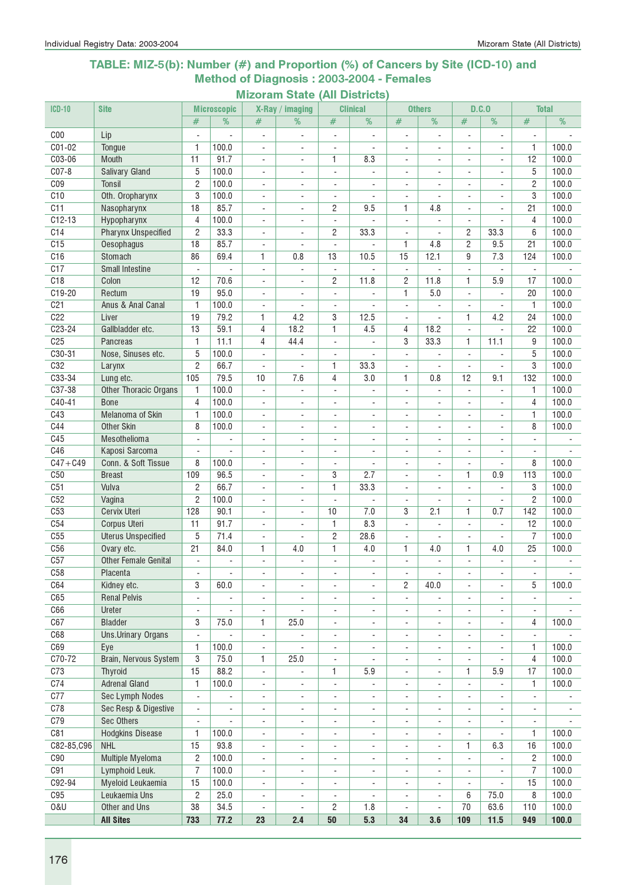### TABLE: MIZ-5(b): Number (#) and Proportion (%) of Cancers by Site (ICD-10) and Method of Diagnosis : 2003-2004 - Females

|                 |                              |                          |                    | IVILAVI                  | Plate                          |                                                      | <b>AIL PRILICIS</b>      |                              |                          |                          |                          |                          |                |
|-----------------|------------------------------|--------------------------|--------------------|--------------------------|--------------------------------|------------------------------------------------------|--------------------------|------------------------------|--------------------------|--------------------------|--------------------------|--------------------------|----------------|
| $ICD-10$        | <b>Site</b>                  |                          | <b>Microscopic</b> |                          | X-Ray / imaging                |                                                      | <b>Clinical</b>          |                              | <b>Others</b>            |                          | D.C.0                    | <b>Total</b>             |                |
|                 |                              | #                        | %                  | #                        | %                              | #                                                    | %                        | #                            | %                        | #                        | %                        | #                        | %              |
| C <sub>00</sub> | Lip                          |                          |                    | $\overline{a}$           |                                | $\overline{a}$                                       |                          | $\overline{a}$               |                          |                          |                          |                          |                |
| C01-02          | Tongue                       | 1                        | 100.0              | ÷,                       | ÷,                             | $\overline{\phantom{a}}$                             |                          | $\overline{\phantom{a}}$     | ÷,                       | $\blacksquare$           | ÷,                       | $\mathbf{1}$             | 100.0          |
| C03-06          | Mouth                        | 11                       | 91.7               | ä,                       | ÷.                             | 1                                                    | 8.3                      | $\blacksquare$               | ÷.                       | ÷.                       | ÷.                       | 12                       | 100.0          |
| $CO7-8$         | <b>Salivary Gland</b>        | 5                        | 100.0              | ÷.                       | $\blacksquare$                 | $\overline{\phantom{a}}$                             | $\blacksquare$           | $\blacksquare$               | ÷,                       | $\blacksquare$           | ÷,                       | 5                        | 100.0          |
| CO <sub>9</sub> | <b>Tonsil</b>                | $\overline{c}$           | 100.0              | ÷,                       | $\sim$                         | $\overline{\phantom{a}}$                             |                          | $\overline{\phantom{a}}$     | ÷,                       | ÷,                       | ٠                        | $\overline{2}$           | 100.0          |
| C10             | Oth. Oropharynx              | 3                        | 100.0              | $\overline{\phantom{a}}$ | $\sim$                         | $\overline{\phantom{a}}$                             |                          | $\overline{\phantom{a}}$     |                          | $\sim$                   | ÷,                       | 3                        | 100.0          |
| C11             | Nasopharynx                  | 18                       | 85.7               | ÷,                       | $\blacksquare$                 | $\overline{c}$                                       | 9.5                      | 1                            | 4.8                      |                          |                          | 21                       | 100.0          |
| $C12-13$        | Hypopharynx                  | 4                        | 100.0              | $\overline{a}$           | $\mathbf{r}$                   | $\overline{\phantom{a}}$                             |                          | $\blacksquare$               | ä,                       |                          |                          | 4                        | 100.0          |
| C14             | <b>Pharynx Unspecified</b>   | $\overline{c}$           | 33.3               | $\overline{\phantom{a}}$ | $\blacksquare$                 | 2                                                    | 33.3                     | $\overline{\phantom{a}}$     | $\blacksquare$           | $\overline{c}$           | 33.3                     | 6                        | 100.0          |
| C15             | Oesophagus                   | 18                       | 85.7               | $\overline{\phantom{a}}$ | $\blacksquare$                 | $\frac{1}{2}$                                        |                          | $\mathbf{1}$                 | 4.8                      | $\overline{c}$           | 9.5                      | 21                       | 100.0          |
| C16             | Stomach                      | 86                       | 69.4               | 1                        | 0.8                            | 13                                                   | 10.5                     | 15                           | 12.1                     | 9                        | 7.3                      | 124                      | 100.0          |
| C17             | <b>Small Intestine</b>       | ÷,                       |                    | $\overline{\phantom{a}}$ | $\overline{\phantom{a}}$       | $\blacksquare$                                       |                          | $\overline{\phantom{a}}$     | ÷,                       | $\blacksquare$           |                          | $\blacksquare$           |                |
| C18             | Colon                        | 12                       | 70.6               | $\overline{\phantom{a}}$ |                                | 2                                                    | 11.8                     | $\overline{c}$               | 11.8                     | 1                        | 5.9                      | 17                       | 100.0          |
| C19-20          | Rectum                       | 19                       | 95.0               | $\overline{a}$           |                                | $\blacksquare$                                       |                          | $\mathbf{1}$                 | 5.0                      |                          |                          | 20                       | 100.0          |
| C <sub>21</sub> | Anus & Anal Canal            | 1                        | 100.0              | ÷.                       | ÷,                             | $\overline{\phantom{a}}$                             |                          | $\overline{\phantom{a}}$     | ÷,                       | ÷.                       |                          | $\mathbf{1}$             | 100.0          |
| C22             | Liver                        | 19                       | 79.2               | $\mathbf{1}$             | 4.2                            | 3                                                    | 12.5                     | $\overline{\phantom{a}}$     | $\blacksquare$           | $\mathbf{1}$             | 4.2                      | 24                       | 100.0          |
| $C23 - 24$      | Gallbladder etc.             | 13                       | 59.1               | 4                        | 18.2                           | 1                                                    | 4.5                      | 4                            | 18.2                     | $\overline{a}$           |                          | 22                       | 100.0          |
| C <sub>25</sub> |                              | $\mathbf{1}$             | 11.1               | 4                        | 44.4                           |                                                      |                          | 3                            | 33.3                     | 1                        | 11.1                     | 9                        | 100.0          |
| $C30-31$        | Pancreas                     | 5                        | 100.0              |                          |                                | $\overline{\phantom{a}}$                             |                          |                              |                          |                          |                          | 5                        | 100.0          |
| C32             | Nose, Sinuses etc.           |                          |                    | $\overline{a}$           |                                | ÷,                                                   |                          | $\overline{\phantom{a}}$     |                          | $\blacksquare$           |                          |                          |                |
|                 | Larynx                       | $\overline{c}$           | 66.7               |                          |                                | 1                                                    | 33.3                     | ÷,                           |                          |                          |                          | 3                        | 100.0          |
| $C33-34$        | Lung etc.                    | 105                      | 79.5               | 10                       | 7.6                            | $\overline{4}$                                       | 3.0                      | 1                            | 0.8                      | 12                       | 9.1                      | 132                      | 100.0          |
| C37-38          | <b>Other Thoracic Organs</b> | 1                        | 100.0              | $\overline{\phantom{a}}$ | $\blacksquare$                 | $\overline{\phantom{a}}$                             | ÷.                       | $\blacksquare$               | $\overline{a}$           | $\blacksquare$           |                          | 1                        | 100.0          |
| C40-41          | <b>Bone</b>                  | $\overline{4}$           | 100.0              | $\overline{\phantom{a}}$ | $\blacksquare$                 | $\overline{\phantom{a}}$                             | $\blacksquare$           | $\blacksquare$               | ä,                       | $\blacksquare$           | ÷.                       | $\overline{4}$           | 100.0          |
| C43             | Melanoma of Skin             | 1                        | 100.0              | $\blacksquare$           | $\blacksquare$                 | $\blacksquare$                                       | $\overline{\phantom{a}}$ | $\overline{\phantom{a}}$     | $\overline{\phantom{a}}$ | $\overline{\phantom{a}}$ | $\overline{\phantom{a}}$ | 1                        | 100.0          |
| C44             | <b>Other Skin</b>            | 8                        | 100.0              | ÷,                       | $\blacksquare$                 | $\overline{\phantom{a}}$                             | $\overline{\phantom{a}}$ | ÷,                           | $\blacksquare$           | ٠                        | ٠                        | 8                        | 100.0          |
| C45             | Mesothelioma                 | $\overline{\phantom{a}}$ |                    | $\overline{\phantom{0}}$ | $\overline{\phantom{a}}$       | $\overline{\phantom{a}}$                             | $\overline{\phantom{a}}$ | $\overline{\phantom{0}}$     | $\overline{\phantom{a}}$ | $\overline{\phantom{a}}$ | $\overline{\phantom{a}}$ | $\overline{\phantom{a}}$ |                |
| C46             | Kaposi Sarcoma               |                          |                    | ۰                        | $\blacksquare$                 | $\overline{a}$                                       |                          | ٠                            | $\blacksquare$           |                          |                          |                          |                |
| $C47 + C49$     | Conn. & Soft Tissue          | 8                        | 100.0              | ÷,                       |                                | ÷,                                                   |                          | ÷,                           | $\overline{a}$           |                          |                          | 8                        | 100.0          |
| C50             | <b>Breast</b>                | 109                      | 96.5               | $\overline{\phantom{a}}$ | ÷,                             | 3                                                    | 2.7                      | $\blacksquare$               | ÷,                       | $\mathbf{1}$             | 0.9                      | 113                      | 100.0          |
| C51             | Vulva                        | $\overline{c}$           | 66.7               | ÷.                       | ÷,                             | 1                                                    | 33.3                     | $\blacksquare$               | ÷                        | ÷.                       | ÷                        | 3                        | 100.0          |
| C52             | Vagina                       | $\overline{2}$           | 100.0              | ÷.                       | ÷,                             | $\overline{\phantom{a}}$                             |                          | ÷,                           | ÷,                       |                          |                          | $\overline{2}$           | 100.0          |
| C53             | Cervix Uteri                 | 128                      | 90.1               | ÷.                       | $\blacksquare$                 | 10                                                   | 7.0                      | 3                            | 2.1                      | 1                        | 0.7                      | 142                      | 100.0          |
| C54             | Corpus Uteri                 | 11                       | 91.7               | $\overline{\phantom{0}}$ | $\sim$                         | $\overline{1}$                                       | 8.3                      | ÷,                           | ÷,                       | $\blacksquare$           | ÷,                       | 12                       | 100.0          |
| C55             | <b>Uterus Unspecified</b>    | 5                        | 71.4               | ٠                        |                                | $\overline{c}$                                       | 28.6                     | ÷,                           |                          |                          |                          | $\overline{7}$           | 100.0          |
| C56             | Ovary etc.                   | 21                       | 84.0               | 1                        | 4.0                            | 1                                                    | 4.0                      | 1                            | 4.0                      | 1                        | 4.0                      | 25                       | 100.0          |
| C57             | <b>Other Female Genital</b>  | $\overline{a}$           |                    |                          |                                | $\overline{a}$                                       |                          |                              |                          |                          |                          | $\overline{a}$           |                |
| C58             | Placenta                     | $\overline{\phantom{a}}$ | $\sim$             | $\overline{a}$           | $\overline{a}$                 | $\overline{\phantom{a}}$                             | $\overline{\phantom{a}}$ | $\blacksquare$               | ä,                       | $\overline{\phantom{a}}$ | ÷,                       | $\blacksquare$           |                |
| C64             | Kidney etc.                  | 3                        | 60.0               | ÷,                       | $\overline{\phantom{a}}$       | ÷,                                                   | $\overline{\phantom{a}}$ | 2                            | 40.0                     | ÷.                       | $\overline{\phantom{0}}$ | 5                        | 100.0          |
| C65             | <b>Renal Pelvis</b>          | $\blacksquare$           | $\frac{1}{2}$      | $\overline{\phantom{0}}$ | $\overline{\phantom{a}}$       | $\overline{\phantom{a}}$                             | ٠                        | $\blacksquare$               | $\blacksquare$           | $\overline{\phantom{a}}$ | ٠                        | $\blacksquare$           | $\blacksquare$ |
| C66             | Ureter                       | $\blacksquare$           |                    | ÷,                       | $\overline{a}$                 | $\overline{\phantom{a}}$                             | $\overline{\phantom{a}}$ | $\overline{a}$               | $\blacksquare$           | ÷,                       | $\overline{\phantom{a}}$ | $\overline{\phantom{a}}$ |                |
| C67             | <b>Bladder</b>               | 3                        | 75.0               | 1                        | 25.0                           | $\blacksquare$                                       | $\overline{\phantom{a}}$ | $\overline{\phantom{a}}$     | ÷,                       | ÷,                       | ÷.                       | 4                        | 100.0          |
| C68             | Uns.Urinary Organs           | $\blacksquare$           |                    | $\overline{\phantom{0}}$ |                                | $\blacksquare$                                       | $\overline{\phantom{a}}$ | $\overline{\phantom{0}}$     | $\blacksquare$           | $\overline{\phantom{0}}$ | $\overline{\phantom{0}}$ | $\blacksquare$           |                |
| C69             | Eye                          | 1                        | 100.0              | ۰                        |                                | ۰                                                    | $\overline{\phantom{a}}$ | $\overline{\phantom{a}}$     | ۰                        | $\overline{\phantom{a}}$ | ۰                        | 1                        | 100.0          |
| $C70-72$        | <b>Brain, Nervous System</b> | $\overline{3}$           | 75.0               | 1                        | 25.0                           | $\overline{\phantom{a}}$                             | $\overline{\phantom{a}}$ | $\overline{\phantom{0}}$     | $\overline{\phantom{a}}$ | ٠                        | ÷,                       | $\overline{4}$           | 100.0          |
| C73             | Thyroid                      | 15                       | 88.2               | $\overline{\phantom{a}}$ |                                | 1                                                    | 5.9                      | $\blacksquare$               | ÷,                       | 1                        | 5.9                      | 17                       | 100.0          |
| C74             | <b>Adrenal Gland</b>         | 1                        | 100.0              | $\overline{\phantom{0}}$ | $\overline{\phantom{a}}$       | $\overline{\phantom{a}}$                             |                          | $\overline{a}$               | ÷,                       | $\overline{a}$           |                          | 1                        | 100.0          |
| C77             | Sec Lymph Nodes              | $\overline{\phantom{a}}$ |                    |                          |                                |                                                      |                          | $\overline{\phantom{m}}$     | $\overline{\phantom{a}}$ | ÷,                       |                          | $\overline{\phantom{a}}$ |                |
| C78             | Sec Resp & Digestive         | $\overline{\phantom{a}}$ | ÷,                 | -<br>$\blacksquare$      | $\overline{\phantom{a}}$<br>÷, | $\overline{\phantom{a}}$<br>$\overline{\phantom{a}}$ |                          | $\blacksquare$               | ÷,                       | ÷.                       | $\blacksquare$           | $\overline{\phantom{a}}$ |                |
|                 |                              |                          |                    |                          |                                |                                                      | $\overline{\phantom{a}}$ |                              |                          |                          |                          |                          |                |
| C79             | Sec Others                   | $\overline{\phantom{a}}$ | ÷.                 | $\overline{\phantom{0}}$ | $\overline{\phantom{a}}$       | $\overline{\phantom{a}}$                             | $\overline{\phantom{a}}$ | ÷,                           | ÷,                       | $\overline{\phantom{a}}$ | $\overline{\phantom{a}}$ | $\overline{\phantom{a}}$ |                |
| C81             | <b>Hodgkins Disease</b>      | 1                        | 100.0              | $\overline{\phantom{a}}$ | ÷,                             | $\overline{\phantom{a}}$                             | $\overline{\phantom{a}}$ | ÷,                           | ÷,                       | ÷,                       |                          | 1                        | 100.0          |
| C82-85,C96      | <b>NHL</b>                   | 15                       | 93.8               | $\overline{\phantom{a}}$ | $\overline{a}$                 | $\overline{\phantom{a}}$                             | $\overline{\phantom{a}}$ | $\overline{\phantom{a}}$     | ÷,                       | 1                        | 6.3                      | 16                       | 100.0          |
| C90             | Multiple Myeloma             | $\mathbf{2}$             | 100.0              | ÷,                       | $\blacksquare$                 | $\overline{\phantom{a}}$                             | $\blacksquare$           | ÷,                           | $\blacksquare$           | $\blacksquare$           |                          | $\overline{c}$           | 100.0          |
| C91             | Lymphoid Leuk.               | $\overline{7}$           | 100.0              | ÷,                       | $\blacksquare$                 | $\blacksquare$                                       | $\blacksquare$           | $\blacksquare$               | $\blacksquare$           | $\blacksquare$           | ÷.                       | $\overline{7}$           | 100.0          |
| C92-94          | Myeloid Leukaemia            | 15                       | 100.0              | ÷,                       | $\overline{\phantom{a}}$       | $\overline{\phantom{a}}$                             | $\overline{\phantom{a}}$ | ÷,                           | $\blacksquare$           | ÷,                       |                          | 15                       | 100.0          |
| C95             | Leukaemia Uns                | $\mathbf{2}$             | 25.0               | ۰                        | $\overline{\phantom{a}}$       | $\overline{a}$                                       |                          | $\qquad \qquad \blacksquare$ | $\overline{\phantom{a}}$ | 6                        | 75.0                     | 8                        | 100.0          |
| 0&U             | Other and Uns                | 38                       | 34.5               | ÷,                       | $\overline{\phantom{a}}$       | $\overline{c}$                                       | 1.8                      | ÷,                           | ÷,                       | 70                       | 63.6                     | 110                      | 100.0          |
|                 | <b>All Sites</b>             | 733                      | 77.2               | 23                       | 2.4                            | ${\bf 50}$                                           | 5.3                      | 34                           | 3.6                      | 109                      | $11.5$                   | 949                      | 100.0          |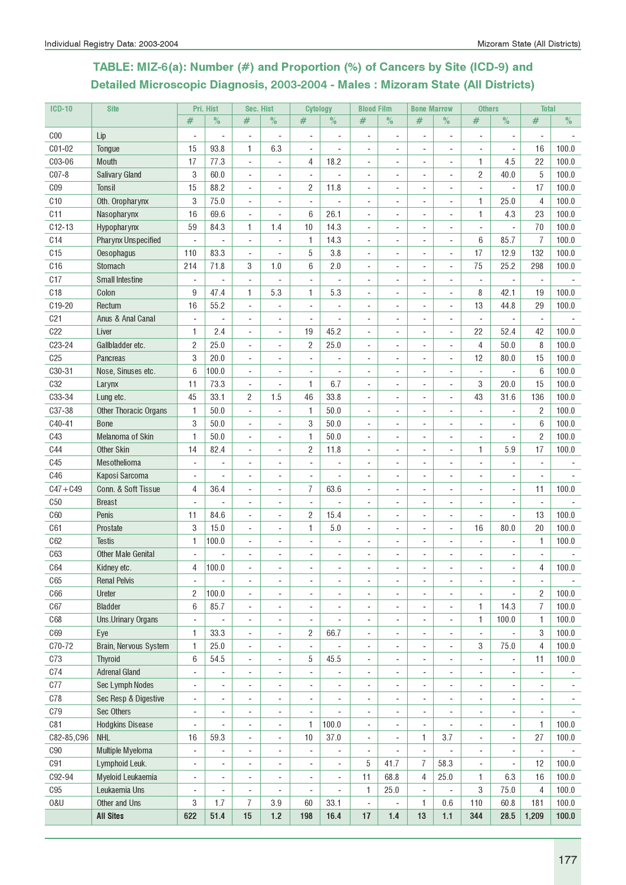# TABLE: MIZ-6(a): Number (#) and Proportion (%) of Cancers by Site (ICD-9) and Detailed Microscopic Diagnosis, 2003-2004 - Males : Mizoram State (All Districts)

| <b>ICD-10</b>   | <b>Site</b>                  |     | Pri. Hist                | Sec. Hist                |                              | <b>Cytology</b>          |                          | <b>Blood Film</b>        |                          | <b>Bone Marrow</b>       |                          | <b>Others</b>            |                              | <b>Total</b>             |       |
|-----------------|------------------------------|-----|--------------------------|--------------------------|------------------------------|--------------------------|--------------------------|--------------------------|--------------------------|--------------------------|--------------------------|--------------------------|------------------------------|--------------------------|-------|
|                 |                              | #   | $\%$                     | #                        | $\%$                         | #                        | $\%$                     | #                        | $\%$                     | #                        | $\%$                     | #                        | $\%$                         | $\#$                     | $\%$  |
| C <sub>00</sub> | Lip                          |     | $\overline{a}$           | $\overline{a}$           | $\overline{a}$               | $\overline{\phantom{a}}$ |                          |                          |                          |                          | $\overline{a}$           | $\overline{\phantom{a}}$ | $\qquad \qquad \blacksquare$ |                          |       |
| C01-02          | Tongue                       | 15  | 93.8                     | 1                        | 6.3                          | $\overline{\phantom{a}}$ | $\blacksquare$           | $\overline{\phantom{a}}$ | ٠                        | $\overline{\phantom{a}}$ | $\overline{\phantom{a}}$ | $\overline{\phantom{a}}$ | $\overline{\phantom{a}}$     | 16                       | 100.0 |
| C03-06          | Mouth                        | 17  | 77.3                     | $\overline{\phantom{a}}$ | ÷,                           | 4                        | 18.2                     | $\blacksquare$           | $\blacksquare$           | $\blacksquare$           | $\overline{\phantom{a}}$ | 1                        | 4.5                          | 22                       | 100.0 |
| $C07-8$         | <b>Salivary Gland</b>        | 3   | 60.0                     | $\blacksquare$           |                              | $\overline{\phantom{a}}$ |                          | ä,                       |                          |                          | ÷,                       | 2                        | 40.0                         | 5                        | 100.0 |
| C <sub>09</sub> | Tonsil                       | 15  | 88.2                     | ÷,                       |                              | $\overline{c}$           | 11.8                     |                          |                          |                          | ÷,                       |                          |                              | 17                       | 100.0 |
| C10             | Oth. Oropharynx              | 3   | 75.0                     | ÷,                       |                              |                          |                          |                          |                          |                          | $\overline{\phantom{a}}$ | 1                        | 25.0                         | 4                        | 100.0 |
| C11             | Nasopharynx                  | 16  | 69.6                     | ÷,                       | ä,                           | 6                        | 26.1                     |                          |                          | $\blacksquare$           | ÷,                       | 1                        | 4.3                          | 23                       | 100.0 |
| $C12-13$        | Hypopharynx                  | 59  | 84.3                     | 1                        | 1.4                          | 10                       | 14.3                     |                          |                          | $\sim$                   | $\overline{\phantom{a}}$ |                          |                              | 70                       | 100.0 |
| C14             | <b>Pharynx Unspecified</b>   | ÷,  | ÷.                       | $\overline{\phantom{a}}$ | ä,                           | 1                        | 14.3                     | $\overline{\phantom{a}}$ | ÷                        | ÷.                       | $\overline{\phantom{a}}$ | 6                        | 85.7                         | $\overline{7}$           | 100.0 |
| C15             | Oesophagus                   | 110 | 83.3                     | ÷,                       | ÷,                           | 5                        | 3.8                      | ä,                       | ÷                        | ÷                        | $\overline{\phantom{a}}$ | 17                       | 12.9                         | 132                      | 100.0 |
| C16             | Stomach                      | 214 | 71.8                     | 3                        | 1.0                          | 6                        | 2.0                      |                          |                          |                          | ÷,                       | 75                       | 25.2                         | 298                      | 100.0 |
| C17             | <b>Small Intestine</b>       | ÷,  |                          |                          |                              |                          |                          |                          |                          |                          |                          |                          |                              |                          |       |
| C18             | Colon                        | 9   | 47.4                     | 1                        | 5.3                          | 1.                       | 5.3                      |                          |                          |                          |                          | 8                        | 42.1                         | 19                       | 100.0 |
| C19-20          | Rectum                       | 16  | 55.2                     | $\overline{a}$           | $\qquad \qquad \blacksquare$ |                          |                          |                          |                          |                          | $\overline{\phantom{a}}$ | 13                       | 44.8                         | 29                       | 100.0 |
| C <sub>21</sub> | Anus & Anal Canal            | ÷   | $\overline{a}$           | $\overline{\phantom{a}}$ | $\overline{a}$               | $\overline{\phantom{a}}$ | $\overline{a}$           | $\overline{a}$           |                          | $\blacksquare$           | $\overline{\phantom{a}}$ | $\overline{\phantom{a}}$ | $\blacksquare$               | $\overline{\phantom{a}}$ |       |
| C22             | Liver                        | 1   | 2.4                      | $\overline{\phantom{a}}$ | $\overline{\phantom{a}}$     | 19                       | 45.2                     | $\sim$                   | $\blacksquare$           | $\blacksquare$           | $\overline{\phantom{a}}$ | 22                       | 52.4                         | 42                       | 100.0 |
| C23-24          | Gallbladder etc.             | 2   | 25.0                     | $\overline{\phantom{a}}$ | ä,                           | $\overline{c}$           | 25.0                     | $\overline{\phantom{a}}$ | ÷                        |                          | $\blacksquare$           | $\overline{4}$           | 50.0                         | 8                        | 100.0 |
| C <sub>25</sub> | <b>Pancreas</b>              | 3   | 20.0                     | ä,                       |                              | L.                       |                          |                          |                          |                          | $\overline{\phantom{a}}$ | 12                       | 80.0                         | 15                       | 100.0 |
| C30-31          | Nose, Sinuses etc.           | 6   | 100.0                    | ÷,                       |                              |                          |                          |                          |                          |                          | ÷,                       |                          |                              | 6                        | 100.0 |
| <b>C32</b>      | Larynx                       | 11  | 73.3                     | ÷,                       | ä,                           | 1                        | 6.7                      |                          |                          | ÷                        | ÷,                       | 3                        | 20.0                         | 15                       | 100.0 |
| C33-34          | Lung etc.                    | 45  | 33.1                     | $\overline{c}$           | 1.5                          | 46                       | 33.8                     | $\overline{\phantom{a}}$ |                          |                          | ÷,                       | 43                       | 31.6                         | 136                      | 100.0 |
| C37-38          | <b>Other Thoracic Organs</b> | 1   | 50.0                     | ÷,                       | $\blacksquare$               | 1                        | 50.0                     | $\sim$                   | $\overline{\phantom{a}}$ |                          | $\blacksquare$           | ٠                        | $\blacksquare$               | $\overline{c}$           | 100.0 |
| C40-41          | <b>Bone</b>                  | 3   | 50.0                     | ÷,                       | $\overline{a}$               | 3                        | 50.0                     | ÷                        |                          | $\sim$                   | $\blacksquare$           |                          |                              | 6                        | 100.0 |
| C43             | Melanoma of Skin             | 1   | 50.0                     |                          |                              | 1                        | 50.0                     |                          |                          |                          |                          |                          |                              | $\overline{c}$           | 100.0 |
| <b>C44</b>      | <b>Other Skin</b>            | 14  | 82.4                     |                          |                              | $\overline{2}$           | 11.8                     |                          |                          |                          |                          | 1                        | 5.9                          | 17                       | 100.0 |
| C <sub>45</sub> | Mesothelioma                 | ÷   |                          |                          |                              |                          |                          |                          |                          |                          |                          |                          |                              |                          |       |
| C46             | Kaposi Sarcoma               | ÷,  |                          |                          |                              |                          |                          |                          |                          |                          |                          |                          |                              | $\overline{\phantom{a}}$ |       |
| $C47 + C49$     | Conn. & Soft Tissue          | 4   | 36.4                     | ÷,                       | ä,                           | $\overline{7}$           | 63.6                     |                          |                          |                          | ÷,                       | ÷,                       | $\overline{\phantom{a}}$     | 11                       | 100.0 |
| C50             | <b>Breast</b>                | ÷,  |                          | $\sim$                   | $\blacksquare$               | $\blacksquare$           |                          | $\sim$                   | $\overline{\phantom{a}}$ | $\sim$                   | $\sim$                   | ÷,                       | $\overline{\phantom{a}}$     | $\blacksquare$           |       |
| <b>C60</b>      | Penis                        | 11  | 84.6                     | $\sim$                   | ÷.                           | $\overline{2}$           | 15.4                     | ÷                        | ÷.                       | ÷                        | $\sim$                   | ÷                        | ÷.                           | 13                       | 100.0 |
| C61             | Prostate                     | 3   | 15.0                     | ÷,                       |                              | 1                        | $5.0\,$                  |                          |                          |                          | ÷,                       | 16                       | 80.0                         | 20                       | 100.0 |
| C62             | <b>Testis</b>                | 1   | 100.0                    | ÷,                       |                              |                          |                          |                          |                          |                          | $\overline{\phantom{a}}$ |                          |                              | 1                        | 100.0 |
| C63             | <b>Other Male Genital</b>    |     |                          | ÷                        |                              |                          |                          |                          |                          |                          |                          |                          |                              |                          |       |
| C <sub>64</sub> | Kidney etc.                  | 4   | 100.0                    |                          |                              |                          |                          |                          |                          |                          |                          |                          |                              | $\overline{4}$           | 100.0 |
| C65             | <b>Renal Pelvis</b>          | ÷,  | $\overline{\phantom{a}}$ | $\overline{\phantom{a}}$ | $\overline{a}$               | $\overline{a}$           | $\overline{a}$           | $\overline{a}$           | $\blacksquare$           | $\overline{\phantom{a}}$ | $\overline{a}$           | $\overline{a}$           | $\overline{\phantom{a}}$     | $\overline{\phantom{a}}$ |       |
| C66             | Ureter                       | 2   | 100.0                    | $\blacksquare$           | $\overline{a}$               | ÷.                       |                          |                          |                          | $\blacksquare$           | $\blacksquare$           | ٠                        |                              | $\overline{c}$           | 100.0 |
| C67             | <b>Bladder</b>               | 6   | 85.7                     | ÷,                       |                              |                          |                          |                          |                          |                          | ÷,                       | 1                        | 14.3                         | $\overline{7}$           | 100.0 |
| C68             | Uns.Urinary Organs           | ÷,  | $\blacksquare$           | ÷,                       |                              |                          |                          |                          |                          |                          | ÷,                       | 1                        | 100.0                        | 1                        | 100.0 |
| C69             | Eye                          | 1   | 33.3                     | $\overline{\phantom{a}}$ | ä,                           | $\overline{\mathbf{c}}$  | 66.7                     | $\overline{\phantom{a}}$ |                          |                          | $\overline{\phantom{a}}$ | $\blacksquare$           |                              | 3                        | 100.0 |
| C70-72          | Brain, Nervous System        | 1   | 25.0                     | $\overline{\phantom{a}}$ | $\overline{a}$               | $\overline{\phantom{a}}$ |                          | ÷,                       |                          | $\overline{\phantom{a}}$ | $\overline{\phantom{a}}$ | 3                        | 75.0                         | $\overline{4}$           | 100.0 |
| C73             | Thyroid                      | 6   | 54.5                     | $\overline{\phantom{a}}$ | ÷,                           | 5                        | 45.5                     | ä,                       |                          | $\sim$                   | $\overline{\phantom{a}}$ | $\overline{\phantom{a}}$ | $\blacksquare$               | 11                       | 100.0 |
| C74             | <b>Adrenal Gland</b>         | ÷,  |                          | $\overline{\phantom{a}}$ | $\overline{a}$               | $\overline{\phantom{a}}$ |                          | ÷,                       | $\overline{\phantom{a}}$ | $\blacksquare$           | $\overline{\phantom{a}}$ | ÷                        | $\blacksquare$               | $\blacksquare$           |       |
| C77             | Sec Lymph Nodes              | ÷,  | ÷,                       | $\overline{a}$           | $\blacksquare$               | $\overline{\phantom{a}}$ | $\overline{a}$           | $\blacksquare$           | $\blacksquare$           | $\blacksquare$           | $\overline{a}$           | ٠                        | $\blacksquare$               | ٠                        | ٠     |
| C78             | Sec Resp & Digestive         | ۰   |                          | ÷                        |                              | ÷,                       |                          |                          |                          |                          | ÷,                       | ÷                        |                              | $\overline{\phantom{0}}$ |       |
| <b>C79</b>      | Sec Others                   | ÷,  |                          | ÷,                       |                              |                          |                          |                          |                          |                          |                          |                          |                              |                          |       |
| C81             | <b>Hodgkins Disease</b>      | ÷   |                          | $\overline{\phantom{a}}$ | $\qquad \qquad \blacksquare$ | 1                        | 100.0                    |                          |                          | $\blacksquare$           |                          | $\overline{a}$           | ÷                            | 1                        | 100.0 |
| C82-85, C96     | <b>NHL</b>                   | 16  | 59.3                     | $\overline{\phantom{a}}$ | $\overline{a}$               | 10                       | 37.0                     | $\overline{\phantom{a}}$ |                          | 1                        | 3.7                      | $\overline{a}$           | ÷                            | 27                       | 100.0 |
| ${\rm C}90$     | Multiple Myeloma             | ÷,  |                          | $\overline{\phantom{a}}$ | ÷,                           | ÷,                       |                          | $\overline{\phantom{a}}$ |                          |                          |                          | ÷,                       | $\blacksquare$               | $\blacksquare$           |       |
| C91             | Lymphoid Leuk.               | ÷.  | $\overline{\phantom{a}}$ | $\sim$                   | ä,                           | $\blacksquare$           | $\overline{\phantom{a}}$ | 5                        | 41.7                     | 7                        | 58.3                     | ÷,                       | $\overline{\phantom{a}}$     | 12                       | 100.0 |
| C92-94          | Myeloid Leukaemia            | ÷,  | ÷,                       | ÷,                       | ä,                           | ÷,                       | ÷,                       | 11                       | 68.8                     | 4                        | 25.0                     | 1                        | 6.3                          | 16                       | 100.0 |
| C95             | Leukaemia Uns                | ÷,  | ÷,                       | ÷,                       |                              | ÷,                       | ÷,                       | 1                        | 25.0                     | $\blacksquare$           | ÷,                       | 3                        | 75.0                         | 4                        | 100.0 |
| <b>0&amp;U</b>  | Other and Uns                | 3   | 1.7                      | $\overline{I}$           | 3.9                          | 60                       | 33.1                     | $\overline{a}$           |                          | 1                        | 0.6                      | 110                      | 60.8                         | 181                      | 100.0 |
|                 | <b>All Sites</b>             | 622 | 51.4                     | 15                       | $1.2$                        | 198                      | 16.4                     | 17                       | 1.4                      | 13                       | $1.1$                    | 344                      | 28.5                         | 1,209                    | 100.0 |
|                 |                              |     |                          |                          |                              |                          |                          |                          |                          |                          |                          |                          |                              |                          |       |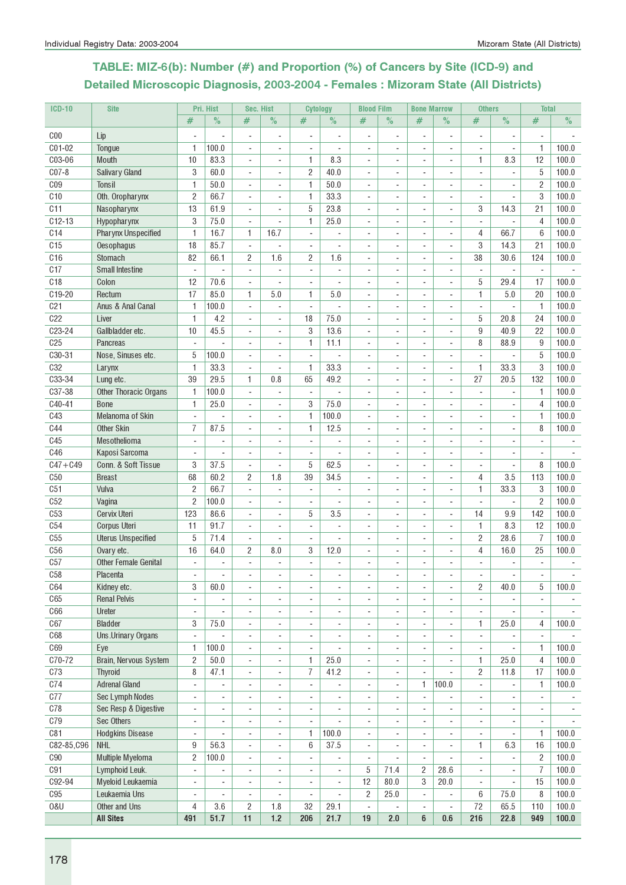# TABLE: MIZ-6(b): Number (#) and Proportion (%) of Cancers by Site (ICD-9) and Detailed Microscopic Diagnosis, 2003-2004 - Females : Mizoram State (All Districts)

| <b>ICD-10</b>   | <b>Site</b>                 |                          | Pri. Hist                | <b>Sec. Hist</b>         |                          | <b>Cytology</b>          |                              | <b>Blood Film</b>        |                          | <b>Bone Marrow</b>           |                          | <b>Others</b>                |                | <b>Total</b>             |       |
|-----------------|-----------------------------|--------------------------|--------------------------|--------------------------|--------------------------|--------------------------|------------------------------|--------------------------|--------------------------|------------------------------|--------------------------|------------------------------|----------------|--------------------------|-------|
|                 |                             | $\#$                     | $\%$                     | #                        | $\%$                     | #                        | $\%$                         | #                        | $\%$                     | #                            | $\%$                     | #                            | $\%$           | #                        | $\%$  |
| C <sub>00</sub> | Lip                         |                          |                          | ÷,                       | ÷,                       | $\overline{\phantom{a}}$ | ä,                           | $\sim$                   | $\overline{\phantom{a}}$ | ÷,                           | $\overline{\phantom{a}}$ | $\overline{\phantom{a}}$     | ÷,             | $\blacksquare$           |       |
| C01-02          | Tongue                      | 1                        | 100.0                    | $\overline{\phantom{a}}$ | ÷,                       |                          | ÷                            |                          |                          |                              | $\overline{a}$           | $\blacksquare$               | ٠              | 1                        | 100.0 |
| C03-06          | <b>Mouth</b>                | 10                       | 83.3                     | $\overline{\phantom{a}}$ | $\overline{\phantom{a}}$ | 1.                       | 8.3                          | ÷.                       |                          |                              | ÷,                       | 1                            | 8.3            | 12                       | 100.0 |
| $C07-8$         | <b>Salivary Gland</b>       | 3                        | 60.0                     | ÷,                       |                          | $\sqrt{2}$               | 40.0                         |                          |                          |                              |                          |                              |                | 5                        | 100.0 |
| C <sub>09</sub> | Tonsil                      | 1                        | 50.0                     | $\overline{\phantom{a}}$ | ٠                        | 1                        | 50.0                         |                          |                          |                              | $\overline{a}$           | $\blacksquare$               |                | $\overline{2}$           | 100.0 |
| C10             | Oth. Oropharynx             | $\overline{c}$           | 66.7                     | $\sim$                   | ÷                        | $\mathbf{1}$             | 33.3                         | ÷.                       |                          | $\sim$                       | $\overline{a}$           | ÷.                           | ä,             | 3                        | 100.0 |
| C <sub>11</sub> | Nasopharynx                 | 13                       | 61.9                     | $\blacksquare$           | L.                       | 5                        | 23.8                         | ÷.                       |                          |                              | ä,                       | 3                            | 14.3           | 21                       | 100.0 |
| $C12-13$        | Hypopharynx                 | 3                        | 75.0                     | ÷,                       |                          | 1                        | 25.0                         | $\sim$                   |                          |                              | $\overline{\phantom{a}}$ | $\blacksquare$               |                | 4                        | 100.0 |
| C14             | <b>Pharynx Unspecified</b>  | 1                        | 16.7                     | 1                        | 16.7                     | $\overline{\phantom{a}}$ |                              |                          |                          |                              | $\overline{a}$           | 4                            | 66.7           | $6\phantom{1}$           | 100.0 |
| C15             | Oesophagus                  | 18                       | 85.7                     | $\blacksquare$           |                          |                          |                              |                          |                          |                              | $\overline{a}$           | 3                            | 14.3           | 21                       | 100.0 |
| C16             | Stomach                     | 82                       | 66.1                     | $\overline{2}$           | 1.6                      | $\overline{c}$           | 1.6                          |                          |                          |                              | ä,                       | 38                           | 30.6           | 124                      | 100.0 |
| C17             | <b>Small Intestine</b>      | $\overline{\phantom{a}}$ | L.                       | $\overline{\phantom{a}}$ | $\blacksquare$           | $\overline{\phantom{a}}$ | ä,                           | ä,                       |                          |                              | ÷,                       | $\blacksquare$               | ÷,             | $\overline{\phantom{a}}$ |       |
| C <sub>18</sub> | Colon                       | 12                       | 70.6                     | $\overline{\phantom{a}}$ | ä,                       | $\blacksquare$           | ä,                           | $\sim$                   |                          |                              | $\overline{\phantom{a}}$ | 5                            | 29.4           | 17                       | 100.0 |
| C19-20          | Rectum                      | 17                       | 85.0                     | 1                        | 5.0                      | 1                        | 5.0                          | $\sim$                   | $\blacksquare$           | ٠                            | $\overline{\phantom{a}}$ | $\mathbf{1}$                 | $5.0\,$        | 20                       | 100.0 |
| C <sub>21</sub> | Anus & Anal Canal           | $\mathbf{1}$             | 100.0                    | $\blacksquare$           | $\blacksquare$           | $\overline{\phantom{a}}$ |                              | $\blacksquare$           | $\sim$                   | $\sim$                       | $\overline{\phantom{a}}$ | $\blacksquare$               | ÷,             | 1                        | 100.0 |
| C <sub>22</sub> | Liver                       | 1                        | 4.2                      | $\blacksquare$           | $\blacksquare$           | 18                       | 75.0                         | $\blacksquare$           |                          |                              | $\overline{\phantom{a}}$ | 5                            | 20.8           | 24                       | 100.0 |
| $C23 - 24$      | Gallbladder etc.            | 10                       | 45.5                     | $\overline{\phantom{a}}$ | ٠                        | 3                        | 13.6                         | $\sim$                   |                          |                              | $\overline{\phantom{a}}$ | 9                            | 40.9           | 22                       | 100.0 |
| C <sub>25</sub> | Pancreas                    |                          |                          | ÷,                       | ÷,                       | 1                        | 11.1                         |                          |                          |                              | $\overline{a}$           | 8                            | 88.9           | 9                        | 100.0 |
| C30-31          | Nose, Sinuses etc.          | 5                        | 100.0                    |                          |                          | $\sim$                   |                              |                          |                          |                              |                          |                              |                | 5                        | 100.0 |
| <b>C32</b>      | Larynx                      | 1                        | 33.3                     | ÷,                       |                          | 1                        | 33.3                         |                          |                          |                              |                          | 1                            | 33.3           | 3                        | 100.0 |
| C33-34          | Lung etc.                   | 39                       | 29.5                     | $\mathbf{1}$             | 0.8                      | 65                       | 49.2                         | $\overline{a}$           | ÷                        | ÷                            | $\overline{\phantom{a}}$ | 27                           | 20.5           | 132                      | 100.0 |
| C37-38          | Other Thoracic Organs       | 1                        | 100.0                    | $\overline{\phantom{a}}$ | ÷.                       | $\overline{\phantom{a}}$ | L.                           | ÷.                       |                          | $\overline{a}$               | ä,                       | $\sim$                       | ä,             | 1                        | 100.0 |
| $C40-41$        | <b>Bone</b>                 | 1                        | 25.0                     | ÷,                       | ä,                       | 3                        | 75.0                         |                          |                          |                              | $\overline{\phantom{a}}$ | $\overline{\phantom{a}}$     | ÷.             | 4                        | 100.0 |
| C43             | Melanoma of Skin            |                          |                          | $\overline{a}$           | $\overline{a}$           | 1                        | 100.0                        |                          |                          |                              | $\overline{a}$           | $\overline{\phantom{a}}$     |                | 1                        | 100.0 |
| <b>C44</b>      | <b>Other Skin</b>           | 7                        | 87.5                     | $\blacksquare$           | ٠                        | 1                        | 12.5                         | ÷.                       |                          | $\sim$                       | $\overline{\phantom{a}}$ | $\overline{\phantom{a}}$     |                | 8                        | 100.0 |
| <b>C45</b>      | Mesothelioma                | $\mathbf{r}$             |                          | ÷,                       | L.                       | ä,                       |                              |                          |                          |                              | ÷,                       |                              |                |                          |       |
| C46             | Kaposi Sarcoma              | $\blacksquare$           |                          | $\blacksquare$           | ä,                       | $\overline{\phantom{a}}$ |                              | ÷.                       |                          |                              | $\overline{\phantom{a}}$ |                              |                | ÷.                       |       |
| $C47 + C49$     | Conn. & Soft Tissue         | 3                        | 37.5                     | $\overline{\phantom{a}}$ | ÷,                       | 5                        | 62.5                         | $\sim$                   |                          |                              | $\overline{a}$           | $\overline{\phantom{a}}$     | ÷,             | 8                        | 100.0 |
| C50             | <b>Breast</b>               | 68                       | 60.2                     | $\overline{c}$           | 1.8                      | 39                       | 34.5                         | $\mathbf{r}$             | $\blacksquare$           | $\blacksquare$               | $\overline{\phantom{a}}$ | 4                            | 3.5            | 113                      | 100.0 |
| C <sub>51</sub> | Vulva                       | $\sqrt{2}$               | 66.7                     | $\blacksquare$           | ÷,                       | $\blacksquare$           | ÷,                           | $\blacksquare$           | ÷                        | $\sim$                       | $\overline{\phantom{a}}$ | 1                            | 33.3           | 3                        | 100.0 |
| C52             | Vagina                      | $\overline{c}$           | 100.0                    | $\blacksquare$           | ä,                       | $\blacksquare$           | ÷,                           | ÷.                       |                          |                              | $\overline{\phantom{a}}$ | ÷,                           | ÷,             | $\overline{2}$           | 100.0 |
| C53             | Cervix Uteri                | 123                      | 86.6                     | $\overline{\phantom{a}}$ | $\overline{a}$           | 5                        | 3.5                          |                          |                          |                              | $\overline{\phantom{a}}$ | 14                           | 9.9            | 142                      | 100.0 |
| C54             | Corpus Uteri                | 11                       | 91.7                     | $\overline{a}$           | ÷,                       |                          |                              |                          |                          |                              | $\overline{\phantom{a}}$ | 1                            | 8.3            | 12                       | 100.0 |
| C55             | <b>Uterus Unspecified</b>   | 5                        | 71.4                     | ÷,                       | ä,                       |                          |                              |                          |                          |                              |                          | $\overline{c}$               | 28.6           | $\overline{7}$           | 100.0 |
| C56             | Ovary etc.                  | 16                       | 64.0                     | $\overline{c}$           | 8.0                      | 3                        | 12.0                         |                          |                          |                              |                          | $\overline{4}$               | 16.0           | 25                       | 100.0 |
| C57             | <b>Other Female Genital</b> | $\blacksquare$           | ÷                        | $\blacksquare$           | ä,                       | $\sim$                   | ä,                           |                          |                          |                              |                          | $\overline{\phantom{a}}$     | ÷              | $\sim$                   |       |
| C58             | Placenta                    | $\overline{a}$           | $\overline{\phantom{a}}$ | $\overline{\phantom{a}}$ | $\overline{\phantom{0}}$ |                          |                              |                          |                          |                              | $\overline{\phantom{a}}$ | $\overline{\phantom{a}}$     | ٠              | $\overline{\phantom{a}}$ |       |
| <b>C64</b>      | Kidney etc.                 | 3                        | 60.0                     | $\overline{\phantom{a}}$ | ÷,                       | $\blacksquare$           |                              | $\sim$                   | $\overline{\phantom{a}}$ | $\sim$                       | $\sim$                   | $\overline{2}$               | 40.0           | 5                        | 100.0 |
| C65             | <b>Renal Pelvis</b>         | $\overline{\phantom{a}}$ |                          | ÷,                       | ÷,                       | $\overline{\phantom{a}}$ |                              |                          |                          | ä,                           | ÷,                       | $\overline{\phantom{a}}$     |                | $\overline{\phantom{a}}$ |       |
| C66             | Ureter                      | ÷                        |                          | ÷,                       | ÷,                       | $\blacksquare$           |                              |                          |                          | ٠                            |                          | $\blacksquare$               |                |                          |       |
| C67             | <b>Bladder</b>              | 3                        | 75.0                     | $\overline{\phantom{a}}$ | L.                       | $\overline{\phantom{a}}$ | ä,                           | $\blacksquare$           | ÷.                       | $\overline{\phantom{a}}$     | $\overline{\phantom{a}}$ | $\mathbf{1}$                 | 25.0           | 4                        | 100.0 |
| <b>C68</b>      | Uns.Urinary Organs          | $\blacksquare$           |                          | ÷,                       |                          | ÷,                       |                              |                          |                          |                              |                          | ÷.                           |                | $\blacksquare$           |       |
| C69             | Eye                         | 1                        | 100.0                    | $\overline{\phantom{a}}$ | ÷,                       | $\overline{\phantom{a}}$ |                              |                          |                          | ٠                            | $\overline{a}$           | $\overline{\phantom{a}}$     | ÷,             | 1                        | 100.0 |
| C70-72          | Brain, Nervous System       | $\overline{c}$           | 50.0                     | $\overline{\phantom{a}}$ | ÷.                       | 1                        | 25.0                         | $\blacksquare$           | $\blacksquare$           | $\overline{\phantom{a}}$     | $\overline{\phantom{a}}$ | $\mathbf{1}$                 | 25.0           | 4                        | 100.0 |
| C73             | Thyroid                     | 8                        | 47.1                     | $\blacksquare$           | ÷.                       | $\overline{7}$           | 41.2                         | $\blacksquare$           | $\blacksquare$           | $\blacksquare$               | $\overline{\phantom{a}}$ | $\overline{c}$               | 11.8           | 17                       | 100.0 |
| C74             | <b>Adrenal Gland</b>        | ÷,                       | ÷,                       | ÷,                       | ä,                       | ÷,                       | ÷,                           | ä,                       | $\sim$                   | 1                            | 100.0                    | $\overline{\phantom{a}}$     | ÷,             | 1                        | 100.0 |
| C77             | Sec Lymph Nodes             | $\overline{\phantom{0}}$ | $\overline{a}$           | $\overline{\phantom{a}}$ | $\overline{\phantom{a}}$ | $\overline{\phantom{a}}$ | $\qquad \qquad \blacksquare$ |                          |                          | $\overline{\phantom{a}}$     |                          | $\qquad \qquad \blacksquare$ | ٠              | ۰                        |       |
| C78             | Sec Resp & Digestive        | ۰                        |                          | $\overline{a}$           | $\overline{\phantom{0}}$ | $\overline{\phantom{a}}$ | $\overline{a}$               |                          |                          | $\qquad \qquad \blacksquare$ | $\overline{a}$           | $\qquad \qquad \blacksquare$ | ٠              | ۰                        |       |
| C79             | Sec Others                  | ÷,                       |                          | $\blacksquare$           | ÷,                       | ä,                       |                              |                          |                          |                              | $\overline{\phantom{a}}$ | $\overline{a}$               |                |                          |       |
| C81             | <b>Hodgkins Disease</b>     | $\overline{\phantom{a}}$ |                          | ÷,                       | $\blacksquare$           | 1                        | 100.0                        | $\overline{\phantom{a}}$ | ä,                       | ä,                           | $\overline{\phantom{a}}$ | $\blacksquare$               |                | $\mathbf{1}$             | 100.0 |
| C82-85, C96     | <b>NHL</b>                  | 9                        | 56.3                     | ÷,                       | ÷,                       | 6                        | 37.5                         | $\sim$                   |                          | $\overline{\phantom{a}}$     | $\overline{a}$           | 1                            | 6.3            | 16                       | 100.0 |
| C90             | Multiple Myeloma            | 2                        | 100.0                    | $\overline{a}$           | $\overline{\phantom{0}}$ | $\overline{\phantom{a}}$ | $\overline{a}$               | $\blacksquare$           |                          | $\overline{\phantom{a}}$     |                          | $\overline{\phantom{a}}$     | $\overline{a}$ | $\overline{c}$           | 100.0 |
| C91             | Lymphoid Leuk.              | $\blacksquare$           |                          | $\overline{a}$           | ÷,                       | $\sim$                   |                              | 5                        | 71.4                     | $\overline{c}$               | 28.6                     | $\blacksquare$               | ÷.             | $\overline{7}$           | 100.0 |
| C92-94          | Myeloid Leukaemia           | $\blacksquare$           |                          |                          |                          | $\blacksquare$           | ÷,                           | 12                       | 80.0                     | 3                            | 20.0                     | $\blacksquare$               |                | 15                       | 100.0 |
| C95             | Leukaemia Uns               | $\overline{\phantom{a}}$ |                          | ÷,                       |                          | $\overline{\phantom{a}}$ |                              | $\overline{c}$           | 25.0                     | $\overline{\phantom{a}}$     |                          | 6                            | 75.0           | 8                        | 100.0 |
| 0&U             | Other and Uns               | 4                        | 3.6                      | $\mathbf{2}$             | 1.8                      | 32                       | 29.1                         | $\blacksquare$           |                          | $\blacksquare$               | ÷,                       | 72                           | 65.5           | 110                      | 100.0 |
|                 | <b>All Sites</b>            | 491                      | 51.7                     | 11                       | 1.2                      | 206                      | 21.7                         | 19                       | 2.0                      | $6\phantom{1}$               | 0.6                      | 216                          | 22.8           | 949                      | 100.0 |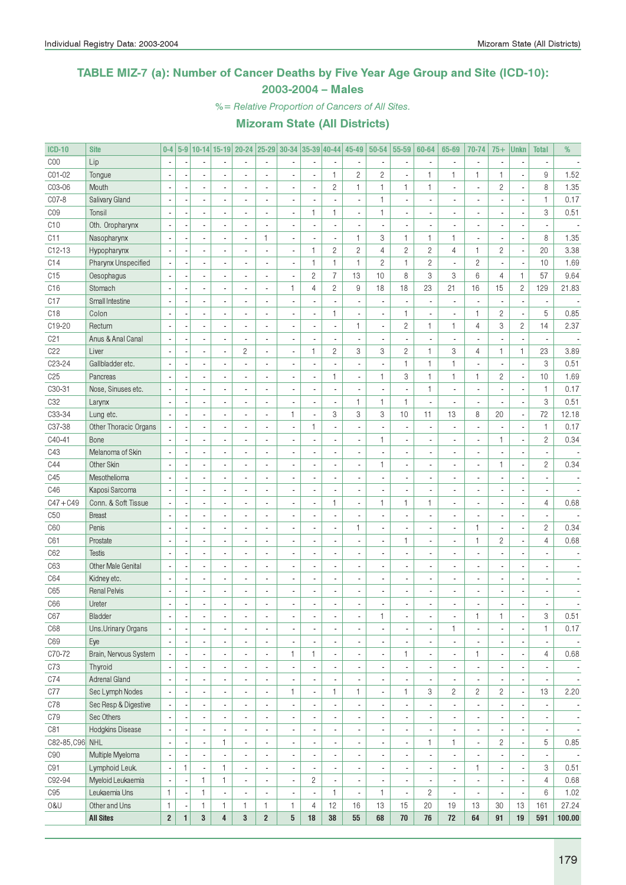### TABLE MIZ-7 (a): Number of Cancer Deaths by Five Year Age Group and Site (ICD-10): 2003-2004 – Males

%= Relative Proportion of Cancers of All Sites.

| <b>ICD-10</b>       | <b>Site</b>               | $0-4$                   |              |                |                         | 5-9 10-14 15-19 20-24 25-29 30-34 35-39 40-44 45-49 |                          |                          |                          |                          |                          | 50-54          | 55-59                    | 60-64          | 65-69                    | 70-74                    | $75+$          | <b>Unkn</b>              | <b>Total</b>             | %                        |
|---------------------|---------------------------|-------------------------|--------------|----------------|-------------------------|-----------------------------------------------------|--------------------------|--------------------------|--------------------------|--------------------------|--------------------------|----------------|--------------------------|----------------|--------------------------|--------------------------|----------------|--------------------------|--------------------------|--------------------------|
| COO                 | Lip                       |                         |              |                |                         |                                                     |                          |                          |                          |                          |                          |                | $\overline{\phantom{a}}$ |                |                          | $\overline{a}$           |                |                          |                          |                          |
| C01-02              | Tongue                    |                         |              |                |                         |                                                     |                          |                          | L                        | $\mathbf{1}$             | $\overline{c}$           | $\overline{c}$ | ÷,                       | $\mathbf{1}$   | 1                        | $\mathbf{1}$             | $\mathbf{1}$   | Ĭ.                       | 9                        | 1.52                     |
| C03-06              | Mouth                     |                         |              |                |                         |                                                     |                          | Ĭ.                       | ÷,                       | $\sqrt{2}$               | 1                        | 1              | 1                        | $\mathbf{1}$   | ä,                       | $\overline{a}$           | $\sqrt{2}$     | l,                       | 8                        | 1.35                     |
| CO7-8               | Salivary Gland            |                         |              |                |                         |                                                     |                          | Ĭ.                       |                          |                          |                          | 1              | $\blacksquare$           |                |                          | $\overline{a}$           |                |                          | $\mathbf{1}$             | 0.17                     |
| CO <sub>9</sub>     | Tonsil                    |                         |              |                |                         | $\blacksquare$                                      |                          | Ĭ.                       | $\mathbf{1}$             | $\mathbf{1}$             |                          | 1              | $\blacksquare$           |                |                          | ä,                       |                |                          | 3                        | 0.51                     |
| C10                 | Oth. Oropharynx           |                         |              |                |                         |                                                     |                          |                          |                          | $\overline{\phantom{a}}$ |                          |                | $\overline{\phantom{a}}$ |                |                          | $\overline{a}$           |                |                          |                          |                          |
| C11                 | Nasopharynx               |                         |              |                |                         | $\blacksquare$                                      | $\mathbf{1}$             | ÷,                       |                          | $\overline{\phantom{a}}$ | 1                        | 3              | $\mathbf{1}$             | $\mathbf{1}$   | 1                        | ä,                       |                | Ĩ.                       | 8                        | 1.35                     |
| $C12-13$            | Hypopharynx               |                         |              |                |                         |                                                     |                          | Ĭ.                       | $\mathbf{1}$             | $\overline{2}$           | $\overline{c}$           | $\overline{4}$ | $\mathbf{2}$             | $\overline{c}$ | 4                        | 1                        | $\overline{c}$ | ł,                       | 20                       | 3.38                     |
| C14                 | Pharynx Unspecified       |                         |              |                |                         |                                                     |                          | ÷,                       | $\mathbf{1}$             | $\mathbf{1}$             | $\mathbf{1}$             | $\overline{c}$ | $\mathbf{1}$             | $\overline{c}$ | ä,                       | $\overline{c}$           |                | ł,                       | 10                       | 1.69                     |
| C15                 | Oesophagus                |                         |              |                |                         | $\blacksquare$                                      |                          | l,                       | $\overline{c}$           | $\overline{7}$           | 13                       | 10             | 8                        | 3              | 3                        | 6                        | $\overline{4}$ | $\mathbf{1}$             | 57                       | 9.64                     |
| C16                 | Stomach                   |                         |              |                |                         | ÷,                                                  |                          | $\mathbf{1}$             | $\overline{4}$           | $\overline{c}$           | 9                        | 18             | 18                       | 23             | 21                       | 16                       | 15             | $\mathbf{2}$             | 129                      | 21.83                    |
| C17                 | Small Intestine           |                         |              |                |                         | $\blacksquare$                                      |                          |                          |                          | l,                       |                          |                | i,                       |                | $\overline{a}$           | ÷,                       |                |                          |                          |                          |
| C <sub>18</sub>     | Colon                     |                         |              |                |                         | $\blacksquare$                                      |                          | ÷,                       | i.                       | $\mathbf{1}$             |                          |                | $\mathbf{1}$             |                |                          | $\mathbf{1}$             | $\sqrt{2}$     | Ĭ.                       | 5                        | 0.85                     |
| C19-20              | Rectum                    |                         |              |                |                         | $\blacksquare$                                      |                          | Ĭ.                       |                          | $\overline{\phantom{a}}$ | 1                        | ÷,             | $\mathbf{2}$             | $\mathbf{1}$   | $\mathbf{1}$             | $\overline{4}$           | 3              | $\mathbf{2}$             | 14                       | 2.37                     |
| C <sub>21</sub>     | Anus & Anal Canal         |                         |              |                |                         |                                                     |                          | ÷,                       |                          | $\blacksquare$           |                          |                | $\blacksquare$           |                |                          | ä,                       |                |                          |                          |                          |
| C22                 | Liver                     |                         |              |                |                         | $\mathbf{2}$                                        |                          | Ĭ.                       | $\mathbf{1}$             | $\mathbf{2}$             | 3                        | 3              | $\mathbf{2}$             | $\mathbf{1}$   | 3                        | $\overline{4}$           | $\mathbf{1}$   | $\mathbf{1}$             | 23                       | 3.89                     |
| C <sub>23</sub> -24 | Gallbladder etc.          |                         |              |                |                         |                                                     |                          |                          |                          |                          |                          |                | $\mathbf{1}$             | $\mathbf{1}$   | 1                        | ÷,                       |                |                          | 3                        | 0.51                     |
|                     |                           |                         |              |                |                         |                                                     |                          |                          |                          |                          |                          |                |                          |                |                          |                          |                |                          |                          |                          |
| C <sub>25</sub>     | Pancreas                  |                         |              |                |                         |                                                     |                          |                          | Ĭ.                       | $\mathbf{1}$             |                          | $\mathbf{1}$   | 3                        | $\mathbf{1}$   | 1                        | 1                        | $\overline{c}$ | ł,                       | 10                       | 1.69                     |
| C30-31              | Nose, Sinuses etc.        |                         |              |                |                         | $\overline{a}$                                      |                          |                          |                          | $\blacksquare$           |                          |                | ÷,                       | $\mathbf{1}$   | ä,                       | $\frac{1}{2}$            |                |                          | $\mathbf{1}$             | 0.17                     |
| C <sub>32</sub>     | Larynx                    |                         |              |                |                         | $\blacksquare$                                      |                          |                          |                          | $\blacksquare$           | $\mathbf{1}$             | $\mathbf{1}$   | $\mathbf{1}$             |                |                          | ٠                        |                |                          | 3                        | 0.51                     |
| C33-34              | Lung etc.                 |                         |              |                |                         | $\blacksquare$                                      |                          | $\mathbf{1}$             | i,                       | $\,3$                    | 3                        | 3              | 10                       | 11             | 13                       | 8                        | 20             | ÷,                       | 72                       | 12.18                    |
| C37-38              | Other Thoracic Organs     |                         |              |                |                         | $\blacksquare$                                      |                          | ÷,                       | $\mathbf{1}$             | $\blacksquare$           |                          |                | ÷,                       |                |                          | $\frac{1}{2}$            |                | Ĭ.                       | $\mathbf{1}$             | 0.17                     |
| C40-41              | Bone                      |                         |              |                |                         | $\blacksquare$                                      |                          |                          |                          | $\blacksquare$           |                          | $\mathbf{1}$   | $\blacksquare$           |                |                          | $\frac{1}{2}$            | $\mathbf{1}$   | ł,                       | $\overline{c}$           | 0.34                     |
| C43                 | Melanoma of Skin          |                         |              |                |                         | $\blacksquare$                                      |                          | ÷,                       |                          | $\blacksquare$           |                          |                | $\blacksquare$           |                |                          | $\frac{1}{2}$            |                |                          |                          |                          |
| C44                 | Other Skin                |                         |              |                |                         | $\blacksquare$                                      |                          | ÷,                       |                          | $\overline{\phantom{a}}$ |                          | $\mathbf{1}$   | $\blacksquare$           |                |                          | ٠                        | $\mathbf{1}$   | ÷,                       | $\overline{c}$           | 0.34                     |
| C45                 | Mesothelioma              |                         |              |                |                         | $\blacksquare$                                      |                          | Ĭ.                       |                          | $\blacksquare$           |                          |                | $\blacksquare$           |                |                          | $\overline{a}$           |                |                          |                          |                          |
| C46                 | Kaposi Sarcoma            |                         |              |                |                         | $\blacksquare$                                      |                          |                          | Ĭ.                       | $\overline{\phantom{a}}$ |                          |                | $\blacksquare$           |                |                          | $\overline{a}$           |                |                          |                          |                          |
| $C47 + C49$         | Conn. & Soft Tissue       |                         |              |                |                         | $\blacksquare$                                      |                          | Ĭ.                       | Ĭ.                       | $\mathbf{1}$             |                          | $\mathbf{1}$   | $\mathbf{1}$             | $\mathbf{1}$   |                          | ä,                       |                | Ĩ.                       | $\overline{4}$           | 0.68                     |
| C50                 | <b>Breast</b>             |                         |              |                |                         | $\blacksquare$                                      |                          |                          |                          | $\overline{\phantom{a}}$ |                          |                | ÷,                       |                |                          | ä,                       |                | Ĩ.                       |                          |                          |
| C60                 | Penis                     |                         |              |                |                         | $\overline{a}$                                      |                          |                          |                          | $\blacksquare$           | $\mathbf{1}$             |                | ÷,                       |                |                          | $\mathbf{1}$             |                | Ĭ.                       | $\overline{c}$           | 0.34                     |
| C61                 | Prostate                  |                         |              |                |                         | $\blacksquare$                                      |                          |                          |                          | $\blacksquare$           |                          |                | $\mathbf{1}$             |                |                          | $\mathbf{1}$             | $\overline{c}$ | Ĩ.                       | $\overline{4}$           | 0.68                     |
| C62                 | <b>Testis</b>             |                         |              |                |                         | $\blacksquare$                                      |                          |                          |                          | $\blacksquare$           |                          |                | ÷,                       |                |                          | $\overline{a}$           |                |                          |                          |                          |
| C63                 | <b>Other Male Genital</b> |                         |              |                |                         | $\blacksquare$                                      |                          | ÷,                       |                          | $\blacksquare$           |                          |                | $\overline{\phantom{a}}$ |                |                          | ٠                        |                |                          |                          |                          |
| C64                 | Kidney etc.               |                         |              |                |                         | $\overline{\phantom{a}}$                            |                          | ÷,                       |                          | $\blacksquare$           |                          |                | $\overline{\phantom{a}}$ |                |                          | ٠                        |                |                          |                          |                          |
| C65                 | <b>Renal Pelvis</b>       |                         |              |                |                         | ä,                                                  |                          | ÷,                       |                          | $\blacksquare$           |                          |                | $\overline{\phantom{a}}$ |                |                          | ٠                        |                |                          |                          |                          |
| C66                 | Ureter                    |                         |              |                |                         | $\overline{\phantom{a}}$                            |                          |                          | İ,                       | ÷,                       |                          |                |                          |                |                          |                          |                |                          |                          |                          |
| C67                 | Bladder                   |                         |              |                |                         |                                                     |                          |                          |                          |                          |                          | 1              |                          |                |                          | 1                        | 1              |                          | 3                        | 0.51                     |
| C68                 | Uns.Urinary Organs        | $\blacksquare$          |              | $\blacksquare$ |                         | $\overline{\phantom{a}}$                            | $\overline{\phantom{a}}$ | $\overline{\phantom{a}}$ | $\overline{\phantom{a}}$ | $\overline{\phantom{a}}$ |                          |                | $\overline{\phantom{a}}$ | ä,             | 1                        | $\blacksquare$           |                | $\overline{a}$           | $\mathbf{1}$             | 0.17                     |
| C69                 | Eye                       |                         |              |                | ä,                      | ٠                                                   | $\blacksquare$           | ×,                       |                          | $\overline{\phantom{a}}$ |                          |                | $\overline{\phantom{a}}$ |                | $\overline{\phantom{a}}$ | $\overline{\phantom{a}}$ |                | $\overline{\phantom{a}}$ |                          |                          |
| C70-72              | Brain, Nervous System     |                         |              |                |                         | $\overline{\phantom{a}}$                            | $\blacksquare$           | $\mathbf{1}$             | $\mathbf{1}$             | $\overline{\phantom{a}}$ |                          |                | 1                        |                | $\overline{\phantom{a}}$ | $\mathbf{1}$             |                | ÷,                       | 4                        | 0.68                     |
| C73                 | Thyroid                   |                         |              |                |                         | ٠                                                   | $\blacksquare$           | ÷,                       |                          | $\blacksquare$           |                          | $\overline{a}$ | $\overline{\phantom{a}}$ |                | $\overline{\phantom{a}}$ | ÷,                       |                | $\overline{\phantom{a}}$ |                          | $\overline{\phantom{a}}$ |
| C74                 | <b>Adrenal Gland</b>      |                         |              |                |                         | ٠                                                   | $\blacksquare$           |                          |                          | $\overline{\phantom{a}}$ |                          | ä,             | $\overline{\phantom{a}}$ |                | $\overline{a}$           | $\overline{\phantom{a}}$ |                | ÷,                       | $\overline{\phantom{a}}$ | $\overline{\phantom{a}}$ |
| C77                 | Sec Lymph Nodes           |                         |              |                |                         | ٠                                                   | $\blacksquare$           | $\mathbf{1}$             | $\frac{1}{2}$            | $\mathbf{1}$             | $\mathbf{1}$             |                | $\mathbf{1}$             | 3              | $\overline{c}$           | $\mathbf{2}$             | $\mathbf{2}$   | $\overline{\phantom{a}}$ | 13                       | 2.20                     |
|                     |                           |                         |              |                |                         |                                                     |                          |                          |                          | $\overline{\phantom{a}}$ |                          |                |                          |                |                          |                          |                |                          |                          |                          |
| C78                 | Sec Resp & Digestive      |                         |              |                |                         | ٠                                                   |                          | ÷,                       |                          |                          |                          |                | $\overline{\phantom{a}}$ |                | $\frac{1}{2}$            | $\blacksquare$           |                | ÷,                       |                          | $\overline{\phantom{a}}$ |
| C79                 | Sec Others                |                         |              |                |                         | ٠                                                   |                          | ×,                       |                          | $\overline{\phantom{a}}$ |                          |                | $\overline{\phantom{a}}$ |                | $\overline{\phantom{a}}$ | $\blacksquare$           |                | $\overline{\phantom{a}}$ |                          | $\overline{\phantom{a}}$ |
| C81                 | Hodgkins Disease          |                         |              |                |                         | ٠                                                   |                          | ×,                       |                          | $\overline{\phantom{a}}$ |                          |                | $\overline{\phantom{a}}$ |                | $\blacksquare$           | $\blacksquare$           |                | ÷,                       | $\overline{\phantom{a}}$ | $\overline{\phantom{a}}$ |
| C82-85, C96 NHL     |                           |                         |              |                | $\mathbf{1}$            | $\overline{\phantom{a}}$                            |                          | ×,                       |                          | $\overline{\phantom{a}}$ |                          |                | $\overline{\phantom{a}}$ | $\mathbf{1}$   | 1                        | ä,                       | $\overline{c}$ | ÷,                       | 5                        | 0.85                     |
| C90                 | Multiple Myeloma          |                         |              |                |                         | $\overline{\phantom{a}}$                            |                          | ×,                       |                          | $\blacksquare$           |                          |                | $\overline{\phantom{a}}$ |                | $\overline{\phantom{a}}$ | ٠                        |                | $\overline{\phantom{a}}$ |                          |                          |
| C91                 | Lymphoid Leuk.            |                         | $\mathbf{1}$ |                | $\mathbf{1}$            | $\overline{\phantom{a}}$                            | $\blacksquare$           | $\overline{\phantom{a}}$ |                          | $\blacksquare$           |                          |                | $\overline{\phantom{a}}$ |                | $\overline{\phantom{a}}$ | $\mathbf{1}$             |                | ÷,                       | 3                        | 0.51                     |
| C92-94              | Myeloid Leukaemia         |                         |              | 1              | $\mathbf{1}$            | $\overline{\phantom{a}}$                            | $\blacksquare$           | $\overline{\phantom{a}}$ | $\mathbf{2}$             | $\overline{\phantom{a}}$ |                          |                | $\overline{\phantom{a}}$ |                | $\overline{\phantom{a}}$ | $\blacksquare$           |                | ÷,                       | $\overline{4}$           | 0.68                     |
| C95                 | Leukaemia Uns             | $\mathbf{1}$            |              | $\mathbf{1}$   |                         | $\overline{\phantom{a}}$                            | $\overline{\phantom{a}}$ | $\overline{\phantom{a}}$ | $\blacksquare$           | $\mathbf{1}$             | $\overline{\phantom{a}}$ | $\mathbf{1}$   | ÷.                       | $\overline{c}$ | ÷,                       | $\blacksquare$           |                | ÷,                       | 6                        | 1.02                     |
| 0&U                 | Other and Uns             | $\mathbf{1}$            |              | $\mathbf{1}$   | $\mathbf{1}$            | $\mathbf{1}$                                        | $\mathbf{1}$             | $\mathbf{1}$             | $\overline{4}$           | 12                       | 16                       | 13             | 15                       | 20             | 19                       | 13                       | 30             | 13                       | 161                      | 27.24                    |
|                     | <b>All Sites</b>          | $\overline{\mathbf{c}}$ | $\mathbf{1}$ | $\mathbf 3$    | $\overline{\mathbf{4}}$ | $\bf 3$                                             | $\overline{2}$           | $5\phantom{.0}$          | 18                       | $38\,$                   | 55                       | 68             | 70                       | ${\bf 76}$     | ${\bf 72}$               | 64                       | 91             | 19                       | 591                      | 100.00                   |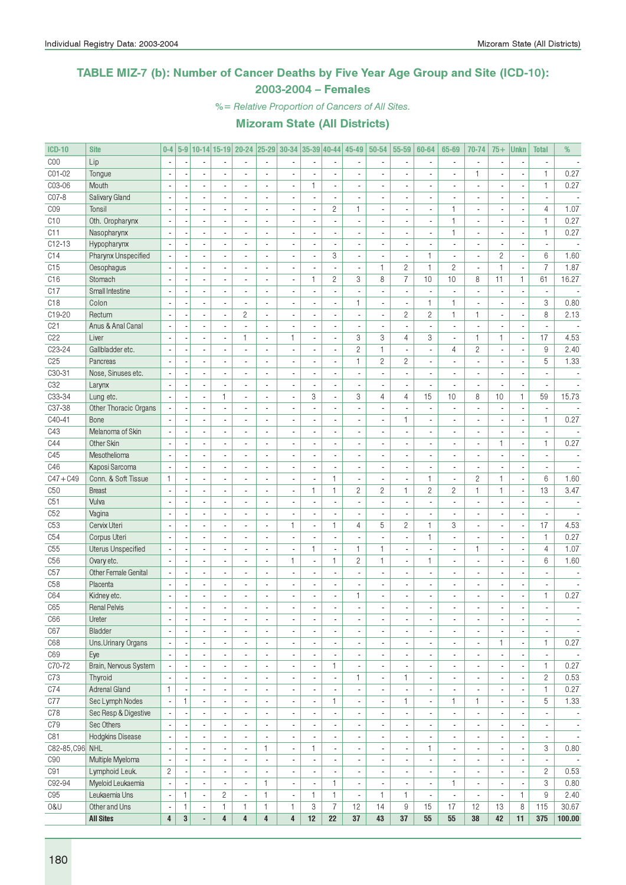### TABLE MIZ-7 (b): Number of Cancer Deaths by Five Year Age Group and Site (ICD-10): 2003-2004 – Females

%= Relative Proportion of Cancers of All Sites.

| <b>ICD-10</b>   | <b>Site</b>                        | $0-4$                    | $5-9$                    |                                |                          | 10-14 15-19 20-24 25-29 30-34 |                          |                          | $ 35-39 40-44 $          |                          | 45-49                    | $50 - 54$                      | 55-59                    | 60-64                    | 65-69                    | 70-74                    | $75+$                    | <b>Unkn</b>              | <b>Total</b>             | %                        |
|-----------------|------------------------------------|--------------------------|--------------------------|--------------------------------|--------------------------|-------------------------------|--------------------------|--------------------------|--------------------------|--------------------------|--------------------------|--------------------------------|--------------------------|--------------------------|--------------------------|--------------------------|--------------------------|--------------------------|--------------------------|--------------------------|
| COO             | Lip                                | $\overline{\phantom{a}}$ |                          |                                |                          |                               |                          |                          |                          | $\blacksquare$           |                          |                                | $\overline{\phantom{a}}$ |                          | ٠                        | $\blacksquare$           |                          | $\blacksquare$           |                          |                          |
| C01-02          | Tongue                             |                          |                          |                                |                          |                               |                          |                          |                          | ÷,                       |                          |                                |                          |                          |                          | 1                        |                          |                          | $\mathbf{1}$             | 0.27                     |
| C03-06          | Mouth                              | ÷,                       |                          | ÷,                             |                          |                               |                          | $\overline{\phantom{a}}$ | $\mathbf{1}$             | $\overline{\phantom{a}}$ |                          |                                | $\overline{\phantom{a}}$ |                          |                          | L.                       |                          | ÷,                       | $\mathbf{1}$             | 0.27                     |
| C07-8           | Salivary Gland                     | ÷,                       |                          | $\overline{\phantom{a}}$       | $\overline{a}$           | $\blacksquare$                | $\overline{a}$           | $\overline{\phantom{a}}$ | ä,                       | $\overline{\phantom{a}}$ | $\overline{\phantom{a}}$ |                                | $\overline{\phantom{a}}$ | $\overline{a}$           | ÷,                       | $\overline{\phantom{a}}$ |                          | $\blacksquare$           | $\mathbf{r}$             |                          |
| C <sub>09</sub> | Tonsil                             | ÷,                       |                          | $\overline{\phantom{a}}$       | $\overline{a}$           | ä,                            | $\overline{a}$           | $\overline{\phantom{a}}$ | ä,                       | $\overline{2}$           | 1                        |                                | $\sim$                   | $\overline{\phantom{a}}$ | 1                        | $\overline{a}$           | ÷,                       | $\overline{\phantom{a}}$ | $\overline{4}$           | 1.07                     |
| C10             | Oth. Oropharynx                    |                          |                          | $\overline{a}$                 |                          | ٠                             |                          | $\blacksquare$           | $\overline{a}$           | $\overline{\phantom{a}}$ | $\overline{\phantom{a}}$ |                                | $\overline{\phantom{a}}$ | $\overline{a}$           | 1                        | $\blacksquare$           | ٠                        | $\overline{\phantom{a}}$ | $\mathbf{1}$             | 0.27                     |
| C11             | Nasopharynx                        | $\overline{\phantom{a}}$ |                          | ÷,                             |                          |                               |                          | $\overline{\phantom{a}}$ |                          | $\blacksquare$           |                          |                                | $\overline{a}$           |                          | 1                        | $\overline{a}$           |                          | ä,                       | $\mathbf{1}$             | 0.27                     |
| $C12-13$        | Hypopharynx                        |                          |                          | $\overline{\phantom{a}}$       |                          | ÷.                            | $\overline{a}$           | $\overline{\phantom{a}}$ | $\overline{a}$           | $\overline{\phantom{a}}$ | $\overline{a}$           |                                | $\sim$                   |                          | $\overline{a}$           | $\overline{\phantom{a}}$ |                          | $\overline{\phantom{a}}$ | $\mathbf{r}$             |                          |
| C14             | Pharynx Unspecified                |                          |                          | $\blacksquare$                 |                          |                               | ä,                       |                          |                          | 3                        | $\overline{\phantom{a}}$ |                                | $\overline{\phantom{a}}$ | $\mathbf{1}$             |                          | $\overline{\phantom{a}}$ | $\overline{c}$           | ÷,                       | 6                        | 1.60                     |
| C15             | Oesophagus                         |                          |                          | $\blacksquare$                 |                          | $\overline{a}$                |                          |                          |                          | $\overline{\phantom{a}}$ | ٠                        | 1                              | $\overline{c}$           | $\mathbf{1}$             | $\overline{c}$           | ä,                       | $\mathbf{1}$             | ÷,                       | $\overline{7}$           | 1.87                     |
| C16             | Stomach                            | ÷,                       |                          | $\overline{\phantom{a}}$       | $\overline{a}$           | $\overline{a}$                | $\overline{a}$           | $\overline{\phantom{a}}$ | $\mathbf{1}$             | $\overline{c}$           | 3                        | 8                              | $\overline{7}$           | 10                       | 10                       | 8                        | 11                       | $\mathbf{1}$             | 61                       | 16.27                    |
| C17             | Small Intestine                    | ÷,                       |                          | $\overline{\phantom{a}}$       | $\blacksquare$           | $\overline{a}$                | $\overline{a}$           | $\overline{\phantom{a}}$ | ä,                       | $\overline{\phantom{a}}$ | ä,                       | $\blacksquare$                 | $\sim$                   | $\overline{\phantom{a}}$ | ÷,                       | $\overline{a}$           | ä,                       | ÷,                       | $\overline{a}$           |                          |
| C <sub>18</sub> | Colon                              |                          |                          | $\overline{\phantom{a}}$       |                          | $\overline{a}$                | $\overline{a}$           | $\blacksquare$           | ٠                        | $\overline{\phantom{a}}$ | 1                        |                                | $\overline{\phantom{a}}$ | $\mathbf{1}$             | 1                        | $\blacksquare$           |                          | $\overline{\phantom{a}}$ | 3                        | 0.80                     |
| C19-20          | Rectum                             | $\overline{\phantom{a}}$ |                          | $\overline{a}$                 |                          | $\overline{c}$                | L.                       | $\overline{\phantom{a}}$ |                          | $\mathbf{r}$             | ÷,                       |                                | $\overline{c}$           | $\mathbf{2}$             | 1                        | $\mathbf{1}$             | ÷,                       | $\overline{\phantom{a}}$ | 8                        | 2.13                     |
| C <sub>21</sub> | Anus & Anal Canal                  | ÷,                       |                          | $\overline{a}$                 |                          | ÷,                            | $\overline{a}$           | $\overline{a}$           | $\overline{\phantom{a}}$ | $\blacksquare$           | $\overline{\phantom{a}}$ |                                | $\overline{\phantom{a}}$ | $\overline{a}$           | ٠                        | $\overline{\phantom{a}}$ |                          | $\overline{\phantom{a}}$ | $\mathbf{r}$             |                          |
| C22             | Liver                              |                          |                          | $\blacksquare$                 |                          | $\mathbf{1}$                  | ä,                       | $\mathbf{1}$             |                          | $\overline{\phantom{a}}$ | 3                        | 3                              | $\overline{4}$           | 3                        |                          | $\mathbf{1}$             | 1                        | ÷,                       | 17                       | 4.53                     |
| C23-24          | Gallbladder etc.                   |                          |                          | $\blacksquare$                 |                          | ÷.                            |                          | $\overline{\phantom{a}}$ |                          | $\blacksquare$           | $\overline{c}$           | $\mathbf{1}$                   | $\overline{\phantom{a}}$ |                          | $\overline{4}$           | $\overline{c}$           |                          | ÷,                       | $\hbox{9}$               | 2.40                     |
| C <sub>25</sub> | Pancreas                           | $\overline{\phantom{a}}$ |                          | ä,                             |                          | $\overline{a}$                | ÷,                       | $\overline{\phantom{a}}$ | ä,                       | ÷,                       | $\mathbf{1}$             | $\mathbf{2}$                   | $\overline{c}$           | ä,                       |                          | $\overline{\phantom{a}}$ |                          | ÷,                       | 5                        | 1.33                     |
| C30-31          | Nose, Sinuses etc.                 | ÷,                       |                          | $\overline{\phantom{a}}$       | $\overline{a}$           | L.                            | ÷,                       | $\overline{\phantom{a}}$ | ä,                       | $\overline{\phantom{a}}$ | ÷,                       | $\mathbf{r}$                   | $\overline{\phantom{a}}$ | $\overline{a}$           | ÷,                       | $\overline{a}$           | $\overline{a}$           | ÷,                       | ÷,                       | $\overline{\phantom{a}}$ |
| C32             |                                    |                          |                          |                                |                          |                               |                          |                          |                          |                          |                          |                                |                          |                          |                          |                          |                          |                          |                          |                          |
|                 | Larynx                             |                          |                          | $\blacksquare$                 |                          | $\overline{a}$                |                          | $\blacksquare$           | $\overline{a}$           | $\overline{\phantom{a}}$ | $\overline{\phantom{a}}$ |                                | $\overline{\phantom{a}}$ | $\blacksquare$           |                          | $\blacksquare$           |                          | ×,                       |                          |                          |
| C33-34          | Lung etc.                          | $\sim$                   |                          | ÷,                             | 1                        | ÷,                            |                          | $\overline{\phantom{a}}$ | 3                        | ÷,                       | 3                        | 4                              | 4                        | 15                       | 10                       | 8                        | 10                       | $\mathbf{1}$             | 59                       | 15.73                    |
| C37-38          | Other Thoracic Organs              |                          |                          | $\overline{a}$                 | $\overline{a}$           | $\overline{a}$                | $\overline{a}$           | $\overline{a}$           | $\overline{a}$           | $\blacksquare$           | ٠                        |                                | ÷.                       | $\overline{a}$           | ٠                        | $\overline{\phantom{a}}$ | $\overline{a}$           | $\blacksquare$           | $\overline{a}$           |                          |
| C40-41          | Bone                               |                          |                          | $\blacksquare$                 |                          |                               |                          |                          |                          | ÷,                       |                          |                                | $\mathbf{1}$             |                          |                          | $\blacksquare$           |                          | ÷,                       | $\mathbf{1}$             | 0.27                     |
| C43             | Melanoma of Skin                   |                          |                          | $\blacksquare$                 |                          | $\overline{\phantom{a}}$      | $\overline{a}$           | $\overline{a}$           |                          | $\overline{\phantom{a}}$ | $\overline{\phantom{a}}$ |                                | $\overline{\phantom{a}}$ |                          |                          | $\blacksquare$           |                          | ÷,                       | $\overline{\phantom{a}}$ |                          |
| C44             | Other Skin                         | $\overline{\phantom{a}}$ |                          | ä,                             |                          | ä,                            | ÷,                       | $\overline{\phantom{a}}$ | ÷,                       | $\blacksquare$           | ÷.                       |                                | ÷,                       | $\overline{a}$           |                          | $\overline{\phantom{a}}$ | 1                        | ÷,                       | $\mathbf{1}$             | 0.27                     |
| C45             | Mesothelioma                       | $\overline{\phantom{a}}$ |                          | $\blacksquare$                 | $\overline{a}$           | $\overline{a}$                | $\overline{a}$           | $\overline{a}$           | $\overline{a}$           | $\overline{\phantom{a}}$ | $\overline{a}$           |                                | $\sim$                   | $\overline{a}$           | $\overline{\phantom{a}}$ | $\overline{\phantom{a}}$ | $\overline{a}$           | $\overline{\phantom{a}}$ | $\mathbf{r}$             |                          |
| C46             | Kaposi Sarcoma                     |                          |                          | $\overline{\phantom{a}}$       |                          | ٠                             | $\overline{a}$           | $\blacksquare$           | ٠                        | $\overline{\phantom{a}}$ | $\overline{\phantom{a}}$ |                                | $\overline{\phantom{a}}$ | $\overline{a}$           | ٠                        | $\blacksquare$           |                          | $\overline{\phantom{a}}$ | $\blacksquare$           |                          |
| $C47 + C49$     | Conn. & Soft Tissue                | $\mathbf{1}$             |                          | ÷,                             |                          |                               |                          | $\overline{\phantom{a}}$ |                          | $\mathbf{1}$             | ÷,                       |                                | $\overline{\phantom{a}}$ | $\mathbf{1}$             | ÷,                       | $\overline{c}$           | 1                        | ÷,                       | $6\phantom{1}$           | 1.60                     |
| C50             | <b>Breast</b>                      |                          |                          | $\overline{a}$                 |                          | ÷.                            | $\overline{a}$           | $\overline{a}$           | $\mathbf{1}$             | $\mathbf{1}$             | $\overline{c}$           | $\mathbf{2}$                   | $\mathbf{1}$             | $\overline{c}$           | $\overline{2}$           | $\mathbf{1}$             | $\mathbf{1}$             | $\overline{\phantom{a}}$ | 13                       | 3.47                     |
| C51             | Vulva                              |                          |                          | $\overline{\phantom{a}}$       |                          | Ĭ.                            |                          |                          |                          | $\overline{\phantom{a}}$ |                          |                                | $\overline{\phantom{a}}$ |                          |                          | $\overline{a}$           |                          | ä,                       | $\overline{\phantom{a}}$ |                          |
| C52             | Vagina                             |                          |                          | $\blacksquare$                 |                          |                               |                          |                          |                          | $\overline{\phantom{a}}$ |                          |                                | $\overline{\phantom{a}}$ |                          |                          | $\overline{a}$           |                          | ÷,                       |                          |                          |
| C <sub>53</sub> | Cervix Uteri                       | $\overline{\phantom{a}}$ |                          | $\overline{\phantom{a}}$       |                          | ä,                            | ÷,                       | $\mathbf{1}$             | ä,                       | $\mathbf{1}$             | $\overline{4}$           | 5                              | $\overline{c}$           | $\mathbf{1}$             | 3                        | $\overline{a}$           |                          | ÷,                       | 17                       | 4.53                     |
| C54             | Corpus Uteri                       | ÷,                       |                          | $\overline{\phantom{a}}$       | $\overline{a}$           | $\overline{\phantom{0}}$      | $\overline{a}$           | $\overline{\phantom{a}}$ | ä,                       | $\overline{\phantom{a}}$ | ÷.                       | $\overline{\phantom{a}}$       | $\overline{\phantom{a}}$ | $\mathbf{1}$             | $\overline{a}$           | $\blacksquare$           | $\overline{a}$           | ÷,                       | $\mathbf{1}$             | 0.27                     |
| C55             | <b>Uterus Unspecified</b>          | $\overline{\phantom{a}}$ |                          | $\overline{a}$                 |                          | ٠                             | L,                       | $\overline{\phantom{a}}$ | 1                        | $\overline{\phantom{a}}$ | 1                        | 1                              | $\overline{\phantom{a}}$ | $\overline{\phantom{a}}$ |                          | $\mathbf{1}$             | ä,                       | $\overline{\phantom{a}}$ | $\overline{4}$           | 1.07                     |
| C <sub>56</sub> | Ovary etc.                         |                          |                          |                                |                          |                               |                          | $\mathbf{1}$             |                          | $\mathbf{1}$             | $\overline{c}$           | $\mathbf{1}$                   | $\overline{\phantom{a}}$ | $\mathbf{1}$             |                          | $\overline{a}$           |                          |                          | 6                        | 1.60                     |
| C57             | Other Female Genital               | ÷,                       |                          | $\overline{a}$                 |                          | $\overline{a}$                | $\overline{a}$           | $\overline{\phantom{a}}$ | $\overline{a}$           | $\blacksquare$           | $\overline{a}$           | $\overline{a}$                 | ÷.                       | $\overline{a}$           | ٠                        | $\overline{a}$           | $\overline{a}$           | ×,                       |                          | $\overline{\phantom{a}}$ |
| C <sub>58</sub> | Placenta                           |                          |                          | $\overline{a}$                 |                          | Ĭ.                            | $\overline{a}$           |                          |                          | $\blacksquare$           |                          |                                | $\overline{\phantom{a}}$ | $\overline{a}$           |                          | $\overline{a}$           |                          | ä,                       | $\overline{\phantom{a}}$ |                          |
| C64             | Kidney etc.                        |                          |                          | $\overline{a}$                 |                          | ٠                             |                          |                          |                          | $\overline{\phantom{a}}$ | 1                        |                                | $\overline{\phantom{a}}$ | $\overline{a}$           |                          | $\blacksquare$           |                          | $\overline{\phantom{a}}$ | $\mathbf{1}$             | 0.27                     |
| C65             | <b>Renal Pelvis</b>                | ÷,                       |                          |                                |                          |                               |                          | $\overline{a}$           |                          | $\overline{a}$           |                          |                                | $\overline{a}$           |                          |                          |                          |                          |                          | $\overline{a}$           |                          |
| C66             | Ureter                             | $\overline{\phantom{a}}$ | $\overline{\phantom{a}}$ | $\overline{\phantom{a}}$       | $\blacksquare$           | $\overline{\phantom{a}}$      | ٠                        | $\overline{\phantom{a}}$ | ٠                        | $\overline{\phantom{a}}$ | $\overline{\phantom{a}}$ | $\overline{\phantom{a}}$       | $\overline{\phantom{a}}$ | $\overline{\phantom{a}}$ | ٠                        | $\overline{\phantom{a}}$ | $\overline{\phantom{a}}$ | $\overline{\phantom{a}}$ | $\overline{\phantom{a}}$ | $\overline{\phantom{a}}$ |
| C67             | Bladder                            | $\overline{\phantom{a}}$ |                          | $\overline{\phantom{a}}$       | $\overline{\phantom{a}}$ | $\overline{\phantom{a}}$      | $\overline{\phantom{a}}$ | $\overline{\phantom{a}}$ | ٠                        | $\overline{\phantom{a}}$ | $\overline{\phantom{a}}$ | $\overline{\phantom{a}}$       | $\overline{\phantom{a}}$ | $\blacksquare$           | $\overline{\phantom{a}}$ | $\overline{\phantom{a}}$ | $\overline{\phantom{a}}$ | $\overline{\phantom{a}}$ | $\overline{\phantom{a}}$ | $\overline{\phantom{a}}$ |
| C68             | Uns.Urinary Organs                 | $\overline{\phantom{a}}$ |                          | $\overline{\phantom{a}}$       | $\blacksquare$           | ٠                             | $\blacksquare$           | $\overline{\phantom{a}}$ | $\overline{a}$           | $\overline{\phantom{a}}$ | ٠                        | $\blacksquare$                 | $\overline{\phantom{a}}$ | ٠                        | ٠                        | $\overline{\phantom{a}}$ | 1                        | $\overline{\phantom{a}}$ | $\mathbf{1}$             | 0.27                     |
| C69             | Eye                                | $\blacksquare$           |                          | $\blacksquare$                 | $\blacksquare$           | $\overline{\phantom{a}}$      | $\blacksquare$           | $\blacksquare$           | $\overline{\phantom{a}}$ | $\overline{\phantom{a}}$ | $\overline{\phantom{a}}$ | $\blacksquare$                 | $\overline{\phantom{a}}$ | $\overline{\phantom{a}}$ | $\overline{\phantom{a}}$ | $\blacksquare$           | $\blacksquare$           | $\overline{\phantom{a}}$ | $\overline{\phantom{a}}$ | $\sim$                   |
| C70-72          | Brain, Nervous System              | $\overline{\phantom{a}}$ |                          | $\blacksquare$                 | $\blacksquare$           | $\overline{\phantom{a}}$      | $\blacksquare$           | $\blacksquare$           | ä,                       | $\mathbf{1}$             | $\overline{\phantom{a}}$ | $\blacksquare$                 | $\overline{\phantom{a}}$ | $\overline{\phantom{a}}$ | $\overline{\phantom{a}}$ | $\blacksquare$           |                          | ÷,                       | $\mathbf{1}$             | 0.27                     |
| C73             | Thyroid                            |                          |                          | $\overline{\phantom{a}}$       | $\overline{a}$           | $\overline{\phantom{a}}$      | $\blacksquare$           | $\blacksquare$           |                          | $\overline{\phantom{a}}$ | 1                        | $\overline{\phantom{a}}$       | $\mathbf{1}$             | ٠                        | $\overline{\phantom{a}}$ | $\overline{\phantom{a}}$ |                          | ÷,                       | $\overline{c}$           | 0.53                     |
| C74             | <b>Adrenal Gland</b>               | $\mathbf{1}$             |                          | $\overline{\phantom{a}}$       | $\blacksquare$           | $\overline{a}$                | $\blacksquare$           | $\overline{\phantom{a}}$ | ä,                       | $\overline{\phantom{a}}$ |                          | $\blacksquare$                 | $\blacksquare$           | $\overline{\phantom{a}}$ | $\blacksquare$           | $\overline{a}$           |                          | $\overline{\phantom{a}}$ | $\mathbf{1}$             | 0.27                     |
| C77             | Sec Lymph Nodes                    | $\overline{\phantom{a}}$ | 1                        | $\overline{\phantom{a}}$       | $\blacksquare$           | $\overline{\phantom{a}}$      | $\overline{\phantom{a}}$ | $\overline{\phantom{a}}$ | $\frac{1}{2}$            | $\mathbf{1}$             | $\overline{\phantom{a}}$ | $\overline{\phantom{a}}$       | $\mathbf{1}$             | $\overline{\phantom{a}}$ | 1                        | $\mathbf{1}$             | $\blacksquare$           | $\overline{\phantom{a}}$ | 5                        | 1.33                     |
| C78             | Sec Resp & Digestive               | $\overline{\phantom{a}}$ |                          | $\overline{\phantom{a}}$       | $\overline{\phantom{a}}$ | $\overline{\phantom{a}}$      | $\overline{\phantom{a}}$ | $\overline{\phantom{a}}$ | ٠                        | $\overline{\phantom{a}}$ | $\blacksquare$           | $\overline{\phantom{a}}$       | $\overline{\phantom{a}}$ | $\overline{\phantom{a}}$ | $\overline{\phantom{a}}$ | $\overline{\phantom{a}}$ | $\overline{\phantom{a}}$ | $\overline{\phantom{a}}$ | $\overline{\phantom{a}}$ | $\overline{\phantom{a}}$ |
| C79             | Sec Others                         |                          |                          | ٠                              | $\blacksquare$           | ۰                             | $\overline{\phantom{a}}$ | $\overline{\phantom{a}}$ | ٠                        | $\overline{\phantom{a}}$ | $\overline{\phantom{a}}$ | $\overline{\phantom{a}}$       | $\overline{\phantom{a}}$ | $\overline{\phantom{a}}$ | $\overline{\phantom{a}}$ | $\overline{\phantom{a}}$ |                          | $\overline{\phantom{a}}$ | $\overline{\phantom{a}}$ | $\overline{\phantom{a}}$ |
| C81             | <b>Hodgkins Disease</b>            | $\overline{\phantom{a}}$ |                          | $\blacksquare$                 | $\blacksquare$           | $\blacksquare$                | $\blacksquare$           | $\blacksquare$           | ä,                       | $\overline{\phantom{a}}$ | ٠                        | $\blacksquare$                 | $\overline{\phantom{a}}$ | $\blacksquare$           | ٠                        | $\blacksquare$           | ×,                       | ÷,                       | $\overline{\phantom{a}}$ | $\overline{\phantom{a}}$ |
| C82-85, C96 NHL |                                    | ÷,                       |                          | $\overline{\phantom{a}}$       | $\blacksquare$           | $\overline{a}$                | $\mathbf{1}$             | $\overline{\phantom{a}}$ | 1                        | $\overline{\phantom{a}}$ | $\overline{\phantom{a}}$ | $\blacksquare$                 | $\overline{\phantom{a}}$ | $\mathbf{1}$             | $\overline{\phantom{a}}$ | $\blacksquare$           | $\blacksquare$           | ÷,                       | 3                        | 0.80                     |
| C90             | Multiple Myeloma                   | $\overline{\phantom{a}}$ |                          | $\overline{\phantom{a}}$       | $\blacksquare$           | $\overline{\phantom{a}}$      | $\overline{\phantom{a}}$ |                          |                          | $\overline{\phantom{a}}$ | $\overline{\phantom{a}}$ |                                | $\overline{\phantom{a}}$ | ٠                        | $\overline{\phantom{a}}$ | $\overline{\phantom{a}}$ |                          | $\overline{\phantom{a}}$ |                          | $\overline{\phantom{a}}$ |
| C91             | Lymphoid Leuk.                     | $\overline{2}$           |                          | $\overline{\phantom{a}}$       | $\blacksquare$           | ä,                            | $\overline{\phantom{a}}$ | $\blacksquare$           | ÷,                       | $\overline{\phantom{a}}$ | ÷.                       | $\blacksquare$                 | $\overline{\phantom{a}}$ | $\overline{a}$           | ÷,                       | $\blacksquare$           | ä,                       | l,                       | $\overline{c}$           | 0.53                     |
| C92-94          |                                    | $\overline{\phantom{a}}$ |                          | $\overline{\phantom{a}}$       | $\blacksquare$           | ä,                            | $\mathbf{1}$             | $\overline{\phantom{a}}$ | $\blacksquare$           | $\mathbf{1}$             | $\overline{\phantom{a}}$ |                                | $\overline{\phantom{a}}$ | $\blacksquare$           | 1                        | $\overline{\phantom{a}}$ | $\blacksquare$           | $\overline{\phantom{a}}$ | 3                        | 0.80                     |
| C95             | Myeloid Leukaemia<br>Leukaemia Uns | $\blacksquare$           | 1                        | $\overline{\phantom{a}}$       | $\overline{c}$           | $\overline{\phantom{a}}$      | $\mathbf{1}$             | $\overline{\phantom{a}}$ | $\mathbf{1}$             | $\mathbf{1}$             | $\overline{\phantom{a}}$ | $\overline{\phantom{a}}$<br>1. | $\mathbf{1}$             | $\overline{\phantom{a}}$ | ÷,                       | $\overline{\phantom{a}}$ | $\overline{\phantom{a}}$ | 1                        | 9                        | 2.40                     |
| 0&U             | Other and Uns                      | $\overline{\phantom{a}}$ | 1                        |                                | 1.                       | 1.                            | $\mathbf{1}$             | $\mathbf{1}$             | 3                        | $\overline{7}$           | 12                       | 14                             | 9                        | 15                       | 17                       | 12                       | 13                       | 8                        | 115                      | 30.67                    |
|                 | <b>All Sites</b>                   | $\overline{\mathbf{4}}$  | $\bf{3}$                 | $\overline{\phantom{a}}$<br>L, | $\overline{\mathbf{4}}$  | $\overline{\mathbf{4}}$       | $\overline{\mathbf{4}}$  | 4                        | 12                       | 22                       | 37                       | 43                             | 37                       | 55                       | 55                       | 38                       | 42                       | 11                       | 375                      | 100.00                   |
|                 |                                    |                          |                          |                                |                          |                               |                          |                          |                          |                          |                          |                                |                          |                          |                          |                          |                          |                          |                          |                          |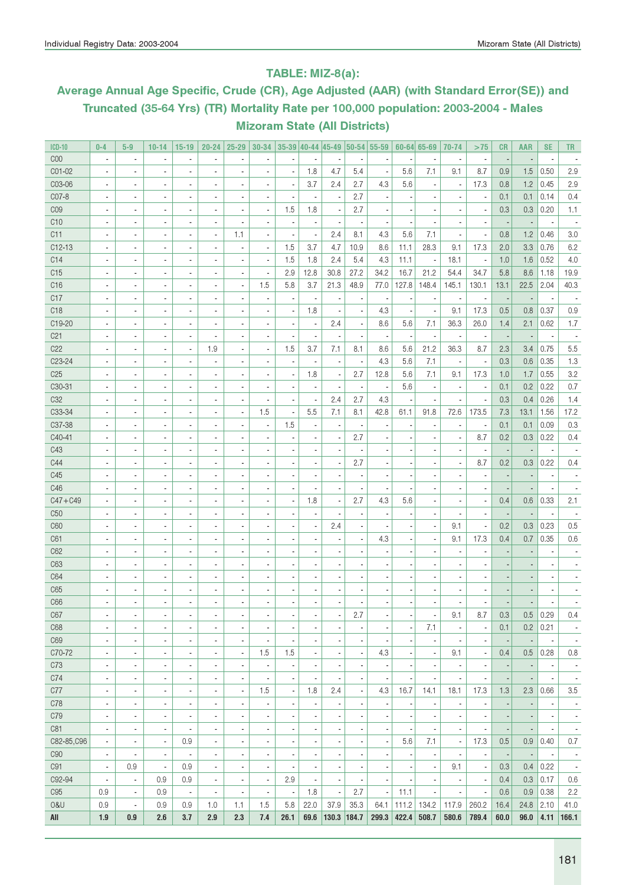### TABLE: MIZ-8(a):

# Average Annual Age Specific, Crude (CR), Age Adjusted (AAR) (with Standard Error(SE)) and Truncated (35-64 Yrs) (TR) Mortality Rate per 100,000 population: 2003-2004 - Males Mizoram State (All Districts)

| <b>ICD-10</b>       | $0 - 4$                  | $5-9$                    | $10 - 14$                | $15 - 19$                | $20 - 24$                | $25 - 29$                | $30 - 34$                |                          |                          |                          |                          | 35-39 40-44 45-49 50-54 55-59 |                          | $60 - 64$ 65-69          | 70-74                    | >75                      | CR                       | <b>AAR</b> | <b>SE</b>                | <b>TR</b>                |
|---------------------|--------------------------|--------------------------|--------------------------|--------------------------|--------------------------|--------------------------|--------------------------|--------------------------|--------------------------|--------------------------|--------------------------|-------------------------------|--------------------------|--------------------------|--------------------------|--------------------------|--------------------------|------------|--------------------------|--------------------------|
| C <sub>00</sub>     | $\overline{a}$           | $\overline{\phantom{a}}$ | $\overline{\phantom{a}}$ | $\overline{\phantom{a}}$ |                          |                          |                          |                          |                          |                          |                          |                               |                          | ä,                       |                          | $\blacksquare$           | $\overline{a}$           |            |                          |                          |
| C01-02              | ä,                       | $\overline{a}$           | $\overline{a}$           | $\overline{a}$           |                          | ÷,                       |                          | ÷,                       | 1.8                      | 4.7                      | 5.4                      | ÷,                            | 5.6                      | 7.1                      | 9.1                      | 8.7                      | 0.9                      | 1.5        | 0.50                     | 2.9                      |
| C03-06              | $\overline{\phantom{a}}$ | $\overline{\phantom{a}}$ | $\blacksquare$           | $\overline{\phantom{a}}$ | $\blacksquare$           | ٠                        | $\blacksquare$           | ×,                       | 3.7                      | 2.4                      | 2.7                      | 4.3                           | 5.6                      | $\overline{\phantom{a}}$ | ٠                        | 17.3                     | 0.8                      | 1.2        | 0.45                     | 2.9                      |
| CO7-8               | ٠                        | $\overline{\phantom{a}}$ | $\overline{a}$           | $\overline{\phantom{a}}$ | $\blacksquare$           | ٠                        |                          | ÷,                       |                          |                          | 2.7                      |                               |                          | $\blacksquare$           |                          | $\overline{a}$           | 0.1                      | 0.1        | 0.14                     | 0.4                      |
| C <sub>09</sub>     | ٠                        | $\blacksquare$           | $\overline{a}$           | $\overline{\phantom{a}}$ | $\overline{\phantom{a}}$ | $\blacksquare$           | $\overline{a}$           | 1.5                      | 1.8                      |                          | 2.7                      |                               |                          | $\overline{\phantom{a}}$ |                          | $\overline{a}$           | 0.3                      | 0.3        | 0.20                     | 1.1                      |
| C10                 | $\overline{a}$           | $\blacksquare$           | $\overline{a}$           | $\overline{\phantom{a}}$ | $\blacksquare$           |                          |                          | ÷                        |                          | $\overline{\phantom{a}}$ |                          |                               |                          | $\overline{a}$           |                          | $\overline{a}$           | $\overline{\phantom{a}}$ |            |                          |                          |
| C11                 | $\overline{a}$           | $\blacksquare$           | $\overline{a}$           | $\overline{\phantom{a}}$ | $\overline{\phantom{a}}$ | 1.1                      | $\overline{a}$           | $\overline{a}$           | ×,                       | 2.4                      | 8.1                      | 4.3                           | 5.6                      | 7.1                      |                          | ÷,                       | 0.8                      | 1.2        | 0.46                     | 3.0                      |
| $C12-13$            | ×,                       | ×,                       | $\overline{a}$           | ٠                        | $\overline{a}$           | ×,                       | $\overline{a}$           | 1.5                      | 3.7                      | 4.7                      | 10.9                     | 8.6                           | 11.1                     | 28.3                     | 9.1                      | 17.3                     | 2.0                      | 3.3        | 0.76                     | 6.2                      |
| C14                 | $\overline{\phantom{a}}$ | $\overline{\phantom{a}}$ | ÷,                       | $\overline{\phantom{a}}$ | $\overline{\phantom{a}}$ |                          | ×,                       | 1.5                      | 1.8                      | 2.4                      | 5.4                      | 4.3                           | 11.1                     | $\overline{\phantom{a}}$ | 18.1                     | $\overline{\phantom{a}}$ | 1.0                      | 1.6        | 0.52                     | 4.0                      |
| C15                 | $\overline{\phantom{a}}$ | $\overline{\phantom{a}}$ | ÷,                       | $\overline{\phantom{a}}$ | $\overline{\phantom{a}}$ | ×,                       | $\blacksquare$           | 2.9                      | 12.8                     | 30.8                     | 27.2                     | 34.2                          | 16.7                     | 21.2                     | 54.4                     | 34.7                     | 5.8                      | 8.6        | 1.18                     | 19.9                     |
| C16                 | $\overline{\phantom{a}}$ | $\overline{\phantom{a}}$ | ٠                        | $\blacksquare$           | $\overline{\phantom{a}}$ | ×,                       | 1.5                      | 5.8                      | 3.7                      | 21.3                     | 48.9                     | 77.0                          | 127.8                    | 148.4                    | 145.1                    | 130.1                    | 13.1                     | 22.5       | 2.04                     | 40.3                     |
| C17                 | $\overline{\phantom{a}}$ | $\overline{\phantom{a}}$ | ٠                        | $\overline{\phantom{a}}$ | $\overline{\phantom{a}}$ |                          | ×,                       | ×,                       | $\overline{\phantom{a}}$ |                          | ×,                       |                               |                          | $\overline{\phantom{a}}$ |                          | ×,                       | $\overline{\phantom{a}}$ |            |                          |                          |
| C <sub>18</sub>     | $\overline{a}$           | $\blacksquare$           | $\overline{a}$           | $\blacksquare$           | $\overline{\phantom{a}}$ |                          |                          | ÷,                       | 1.8                      |                          | Ĭ.                       | 4.3                           |                          | $\overline{a}$           | 9.1                      | 17.3                     | 0.5                      | 0.8        | 0.37                     | 0.9                      |
| C19-20              | ÷                        | ×,                       | $\overline{a}$           | $\blacksquare$           | $\blacksquare$           | ÷                        | $\overline{\phantom{a}}$ | ÷,                       | $\overline{a}$           | 2.4                      | $\overline{\phantom{a}}$ | 8.6                           | 5.6                      | 7.1                      | 36.3                     | 26.0                     | 1.4                      | 2.1        | 0.62                     | 1.7                      |
| C <sub>21</sub>     | $\overline{a}$           | $\blacksquare$           | $\overline{a}$           | $\blacksquare$           | $\overline{\phantom{a}}$ | $\overline{a}$           | $\blacksquare$           | ×,                       |                          |                          | $\overline{\phantom{a}}$ | $\overline{\phantom{a}}$      |                          | $\overline{\phantom{a}}$ |                          | $\overline{\phantom{a}}$ | $\overline{\phantom{a}}$ |            |                          |                          |
| C22                 | $\overline{\phantom{a}}$ | $\blacksquare$           |                          | $\blacksquare$           | 1.9                      | $\overline{a}$           | $\blacksquare$           | 1.5                      | 3.7                      | 7.1                      | 8.1                      | 8.6                           | 5.6                      | 21.2                     | 36.3                     | 8.7                      | 2.3                      | 3.4        | 0.75                     | 5.5                      |
| C <sub>2</sub> 3-24 | ٠                        | $\blacksquare$           |                          | $\blacksquare$           | $\blacksquare$           | $\overline{a}$           | $\blacksquare$           | ×,                       |                          |                          |                          | 4.3                           | 5.6                      | 7.1                      |                          | ×,                       | 0.3                      | 0.6        | 0.35                     | 1.3                      |
| C <sub>25</sub>     | $\overline{\phantom{a}}$ | $\blacksquare$           |                          | $\overline{\phantom{a}}$ | $\overline{\phantom{a}}$ |                          |                          | ×,                       | 1.8                      |                          | 2.7                      | 12.8                          | 5.6                      | 7.1                      | 9.1                      | 17.3                     | 1.0                      | 1.7        | 0.55                     | 3.2                      |
| C30-31              | ä,                       | $\overline{\phantom{a}}$ |                          | $\overline{\phantom{a}}$ | $\blacksquare$           |                          | $\blacksquare$           | ×,                       |                          |                          |                          | ×,                            | 5.6                      | $\overline{\phantom{a}}$ |                          | $\overline{a}$           | 0.1                      | 0.2        | 0.22                     | 0.7                      |
| C <sub>32</sub>     | $\overline{\phantom{a}}$ | $\blacksquare$           |                          | $\overline{\phantom{a}}$ | $\blacksquare$           |                          |                          | ×,                       | $\overline{\phantom{a}}$ | 2.4                      | 2.7                      | 4.3                           |                          | $\overline{\phantom{a}}$ |                          |                          | 0.3                      | 0.4        | 0.26                     | 1.4                      |
| C33-34              | ٠                        | $\overline{\phantom{a}}$ | ٠                        | ٠                        | $\blacksquare$           | $\overline{\phantom{a}}$ | 1.5                      | ÷,                       | 5.5                      | 7.1                      | 8.1                      | 42.8                          | 61.1                     | 91.8                     | 72.6                     | 173.5                    | 7.3                      | 13.1       | 1.56                     | 17.2                     |
| C37-38              | $\blacksquare$           | $\blacksquare$           | $\overline{a}$           | $\blacksquare$           | $\blacksquare$           |                          | $\blacksquare$           | 1.5                      |                          |                          |                          |                               |                          | $\blacksquare$           |                          | $\blacksquare$           | 0.1                      | 0.1        | 0.09                     | 0.3                      |
| C40-41              | $\blacksquare$           | $\blacksquare$           | $\overline{a}$           | $\blacksquare$           | $\blacksquare$           |                          | $\blacksquare$           | $\blacksquare$           |                          |                          | 2.7                      |                               |                          | $\blacksquare$           |                          | 8.7                      | 0.2                      | 0.3        | 0.22                     | 0.4                      |
| C43                 | $\blacksquare$           | $\blacksquare$           | $\overline{a}$           | $\blacksquare$           | $\blacksquare$           | $\blacksquare$           | $\blacksquare$           | $\blacksquare$           |                          |                          |                          |                               |                          | $\blacksquare$           |                          | $\blacksquare$           |                          |            |                          |                          |
| C44                 | $\overline{a}$           | $\blacksquare$           | $\overline{a}$           | $\blacksquare$           | $\blacksquare$           |                          | $\blacksquare$           | ×,                       |                          |                          | 2.7                      |                               |                          | $\blacksquare$           |                          | 8.7                      | 0.2                      | 0.3        | 0.22                     | 0.4                      |
| C45                 | $\blacksquare$           | $\blacksquare$           | $\overline{a}$           | ٠                        | $\blacksquare$           | ٠                        | $\blacksquare$           | $\overline{\phantom{a}}$ |                          |                          | $\blacksquare$           |                               |                          | $\overline{\phantom{a}}$ |                          | $\blacksquare$           |                          |            |                          |                          |
| C46                 | $\overline{a}$           | $\overline{\phantom{a}}$ | $\overline{a}$           | ٠                        | $\blacksquare$           | ٠                        | $\blacksquare$           | ×,                       |                          |                          | $\overline{a}$           |                               |                          | $\overline{\phantom{a}}$ |                          | $\blacksquare$           |                          |            |                          |                          |
| $C47 + C49$         | ٠                        | $\overline{\phantom{a}}$ | $\overline{\phantom{a}}$ | ٠                        | $\blacksquare$           | $\overline{\phantom{a}}$ | $\blacksquare$           | ÷,                       | 1.8                      |                          | 2.7                      | 4.3                           | 5.6                      | $\overline{a}$           |                          | $\blacksquare$           | 0.4                      | 0.6        | 0.33                     | 2.1                      |
| C50                 | $\blacksquare$           | $\overline{\phantom{a}}$ | $\overline{\phantom{a}}$ | ٠                        | $\blacksquare$           | $\blacksquare$           | $\blacksquare$           | $\blacksquare$           |                          |                          | $\overline{\phantom{a}}$ |                               |                          | $\overline{a}$           |                          | $\overline{a}$           |                          |            |                          |                          |
| C60                 | $\blacksquare$           | $\overline{\phantom{a}}$ | $\blacksquare$           | $\overline{\phantom{a}}$ | $\blacksquare$           | $\overline{a}$           | $\blacksquare$           | $\blacksquare$           |                          | 2.4                      | $\overline{\phantom{a}}$ |                               |                          | $\overline{a}$           | 9.1                      | $\overline{\phantom{a}}$ | 0.2                      | 0.3        | 0.23                     | 0.5                      |
| C61                 | $\blacksquare$           | $\overline{\phantom{a}}$ |                          | $\overline{\phantom{a}}$ | $\blacksquare$           | $\overline{a}$           |                          | $\blacksquare$           |                          |                          |                          | 4.3                           |                          | $\overline{a}$           | 9.1                      | 17.3                     | 0.4                      | 0.7        | 0.35                     | 0.6                      |
| C62                 | $\blacksquare$           | $\overline{\phantom{a}}$ |                          | $\overline{\phantom{a}}$ | $\blacksquare$           | $\overline{a}$           |                          | $\overline{\phantom{a}}$ |                          |                          |                          |                               |                          | $\overline{\phantom{a}}$ |                          | $\overline{a}$           |                          |            |                          |                          |
| C63                 | $\blacksquare$           | $\overline{\phantom{a}}$ | $\blacksquare$           | $\overline{\phantom{a}}$ | $\blacksquare$           | $\overline{a}$           |                          | $\overline{\phantom{a}}$ |                          |                          |                          |                               |                          | $\overline{\phantom{a}}$ |                          |                          |                          |            |                          |                          |
| C64                 | $\overline{\phantom{a}}$ | $\overline{\phantom{a}}$ | $\blacksquare$           | $\overline{\phantom{a}}$ | $\blacksquare$           | $\overline{a}$           |                          | $\blacksquare$           | $\blacksquare$           |                          | $\overline{\phantom{a}}$ |                               |                          | $\overline{\phantom{a}}$ |                          |                          |                          |            |                          |                          |
| C65                 | $\overline{a}$           |                          |                          | $\overline{\phantom{a}}$ | $\overline{\phantom{a}}$ | $\overline{a}$           | $\blacksquare$           | $\overline{\phantom{a}}$ |                          |                          |                          |                               |                          | $\overline{\phantom{a}}$ |                          |                          |                          |            |                          |                          |
| C66                 | $\overline{\phantom{a}}$ |                          |                          | $\overline{\phantom{a}}$ |                          |                          | $\overline{a}$           |                          |                          |                          |                          |                               |                          |                          |                          |                          |                          |            |                          |                          |
| C67                 | $\overline{\phantom{a}}$ | $\overline{\phantom{a}}$ | $\overline{\phantom{a}}$ | ٠                        | $\overline{\phantom{a}}$ | $\overline{\phantom{a}}$ | $\overline{\phantom{a}}$ | $\overline{\phantom{a}}$ | $\overline{\phantom{a}}$ |                          | 2.7                      | $\overline{\phantom{a}}$      | $\overline{\phantom{a}}$ | $\overline{\phantom{a}}$ | 9.1                      | 8.7                      | 0.3                      | $0.5\,$    | 0.29                     | 0.4                      |
| C68                 | $\blacksquare$           | $\overline{\phantom{a}}$ | $\overline{a}$           | $\blacksquare$           | $\overline{\phantom{a}}$ | $\overline{a}$           | $\overline{\phantom{a}}$ | ä,                       | $\overline{a}$           |                          | ×,                       |                               |                          | 7.1                      |                          | ÷,                       | 0.1                      | 0.2        | 0.21                     | $\overline{\phantom{a}}$ |
| C69                 | $\overline{\phantom{a}}$ | $\blacksquare$           | ٠                        | $\blacksquare$           | $\blacksquare$           | ×,                       | $\overline{\phantom{a}}$ |                          | $\overline{\phantom{a}}$ |                          | ä,                       |                               |                          | $\overline{\phantom{a}}$ |                          | $\overline{\phantom{a}}$ |                          |            |                          | $\overline{\phantom{a}}$ |
| C70-72              | $\overline{\phantom{a}}$ | $\overline{\phantom{a}}$ | $\frac{1}{2}$            | $\overline{\phantom{a}}$ | $\overline{\phantom{a}}$ | ÷,                       | 1.5                      | 1.5                      | $\overline{\phantom{a}}$ |                          | $\overline{\phantom{a}}$ | 4.3                           |                          | ÷,                       | 9.1                      | ÷,                       | 0.4                      | 0.5        | 0.28                     | 0.8                      |
| C73                 | $\overline{\phantom{a}}$ | $\overline{\phantom{a}}$ | ٠                        | $\blacksquare$           | $\blacksquare$           | ×,                       | $\blacksquare$           | ×,                       | ٠                        |                          | ×,                       | ×,                            |                          | $\overline{a}$           |                          | $\blacksquare$           |                          |            | $\overline{\phantom{a}}$ | $\overline{\phantom{a}}$ |
| C74                 | $\overline{a}$           | $\overline{\phantom{a}}$ | $\overline{\phantom{a}}$ | $\blacksquare$           | $\overline{\phantom{a}}$ | ×,                       | $\blacksquare$           | ÷,                       |                          |                          | ä,                       |                               |                          | $\blacksquare$           |                          | $\blacksquare$           |                          |            | $\overline{\phantom{a}}$ | $\overline{\phantom{a}}$ |
| C77                 | $\overline{a}$           | $\overline{\phantom{a}}$ | $\overline{\phantom{a}}$ | $\blacksquare$           | $\blacksquare$           | ÷,                       | 1.5                      | $\overline{\phantom{a}}$ | 1.8                      | 2.4                      | $\blacksquare$           | 4.3                           | 16.7                     | 14.1                     | 18.1                     | 17.3                     | 1.3                      | 2.3        | 0.66                     | 3.5                      |
| C78                 | $\overline{a}$           | $\blacksquare$           | $\overline{\phantom{a}}$ | $\overline{\phantom{a}}$ | ä,                       | ×,                       |                          | ÷,                       | ä,                       |                          | ä,                       | $\overline{\phantom{a}}$      |                          | ÷,                       | $\overline{\phantom{a}}$ | $\blacksquare$           |                          |            | ÷                        | $\overline{\phantom{a}}$ |
| C79                 | $\overline{a}$           | $\blacksquare$           | $\overline{a}$           | ä,                       | $\overline{\phantom{a}}$ | ×,                       | $\blacksquare$           | ÷,                       | ä,                       |                          |                          | ÷,                            |                          | ä,                       |                          | $\blacksquare$           |                          |            | $\overline{\phantom{a}}$ | $\overline{\phantom{a}}$ |
| C81                 | $\overline{a}$           | $\overline{\phantom{a}}$ | ٠                        | ä,                       | $\overline{\phantom{a}}$ | ×,                       | $\blacksquare$           | ÷,                       | ä,                       |                          |                          |                               |                          | ä,                       |                          | $\blacksquare$           |                          |            |                          | $\overline{\phantom{a}}$ |
| C82-85, C96         | $\overline{\phantom{a}}$ | $\overline{\phantom{a}}$ | ٠                        | 0.9                      | $\overline{\phantom{a}}$ | $\overline{a}$           | $\overline{\phantom{a}}$ | ×,                       | ä,                       | ٠                        |                          | $\overline{\phantom{a}}$      | 5.6                      | 7.1                      | $\overline{\phantom{a}}$ | 17.3                     | 0.5                      | 0.9        | 0.40                     | 0.7                      |
| <b>C90</b>          | $\overline{\phantom{a}}$ | $\overline{a}$           | $\overline{a}$           | ä,                       | $\overline{\phantom{a}}$ | ×,                       | $\overline{\phantom{a}}$ | ×,                       | ä,                       |                          |                          | ×,                            |                          | ÷,                       |                          | $\blacksquare$           |                          |            | $\overline{\phantom{a}}$ | $\overline{\phantom{a}}$ |
| C <sub>91</sub>     | $\blacksquare$           | 0.9                      | ä,                       | 0.9                      | $\overline{\phantom{a}}$ | $\overline{a}$           | $\overline{\phantom{a}}$ |                          |                          |                          |                          | $\overline{a}$                |                          | $\blacksquare$           | 9.1                      | $\overline{\phantom{a}}$ | 0.3                      | 0.4        | 0.22                     | $\overline{\phantom{a}}$ |
| C92-94              | ä,                       | $\overline{\phantom{a}}$ | 0.9                      | 0.9                      | $\overline{\phantom{a}}$ | $\overline{a}$           | $\blacksquare$           | 2.9                      | $\overline{\phantom{a}}$ | ×,                       |                          | ÷,                            |                          | ÷,                       |                          | $\overline{\phantom{a}}$ | 0.4                      | 0.3        | 0.17                     | 0.6                      |
| C95                 | 0.9                      | $\blacksquare$           | 0.9                      | $\blacksquare$           | $\overline{\phantom{a}}$ | ×,                       | $\blacksquare$           | $\overline{\phantom{a}}$ | 1.8                      | $\overline{a}$           | 2.7                      | $\overline{\phantom{a}}$      | 11.1                     | $\blacksquare$           |                          | $\overline{\phantom{a}}$ | 0.6                      | 0.9        | 0.38                     | 2.2                      |
| 0&U                 | 0.9                      | $\blacksquare$           | 0.9                      | 0.9                      | 1.0                      | 1.1                      | 1.5                      | 5.8                      | 22.0                     | 37.9                     | 35.3                     | 64.1                          | 111.2                    | 134.2                    | 117.9                    | 260.2                    | 16.4                     | 24.8       | 2.10                     | 41.0                     |
| All                 | 1.9                      | $0.9\,$                  | 2.6                      | 3.7                      | 2.9                      | 2.3                      | 7.4                      | 26.1                     | 69.6                     | 130.3 184.7              |                          |                               | 299.3 422.4              | 508.7                    | 580.6                    | 789.4                    | 60.0                     | 96.0       | 4.11                     | 166.1                    |